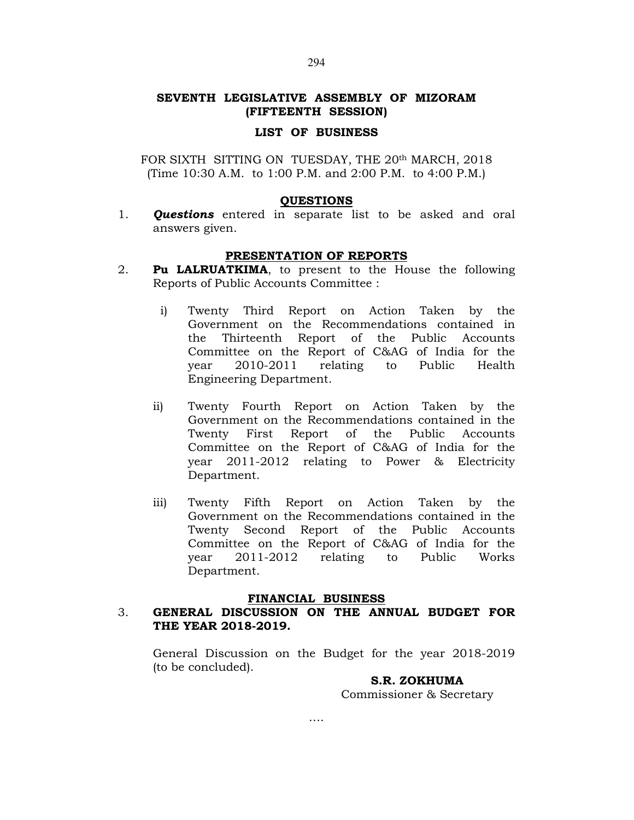# SEVENTH LEGISLATIVE ASSEMBLY OF MIZORAM (FIFTEENTH SESSION)

#### LIST OF BUSINESS

FOR SIXTH SITTING ON TUESDAY, THE 20<sup>th</sup> MARCH, 2018 (Time 10:30 A.M. to 1:00 P.M. and 2:00 P.M. to 4:00 P.M.)

#### **QUESTIONS**

1. **Questions** entered in separate list to be asked and oral answers given.

# PRESENTATION OF REPORTS

- 2. Pu LALRUATKIMA, to present to the House the following Reports of Public Accounts Committee :
	- i) Twenty Third Report on Action Taken by the Government on the Recommendations contained in the Thirteenth Report of the Public Accounts Committee on the Report of C&AG of India for the year 2010-2011 relating to Public Health Engineering Department.
	- ii) Twenty Fourth Report on Action Taken by the Government on the Recommendations contained in the Twenty First Report of the Public Accounts Committee on the Report of C&AG of India for the year 2011-2012 relating to Power & Electricity Department.
	- iii) Twenty Fifth Report on Action Taken by the Government on the Recommendations contained in the Twenty Second Report of the Public Accounts Committee on the Report of C&AG of India for the year 2011-2012 relating to Public Works Department.

### FINANCIAL BUSINESS

# 3. GENERAL DISCUSSION ON THE ANNUAL BUDGET FOR THE YEAR 2018-2019.

 General Discussion on the Budget for the year 2018-2019 (to be concluded).

### S.R. ZOKHUMA

Commissioner & Secretary

294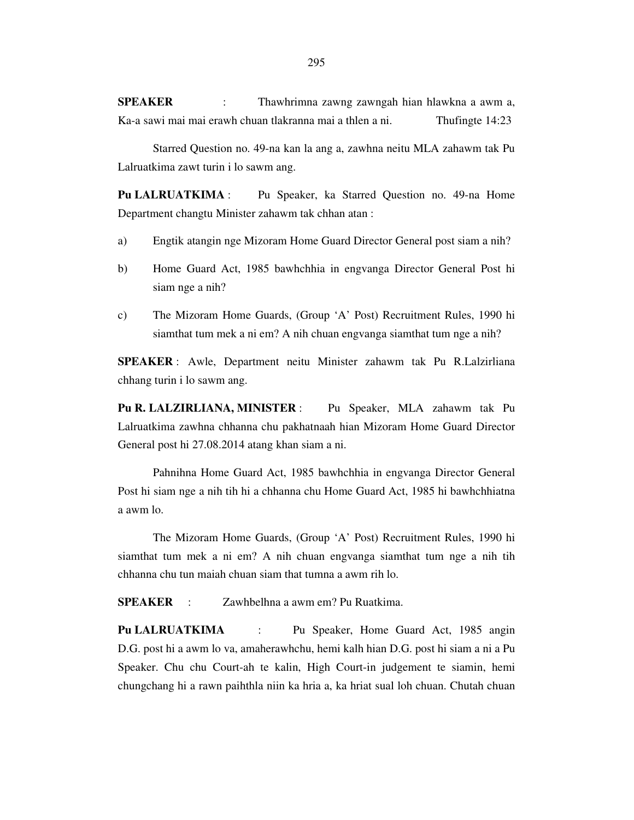**SPEAKER** : Thawhrimna zawng zawngah hian hlawkna a awm a, Ka-a sawi mai mai erawh chuan tlakranna mai a thlen a ni. Thufingte 14:23

 Starred Question no. 49-na kan la ang a, zawhna neitu MLA zahawm tak Pu Lalruatkima zawt turin i lo sawm ang.

**Pu LALRUATKIMA** : Pu Speaker, ka Starred Question no. 49-na Home Department changtu Minister zahawm tak chhan atan :

- a) Engtik atangin nge Mizoram Home Guard Director General post siam a nih?
- b) Home Guard Act, 1985 bawhchhia in engvanga Director General Post hi siam nge a nih?
- c) The Mizoram Home Guards, (Group 'A' Post) Recruitment Rules, 1990 hi siamthat tum mek a ni em? A nih chuan engvanga siamthat tum nge a nih?

**SPEAKER** : Awle, Department neitu Minister zahawm tak Pu R.Lalzirliana chhang turin i lo sawm ang.

**Pu R. LALZIRLIANA, MINISTER** : Pu Speaker, MLA zahawm tak Pu Lalruatkima zawhna chhanna chu pakhatnaah hian Mizoram Home Guard Director General post hi 27.08.2014 atang khan siam a ni.

 Pahnihna Home Guard Act, 1985 bawhchhia in engvanga Director General Post hi siam nge a nih tih hi a chhanna chu Home Guard Act, 1985 hi bawhchhiatna a awm lo.

 The Mizoram Home Guards, (Group 'A' Post) Recruitment Rules, 1990 hi siamthat tum mek a ni em? A nih chuan engvanga siamthat tum nge a nih tih chhanna chu tun maiah chuan siam that tumna a awm rih lo.

**SPEAKER** : Zawhbelhna a awm em? Pu Ruatkima.

**Pu LALRUATKIMA** : Pu Speaker, Home Guard Act, 1985 angin D.G. post hi a awm lo va, amaherawhchu, hemi kalh hian D.G. post hi siam a ni a Pu Speaker. Chu chu Court-ah te kalin, High Court-in judgement te siamin, hemi chungchang hi a rawn paihthla niin ka hria a, ka hriat sual loh chuan. Chutah chuan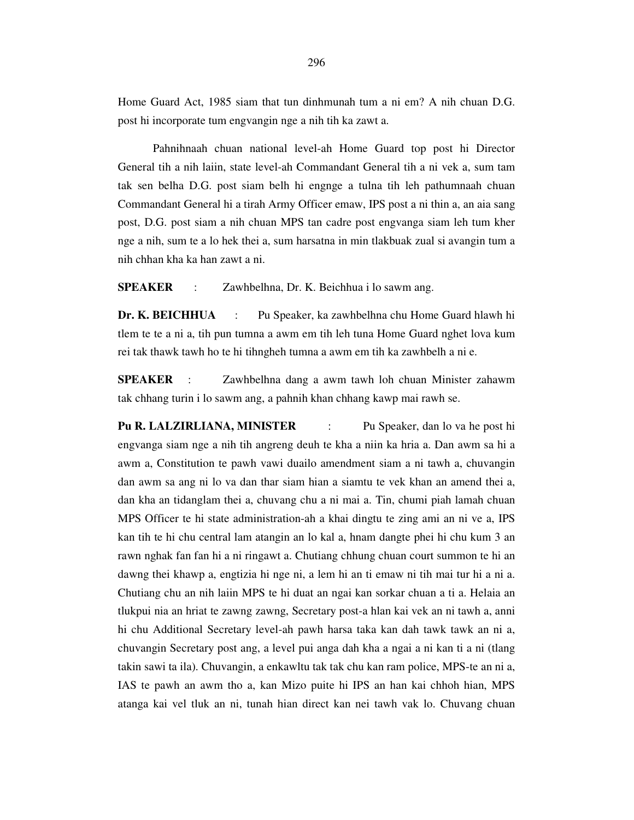Home Guard Act, 1985 siam that tun dinhmunah tum a ni em? A nih chuan D.G. post hi incorporate tum engvangin nge a nih tih ka zawt a.

 Pahnihnaah chuan national level-ah Home Guard top post hi Director General tih a nih laiin, state level-ah Commandant General tih a ni vek a, sum tam tak sen belha D.G. post siam belh hi engnge a tulna tih leh pathumnaah chuan Commandant General hi a tirah Army Officer emaw, IPS post a ni thin a, an aia sang post, D.G. post siam a nih chuan MPS tan cadre post engvanga siam leh tum kher nge a nih, sum te a lo hek thei a, sum harsatna in min tlakbuak zual si avangin tum a nih chhan kha ka han zawt a ni.

**SPEAKER** : Zawhbelhna, Dr. K. Beichhua i lo sawm ang.

**Dr. K. BEICHHUA** : Pu Speaker, ka zawhbelhna chu Home Guard hlawh hi tlem te te a ni a, tih pun tumna a awm em tih leh tuna Home Guard nghet lova kum rei tak thawk tawh ho te hi tihngheh tumna a awm em tih ka zawhbelh a ni e.

**SPEAKER** : Zawhbelhna dang a awm tawh loh chuan Minister zahawm tak chhang turin i lo sawm ang, a pahnih khan chhang kawp mai rawh se.

**Pu R. LALZIRLIANA, MINISTER** : Pu Speaker, dan lo va he post hi engvanga siam nge a nih tih angreng deuh te kha a niin ka hria a. Dan awm sa hi a awm a, Constitution te pawh vawi duailo amendment siam a ni tawh a, chuvangin dan awm sa ang ni lo va dan thar siam hian a siamtu te vek khan an amend thei a, dan kha an tidanglam thei a, chuvang chu a ni mai a. Tin, chumi piah lamah chuan MPS Officer te hi state administration-ah a khai dingtu te zing ami an ni ve a, IPS kan tih te hi chu central lam atangin an lo kal a, hnam dangte phei hi chu kum 3 an rawn nghak fan fan hi a ni ringawt a. Chutiang chhung chuan court summon te hi an dawng thei khawp a, engtizia hi nge ni, a lem hi an ti emaw ni tih mai tur hi a ni a. Chutiang chu an nih laiin MPS te hi duat an ngai kan sorkar chuan a ti a. Helaia an tlukpui nia an hriat te zawng zawng, Secretary post-a hlan kai vek an ni tawh a, anni hi chu Additional Secretary level-ah pawh harsa taka kan dah tawk tawk an ni a, chuvangin Secretary post ang, a level pui anga dah kha a ngai a ni kan ti a ni (tlang takin sawi ta ila). Chuvangin, a enkawltu tak tak chu kan ram police, MPS-te an ni a, IAS te pawh an awm tho a, kan Mizo puite hi IPS an han kai chhoh hian, MPS atanga kai vel tluk an ni, tunah hian direct kan nei tawh vak lo. Chuvang chuan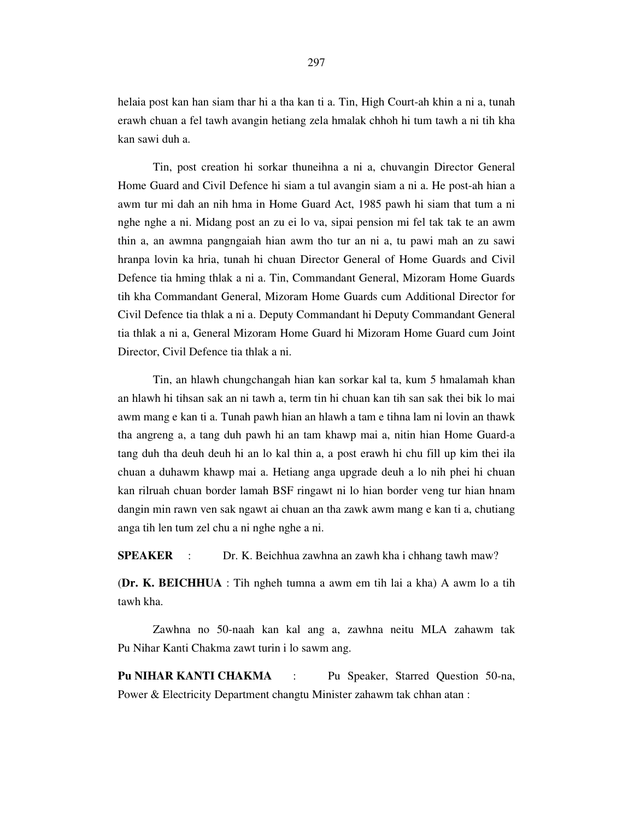helaia post kan han siam thar hi a tha kan ti a. Tin, High Court-ah khin a ni a, tunah erawh chuan a fel tawh avangin hetiang zela hmalak chhoh hi tum tawh a ni tih kha kan sawi duh a.

 Tin, post creation hi sorkar thuneihna a ni a, chuvangin Director General Home Guard and Civil Defence hi siam a tul avangin siam a ni a. He post-ah hian a awm tur mi dah an nih hma in Home Guard Act, 1985 pawh hi siam that tum a ni nghe nghe a ni. Midang post an zu ei lo va, sipai pension mi fel tak tak te an awm thin a, an awmna pangngaiah hian awm tho tur an ni a, tu pawi mah an zu sawi hranpa lovin ka hria, tunah hi chuan Director General of Home Guards and Civil Defence tia hming thlak a ni a. Tin, Commandant General, Mizoram Home Guards tih kha Commandant General, Mizoram Home Guards cum Additional Director for Civil Defence tia thlak a ni a. Deputy Commandant hi Deputy Commandant General tia thlak a ni a, General Mizoram Home Guard hi Mizoram Home Guard cum Joint Director, Civil Defence tia thlak a ni.

 Tin, an hlawh chungchangah hian kan sorkar kal ta, kum 5 hmalamah khan an hlawh hi tihsan sak an ni tawh a, term tin hi chuan kan tih san sak thei bik lo mai awm mang e kan ti a. Tunah pawh hian an hlawh a tam e tihna lam ni lovin an thawk tha angreng a, a tang duh pawh hi an tam khawp mai a, nitin hian Home Guard-a tang duh tha deuh deuh hi an lo kal thin a, a post erawh hi chu fill up kim thei ila chuan a duhawm khawp mai a. Hetiang anga upgrade deuh a lo nih phei hi chuan kan rilruah chuan border lamah BSF ringawt ni lo hian border veng tur hian hnam dangin min rawn ven sak ngawt ai chuan an tha zawk awm mang e kan ti a, chutiang anga tih len tum zel chu a ni nghe nghe a ni.

**SPEAKER** : Dr. K. Beichhua zawhna an zawh kha i chhang tawh maw?

(**Dr. K. BEICHHUA** : Tih ngheh tumna a awm em tih lai a kha) A awm lo a tih tawh kha.

 Zawhna no 50-naah kan kal ang a, zawhna neitu MLA zahawm tak Pu Nihar Kanti Chakma zawt turin i lo sawm ang.

**Pu NIHAR KANTI CHAKMA** : Pu Speaker, Starred Question 50-na, Power & Electricity Department changtu Minister zahawm tak chhan atan :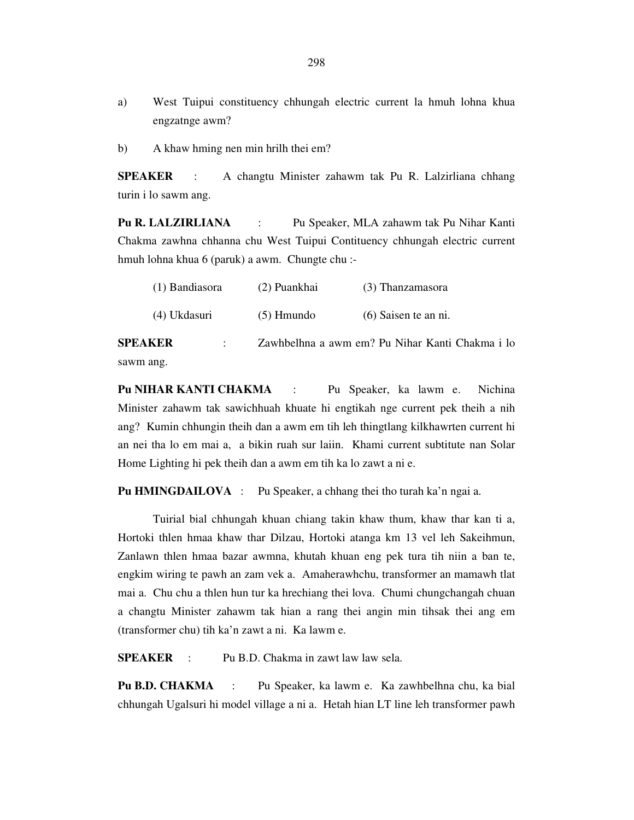- a) West Tuipui constituency chhungah electric current la hmuh lohna khua engzatnge awm?
- b) A khaw hming nen min hrilh thei em?

**SPEAKER** : A changtu Minister zahawm tak Pu R. Lalzirliana chhang turin i lo sawm ang.

**Pu R. LALZIRLIANA** : Pu Speaker, MLA zahawm tak Pu Nihar Kanti Chakma zawhna chhanna chu West Tuipui Contituency chhungah electric current hmuh lohna khua 6 (paruk) a awm. Chungte chu :-

| (1) Bandiasora | (2) Puankhai | (3) Thanzamasora     |
|----------------|--------------|----------------------|
| (4) Ukdasuri   | $(5)$ Hmundo | (6) Saisen te an ni. |
|                |              |                      |

**SPEAKER** : Zawhbelhna a awm em? Pu Nihar Kanti Chakma i lo sawm ang.

**Pu NIHAR KANTI CHAKMA** : Pu Speaker, ka lawm e. Nichina Minister zahawm tak sawichhuah khuate hi engtikah nge current pek theih a nih ang? Kumin chhungin theih dan a awm em tih leh thingtlang kilkhawrten current hi an nei tha lo em mai a, a bikin ruah sur laiin. Khami current subtitute nan Solar Home Lighting hi pek theih dan a awm em tih ka lo zawt a ni e.

**Pu HMINGDAILOVA** : Pu Speaker, a chhang thei tho turah ka'n ngai a.

 Tuirial bial chhungah khuan chiang takin khaw thum, khaw thar kan ti a, Hortoki thlen hmaa khaw thar Dilzau, Hortoki atanga km 13 vel leh Sakeihmun, Zanlawn thlen hmaa bazar awmna, khutah khuan eng pek tura tih niin a ban te, engkim wiring te pawh an zam vek a. Amaherawhchu, transformer an mamawh tlat mai a. Chu chu a thlen hun tur ka hrechiang thei lova. Chumi chungchangah chuan a changtu Minister zahawm tak hian a rang thei angin min tihsak thei ang em (transformer chu) tih ka'n zawt a ni. Ka lawm e.

**SPEAKER** : Pu B.D. Chakma in zawt law law sela.

**Pu B.D. CHAKMA** : Pu Speaker, ka lawm e. Ka zawhbelhna chu, ka bial chhungah Ugalsuri hi model village a ni a. Hetah hian LT line leh transformer pawh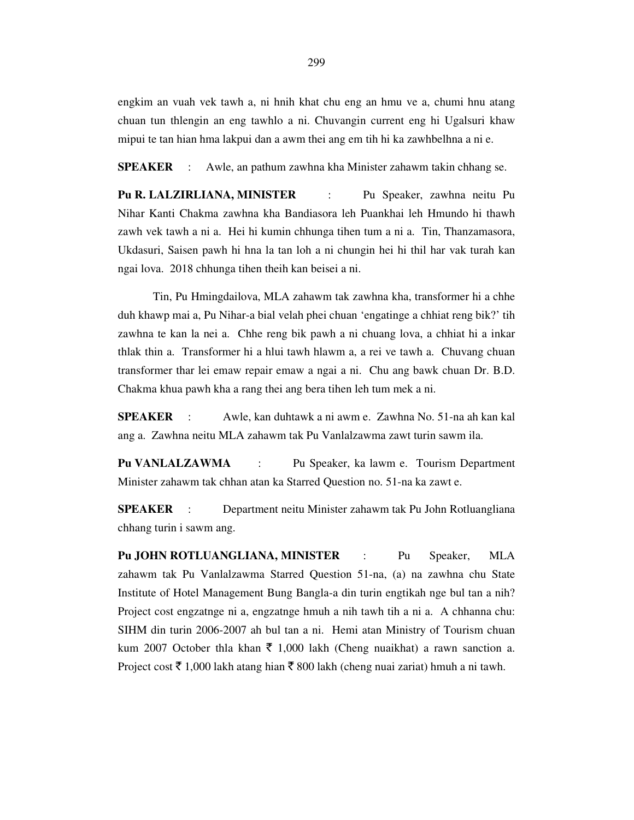engkim an vuah vek tawh a, ni hnih khat chu eng an hmu ve a, chumi hnu atang chuan tun thlengin an eng tawhlo a ni. Chuvangin current eng hi Ugalsuri khaw mipui te tan hian hma lakpui dan a awm thei ang em tih hi ka zawhbelhna a ni e.

**SPEAKER** : Awle, an pathum zawhna kha Minister zahawm takin chhang se.

**Pu R. LALZIRLIANA, MINISTER** : Pu Speaker, zawhna neitu Pu Nihar Kanti Chakma zawhna kha Bandiasora leh Puankhai leh Hmundo hi thawh zawh vek tawh a ni a. Hei hi kumin chhunga tihen tum a ni a. Tin, Thanzamasora, Ukdasuri, Saisen pawh hi hna la tan loh a ni chungin hei hi thil har vak turah kan ngai lova. 2018 chhunga tihen theih kan beisei a ni.

 Tin, Pu Hmingdailova, MLA zahawm tak zawhna kha, transformer hi a chhe duh khawp mai a, Pu Nihar-a bial velah phei chuan 'engatinge a chhiat reng bik?' tih zawhna te kan la nei a. Chhe reng bik pawh a ni chuang lova, a chhiat hi a inkar thlak thin a. Transformer hi a hlui tawh hlawm a, a rei ve tawh a. Chuvang chuan transformer thar lei emaw repair emaw a ngai a ni. Chu ang bawk chuan Dr. B.D. Chakma khua pawh kha a rang thei ang bera tihen leh tum mek a ni.

**SPEAKER** : Awle, kan duhtawk a ni awm e. Zawhna No. 51-na ah kan kal ang a. Zawhna neitu MLA zahawm tak Pu Vanlalzawma zawt turin sawm ila.

**Pu VANLALZAWMA** : Pu Speaker, ka lawm e. Tourism Department Minister zahawm tak chhan atan ka Starred Question no. 51-na ka zawt e.

**SPEAKER** : Department neitu Minister zahawm tak Pu John Rotluangliana chhang turin i sawm ang.

**Pu JOHN ROTLUANGLIANA, MINISTER** : Pu Speaker, MLA zahawm tak Pu Vanlalzawma Starred Question 51-na, (a) na zawhna chu State Institute of Hotel Management Bung Bangla-a din turin engtikah nge bul tan a nih? Project cost engzatnge ni a, engzatnge hmuh a nih tawh tih a ni a. A chhanna chu: SIHM din turin 2006-2007 ah bul tan a ni. Hemi atan Ministry of Tourism chuan kum 2007 October thla khan  $\bar{\tau}$  1,000 lakh (Cheng nuaikhat) a rawn sanction a. Project cost  $\bar{\tau}$  1,000 lakh atang hian  $\bar{\tau}$  800 lakh (cheng nuai zariat) hmuh a ni tawh.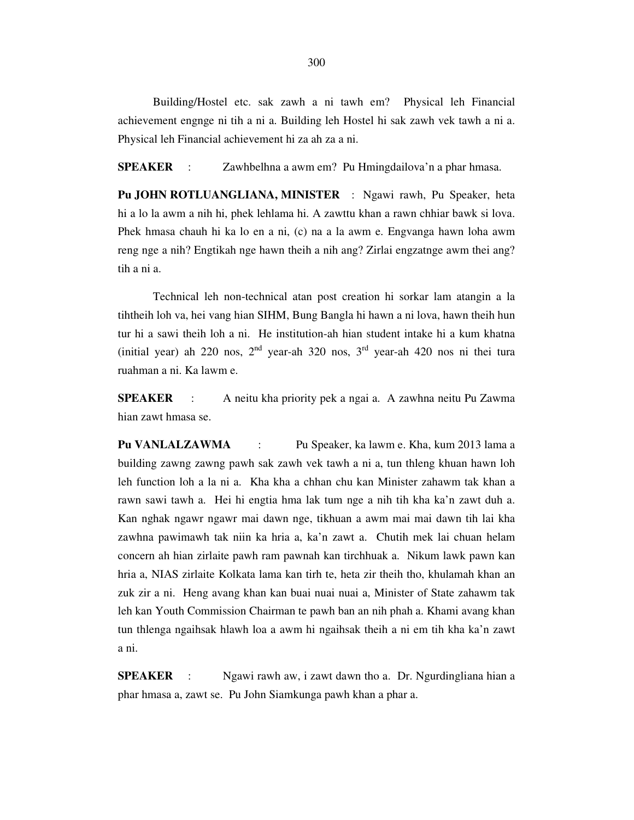Building/Hostel etc. sak zawh a ni tawh em? Physical leh Financial achievement engnge ni tih a ni a. Building leh Hostel hi sak zawh vek tawh a ni a. Physical leh Financial achievement hi za ah za a ni.

**SPEAKER** : Zawhbelhna a awm em? Pu Hmingdailova'n a phar hmasa.

**Pu JOHN ROTLUANGLIANA, MINISTER** : Ngawi rawh, Pu Speaker, heta hi a lo la awm a nih hi, phek lehlama hi. A zawttu khan a rawn chhiar bawk si lova. Phek hmasa chauh hi ka lo en a ni, (c) na a la awm e. Engvanga hawn loha awm reng nge a nih? Engtikah nge hawn theih a nih ang? Zirlai engzatnge awm thei ang? tih a ni a.

 Technical leh non-technical atan post creation hi sorkar lam atangin a la tihtheih loh va, hei vang hian SIHM, Bung Bangla hi hawn a ni lova, hawn theih hun tur hi a sawi theih loh a ni. He institution-ah hian student intake hi a kum khatna (initial year) ah 220 nos,  $2<sup>nd</sup>$  year-ah 320 nos,  $3<sup>rd</sup>$  year-ah 420 nos ni thei tura ruahman a ni. Ka lawm e.

**SPEAKER** : A neitu kha priority pek a ngai a. A zawhna neitu Pu Zawma hian zawt hmasa se.

**Pu VANLALZAWMA** : Pu Speaker, ka lawm e. Kha, kum 2013 lama a building zawng zawng pawh sak zawh vek tawh a ni a, tun thleng khuan hawn loh leh function loh a la ni a. Kha kha a chhan chu kan Minister zahawm tak khan a rawn sawi tawh a. Hei hi engtia hma lak tum nge a nih tih kha ka'n zawt duh a. Kan nghak ngawr ngawr mai dawn nge, tikhuan a awm mai mai dawn tih lai kha zawhna pawimawh tak niin ka hria a, ka'n zawt a. Chutih mek lai chuan helam concern ah hian zirlaite pawh ram pawnah kan tirchhuak a. Nikum lawk pawn kan hria a, NIAS zirlaite Kolkata lama kan tirh te, heta zir theih tho, khulamah khan an zuk zir a ni. Heng avang khan kan buai nuai nuai a, Minister of State zahawm tak leh kan Youth Commission Chairman te pawh ban an nih phah a. Khami avang khan tun thlenga ngaihsak hlawh loa a awm hi ngaihsak theih a ni em tih kha ka'n zawt a ni.

**SPEAKER** : Ngawi rawh aw, i zawt dawn tho a. Dr. Ngurdingliana hian a phar hmasa a, zawt se. Pu John Siamkunga pawh khan a phar a.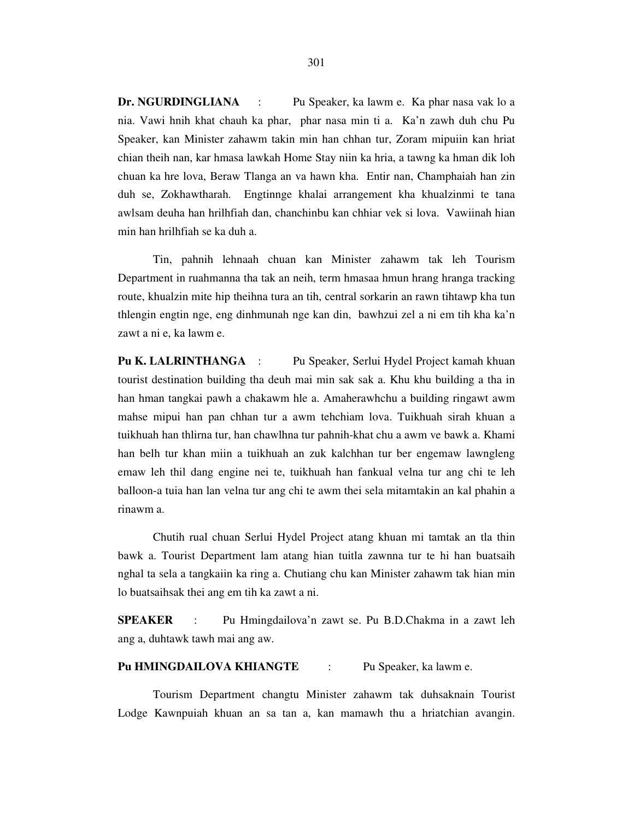**Dr. NGURDINGLIANA** : Pu Speaker, ka lawm e. Ka phar nasa vak lo a nia. Vawi hnih khat chauh ka phar, phar nasa min ti a. Ka'n zawh duh chu Pu Speaker, kan Minister zahawm takin min han chhan tur, Zoram mipuiin kan hriat chian theih nan, kar hmasa lawkah Home Stay niin ka hria, a tawng ka hman dik loh chuan ka hre lova, Beraw Tlanga an va hawn kha. Entir nan, Champhaiah han zin duh se, Zokhawtharah. Engtinnge khalai arrangement kha khualzinmi te tana awlsam deuha han hrilhfiah dan, chanchinbu kan chhiar vek si lova. Vawiinah hian min han hrilhfiah se ka duh a.

 Tin, pahnih lehnaah chuan kan Minister zahawm tak leh Tourism Department in ruahmanna tha tak an neih, term hmasaa hmun hrang hranga tracking route, khualzin mite hip theihna tura an tih, central sorkarin an rawn tihtawp kha tun thlengin engtin nge, eng dinhmunah nge kan din, bawhzui zel a ni em tih kha ka'n zawt a ni e, ka lawm e.

**Pu K. LALRINTHANGA** : Pu Speaker, Serlui Hydel Project kamah khuan tourist destination building tha deuh mai min sak sak a. Khu khu building a tha in han hman tangkai pawh a chakawm hle a. Amaherawhchu a building ringawt awm mahse mipui han pan chhan tur a awm tehchiam lova. Tuikhuah sirah khuan a tuikhuah han thlirna tur, han chawlhna tur pahnih-khat chu a awm ve bawk a. Khami han belh tur khan miin a tuikhuah an zuk kalchhan tur ber engemaw lawngleng emaw leh thil dang engine nei te, tuikhuah han fankual velna tur ang chi te leh balloon-a tuia han lan velna tur ang chi te awm thei sela mitamtakin an kal phahin a rinawm a.

 Chutih rual chuan Serlui Hydel Project atang khuan mi tamtak an tla thin bawk a. Tourist Department lam atang hian tuitla zawnna tur te hi han buatsaih nghal ta sela a tangkaiin ka ring a. Chutiang chu kan Minister zahawm tak hian min lo buatsaihsak thei ang em tih ka zawt a ni.

**SPEAKER** : Pu Hmingdailova'n zawt se. Pu B.D.Chakma in a zawt leh ang a, duhtawk tawh mai ang aw.

**Pu HMINGDAILOVA KHIANGTE** : Pu Speaker, ka lawm e.

 Tourism Department changtu Minister zahawm tak duhsaknain Tourist Lodge Kawnpuiah khuan an sa tan a, kan mamawh thu a hriatchian avangin.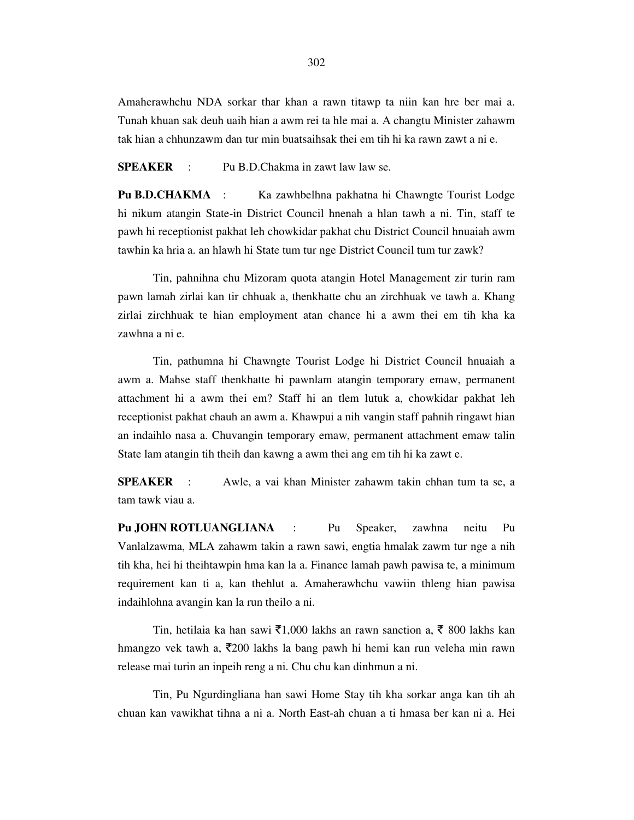Amaherawhchu NDA sorkar thar khan a rawn titawp ta niin kan hre ber mai a. Tunah khuan sak deuh uaih hian a awm rei ta hle mai a. A changtu Minister zahawm tak hian a chhunzawm dan tur min buatsaihsak thei em tih hi ka rawn zawt a ni e.

**SPEAKER** : Pu B.D.Chakma in zawt law law se.

**Pu B.D.CHAKMA** : Ka zawhbelhna pakhatna hi Chawngte Tourist Lodge hi nikum atangin State-in District Council hnenah a hlan tawh a ni. Tin, staff te pawh hi receptionist pakhat leh chowkidar pakhat chu District Council hnuaiah awm tawhin ka hria a. an hlawh hi State tum tur nge District Council tum tur zawk?

 Tin, pahnihna chu Mizoram quota atangin Hotel Management zir turin ram pawn lamah zirlai kan tir chhuak a, thenkhatte chu an zirchhuak ve tawh a. Khang zirlai zirchhuak te hian employment atan chance hi a awm thei em tih kha ka zawhna a ni e.

 Tin, pathumna hi Chawngte Tourist Lodge hi District Council hnuaiah a awm a. Mahse staff thenkhatte hi pawnlam atangin temporary emaw, permanent attachment hi a awm thei em? Staff hi an tlem lutuk a, chowkidar pakhat leh receptionist pakhat chauh an awm a. Khawpui a nih vangin staff pahnih ringawt hian an indaihlo nasa a. Chuvangin temporary emaw, permanent attachment emaw talin State lam atangin tih theih dan kawng a awm thei ang em tih hi ka zawt e.

**SPEAKER** : Awle, a vai khan Minister zahawm takin chhan tum ta se, a tam tawk viau a.

**Pu JOHN ROTLUANGLIANA** : Pu Speaker, zawhna neitu Pu Vanlalzawma, MLA zahawm takin a rawn sawi, engtia hmalak zawm tur nge a nih tih kha, hei hi theihtawpin hma kan la a. Finance lamah pawh pawisa te, a minimum requirement kan ti a, kan thehlut a. Amaherawhchu vawiin thleng hian pawisa indaihlohna avangin kan la run theilo a ni.

Tin, hetilaia ka han sawi  $\bar{\xi}$ 1,000 lakhs an rawn sanction a,  $\bar{\xi}$  800 lakhs kan hmangzo vek tawh a,  $\overline{5}200$  lakhs la bang pawh hi hemi kan run veleha min rawn release mai turin an inpeih reng a ni. Chu chu kan dinhmun a ni.

 Tin, Pu Ngurdingliana han sawi Home Stay tih kha sorkar anga kan tih ah chuan kan vawikhat tihna a ni a. North East-ah chuan a ti hmasa ber kan ni a. Hei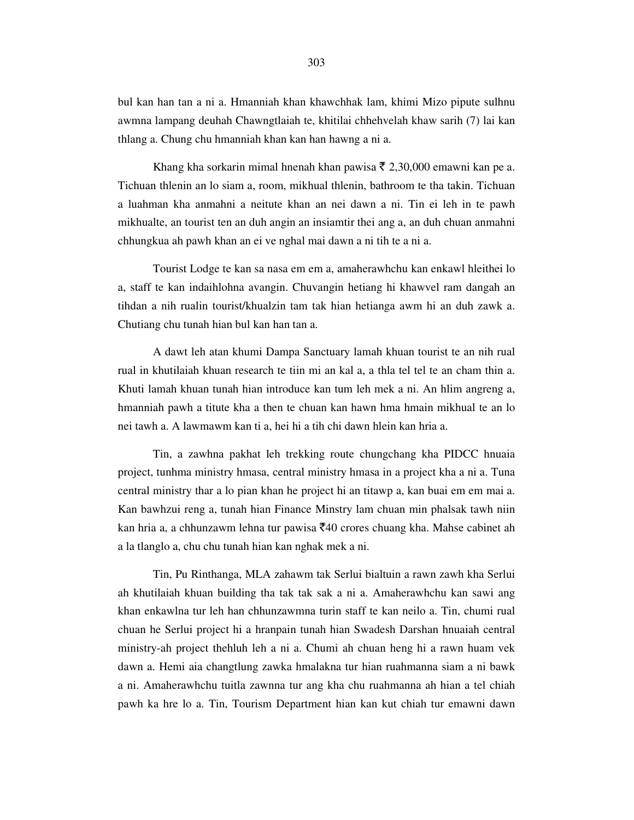bul kan han tan a ni a. Hmanniah khan khawchhak lam, khimi Mizo pipute sulhnu awmna lampang deuhah Chawngtlaiah te, khitilai chhehvelah khaw sarih (7) lai kan thlang a. Chung chu hmanniah khan kan han hawng a ni a.

Khang kha sorkarin mimal hnenah khan pawisa  $\bar{\tau}$  2,30,000 emawni kan pe a. Tichuan thlenin an lo siam a, room, mikhual thlenin, bathroom te tha takin. Tichuan a luahman kha anmahni a neitute khan an nei dawn a ni. Tin ei leh in te pawh mikhualte, an tourist ten an duh angin an insiamtir thei ang a, an duh chuan anmahni chhungkua ah pawh khan an ei ve nghal mai dawn a ni tih te a ni a.

 Tourist Lodge te kan sa nasa em em a, amaherawhchu kan enkawl hleithei lo a, staff te kan indaihlohna avangin. Chuvangin hetiang hi khawvel ram dangah an tihdan a nih rualin tourist/khualzin tam tak hian hetianga awm hi an duh zawk a. Chutiang chu tunah hian bul kan han tan a.

 A dawt leh atan khumi Dampa Sanctuary lamah khuan tourist te an nih rual rual in khutilaiah khuan research te tiin mi an kal a, a thla tel tel te an cham thin a. Khuti lamah khuan tunah hian introduce kan tum leh mek a ni. An hlim angreng a, hmanniah pawh a titute kha a then te chuan kan hawn hma hmain mikhual te an lo nei tawh a. A lawmawm kan ti a, hei hi a tih chi dawn hlein kan hria a.

 Tin, a zawhna pakhat leh trekking route chungchang kha PIDCC hnuaia project, tunhma ministry hmasa, central ministry hmasa in a project kha a ni a. Tuna central ministry thar a lo pian khan he project hi an titawp a, kan buai em em mai a. Kan bawhzui reng a, tunah hian Finance Minstry lam chuan min phalsak tawh niin kan hria a, a chhunzawm lehna tur pawisa  $\bar{\xi}$ 40 crores chuang kha. Mahse cabinet ah a la tlanglo a, chu chu tunah hian kan nghak mek a ni.

 Tin, Pu Rinthanga, MLA zahawm tak Serlui bialtuin a rawn zawh kha Serlui ah khutilaiah khuan building tha tak tak sak a ni a. Amaherawhchu kan sawi ang khan enkawlna tur leh han chhunzawmna turin staff te kan neilo a. Tin, chumi rual chuan he Serlui project hi a hranpain tunah hian Swadesh Darshan hnuaiah central ministry-ah project thehluh leh a ni a. Chumi ah chuan heng hi a rawn huam vek dawn a. Hemi aia changtlung zawka hmalakna tur hian ruahmanna siam a ni bawk a ni. Amaherawhchu tuitla zawnna tur ang kha chu ruahmanna ah hian a tel chiah pawh ka hre lo a. Tin, Tourism Department hian kan kut chiah tur emawni dawn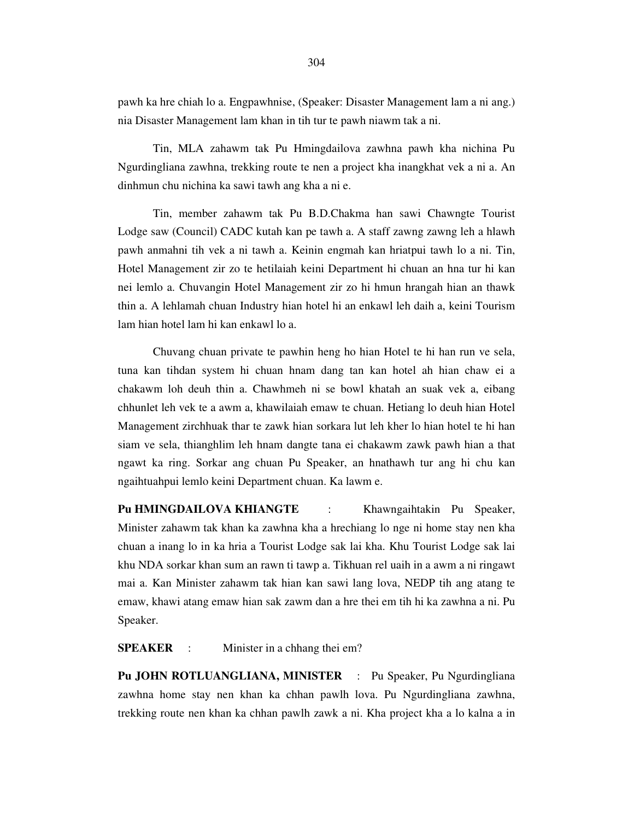pawh ka hre chiah lo a. Engpawhnise, (Speaker: Disaster Management lam a ni ang.) nia Disaster Management lam khan in tih tur te pawh niawm tak a ni.

 Tin, MLA zahawm tak Pu Hmingdailova zawhna pawh kha nichina Pu Ngurdingliana zawhna, trekking route te nen a project kha inangkhat vek a ni a. An dinhmun chu nichina ka sawi tawh ang kha a ni e.

 Tin, member zahawm tak Pu B.D.Chakma han sawi Chawngte Tourist Lodge saw (Council) CADC kutah kan pe tawh a. A staff zawng zawng leh a hlawh pawh anmahni tih vek a ni tawh a. Keinin engmah kan hriatpui tawh lo a ni. Tin, Hotel Management zir zo te hetilaiah keini Department hi chuan an hna tur hi kan nei lemlo a. Chuvangin Hotel Management zir zo hi hmun hrangah hian an thawk thin a. A lehlamah chuan Industry hian hotel hi an enkawl leh daih a, keini Tourism lam hian hotel lam hi kan enkawl lo a.

 Chuvang chuan private te pawhin heng ho hian Hotel te hi han run ve sela, tuna kan tihdan system hi chuan hnam dang tan kan hotel ah hian chaw ei a chakawm loh deuh thin a. Chawhmeh ni se bowl khatah an suak vek a, eibang chhunlet leh vek te a awm a, khawilaiah emaw te chuan. Hetiang lo deuh hian Hotel Management zirchhuak thar te zawk hian sorkara lut leh kher lo hian hotel te hi han siam ve sela, thianghlim leh hnam dangte tana ei chakawm zawk pawh hian a that ngawt ka ring. Sorkar ang chuan Pu Speaker, an hnathawh tur ang hi chu kan ngaihtuahpui lemlo keini Department chuan. Ka lawm e.

**Pu HMINGDAILOVA KHIANGTE** : Khawngaihtakin Pu Speaker, Minister zahawm tak khan ka zawhna kha a hrechiang lo nge ni home stay nen kha chuan a inang lo in ka hria a Tourist Lodge sak lai kha. Khu Tourist Lodge sak lai khu NDA sorkar khan sum an rawn ti tawp a. Tikhuan rel uaih in a awm a ni ringawt mai a. Kan Minister zahawm tak hian kan sawi lang lova, NEDP tih ang atang te emaw, khawi atang emaw hian sak zawm dan a hre thei em tih hi ka zawhna a ni. Pu Speaker.

**SPEAKER** : Minister in a chhang thei em?

**Pu JOHN ROTLUANGLIANA, MINISTER** : Pu Speaker, Pu Ngurdingliana zawhna home stay nen khan ka chhan pawlh lova. Pu Ngurdingliana zawhna, trekking route nen khan ka chhan pawlh zawk a ni. Kha project kha a lo kalna a in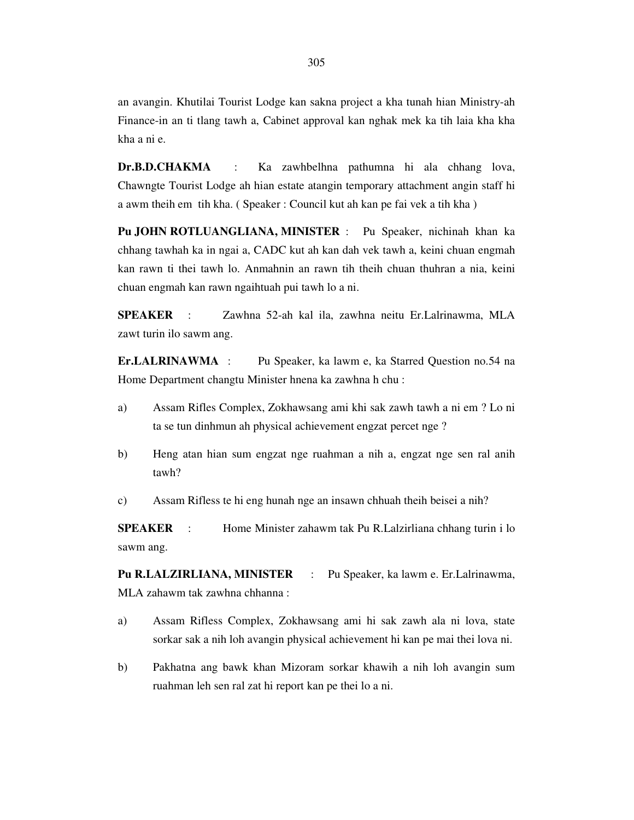an avangin. Khutilai Tourist Lodge kan sakna project a kha tunah hian Ministry-ah Finance-in an ti tlang tawh a, Cabinet approval kan nghak mek ka tih laia kha kha kha a ni e.

**Dr.B.D.CHAKMA** : Ka zawhbelhna pathumna hi ala chhang lova, Chawngte Tourist Lodge ah hian estate atangin temporary attachment angin staff hi a awm theih em tih kha. ( Speaker : Council kut ah kan pe fai vek a tih kha )

**Pu JOHN ROTLUANGLIANA, MINISTER** : Pu Speaker, nichinah khan ka chhang tawhah ka in ngai a, CADC kut ah kan dah vek tawh a, keini chuan engmah kan rawn ti thei tawh lo. Anmahnin an rawn tih theih chuan thuhran a nia, keini chuan engmah kan rawn ngaihtuah pui tawh lo a ni.

**SPEAKER** : Zawhna 52-ah kal ila, zawhna neitu Er.Lalrinawma, MLA zawt turin ilo sawm ang.

**Er.LALRINAWMA** : Pu Speaker, ka lawm e, ka Starred Question no.54 na Home Department changtu Minister hnena ka zawhna h chu :

- a) Assam Rifles Complex, Zokhawsang ami khi sak zawh tawh a ni em ? Lo ni ta se tun dinhmun ah physical achievement engzat percet nge ?
- b) Heng atan hian sum engzat nge ruahman a nih a, engzat nge sen ral anih tawh?

c) Assam Rifless te hi eng hunah nge an insawn chhuah theih beisei a nih?

**SPEAKER** : Home Minister zahawm tak Pu R.Lalzirliana chhang turin i lo sawm ang.

**Pu R.LALZIRLIANA, MINISTER** : Pu Speaker, ka lawm e. Er.Lalrinawma, MLA zahawm tak zawhna chhanna :

- a) Assam Rifless Complex, Zokhawsang ami hi sak zawh ala ni lova, state sorkar sak a nih loh avangin physical achievement hi kan pe mai thei lova ni.
- b) Pakhatna ang bawk khan Mizoram sorkar khawih a nih loh avangin sum ruahman leh sen ral zat hi report kan pe thei lo a ni.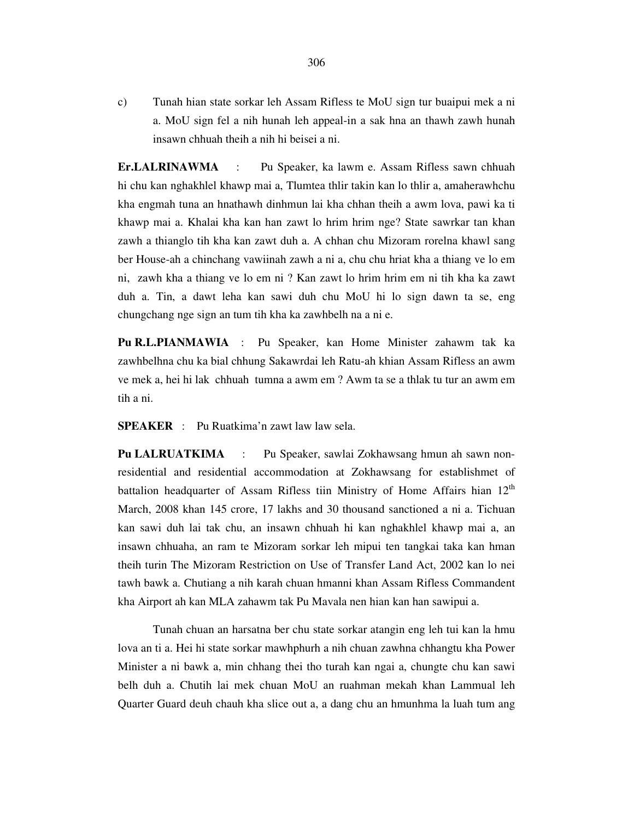c) Tunah hian state sorkar leh Assam Rifless te MoU sign tur buaipui mek a ni a. MoU sign fel a nih hunah leh appeal-in a sak hna an thawh zawh hunah insawn chhuah theih a nih hi beisei a ni.

**Er.LALRINAWMA** : Pu Speaker, ka lawm e. Assam Rifless sawn chhuah hi chu kan nghakhlel khawp mai a, Tlumtea thlir takin kan lo thlir a, amaherawhchu kha engmah tuna an hnathawh dinhmun lai kha chhan theih a awm lova, pawi ka ti khawp mai a. Khalai kha kan han zawt lo hrim hrim nge? State sawrkar tan khan zawh a thianglo tih kha kan zawt duh a. A chhan chu Mizoram rorelna khawl sang ber House-ah a chinchang vawiinah zawh a ni a, chu chu hriat kha a thiang ve lo em ni, zawh kha a thiang ve lo em ni ? Kan zawt lo hrim hrim em ni tih kha ka zawt duh a. Tin, a dawt leha kan sawi duh chu MoU hi lo sign dawn ta se, eng chungchang nge sign an tum tih kha ka zawhbelh na a ni e.

**Pu R.L.PIANMAWIA** : Pu Speaker, kan Home Minister zahawm tak ka zawhbelhna chu ka bial chhung Sakawrdai leh Ratu-ah khian Assam Rifless an awm ve mek a, hei hi lak chhuah tumna a awm em ? Awm ta se a thlak tu tur an awm em tih a ni.

**SPEAKER** : Pu Ruatkima'n zawt law law sela.

**Pu LALRUATKIMA** : Pu Speaker, sawlai Zokhawsang hmun ah sawn nonresidential and residential accommodation at Zokhawsang for establishmet of battalion headquarter of Assam Rifless tiin Ministry of Home Affairs hian  $12<sup>th</sup>$ March, 2008 khan 145 crore, 17 lakhs and 30 thousand sanctioned a ni a. Tichuan kan sawi duh lai tak chu, an insawn chhuah hi kan nghakhlel khawp mai a, an insawn chhuaha, an ram te Mizoram sorkar leh mipui ten tangkai taka kan hman theih turin The Mizoram Restriction on Use of Transfer Land Act, 2002 kan lo nei tawh bawk a. Chutiang a nih karah chuan hmanni khan Assam Rifless Commandent kha Airport ah kan MLA zahawm tak Pu Mavala nen hian kan han sawipui a.

 Tunah chuan an harsatna ber chu state sorkar atangin eng leh tui kan la hmu lova an ti a. Hei hi state sorkar mawhphurh a nih chuan zawhna chhangtu kha Power Minister a ni bawk a, min chhang thei tho turah kan ngai a, chungte chu kan sawi belh duh a. Chutih lai mek chuan MoU an ruahman mekah khan Lammual leh Quarter Guard deuh chauh kha slice out a, a dang chu an hmunhma la luah tum ang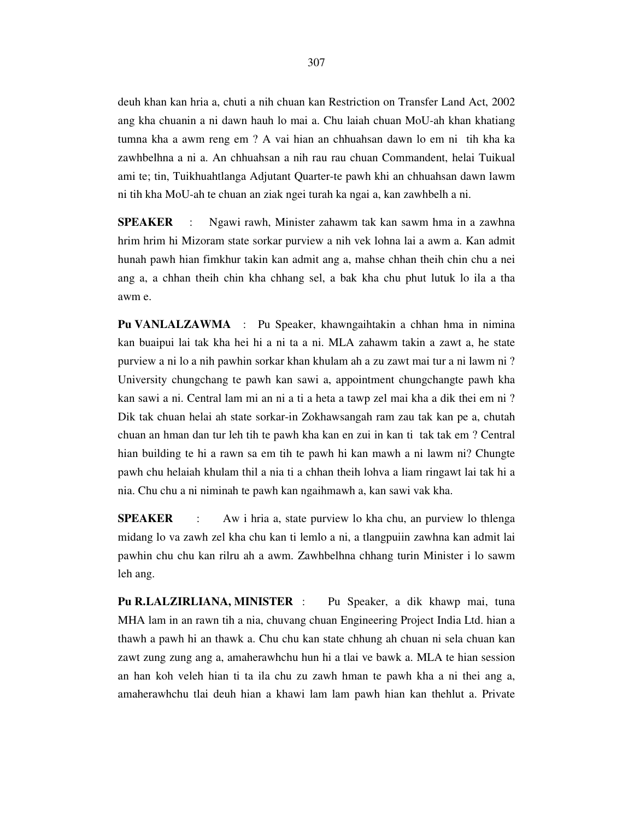deuh khan kan hria a, chuti a nih chuan kan Restriction on Transfer Land Act, 2002 ang kha chuanin a ni dawn hauh lo mai a. Chu laiah chuan MoU-ah khan khatiang tumna kha a awm reng em ? A vai hian an chhuahsan dawn lo em ni tih kha ka zawhbelhna a ni a. An chhuahsan a nih rau rau chuan Commandent, helai Tuikual ami te; tin, Tuikhuahtlanga Adjutant Quarter-te pawh khi an chhuahsan dawn lawm ni tih kha MoU-ah te chuan an ziak ngei turah ka ngai a, kan zawhbelh a ni.

**SPEAKER** : Ngawi rawh, Minister zahawm tak kan sawm hma in a zawhna hrim hrim hi Mizoram state sorkar purview a nih vek lohna lai a awm a. Kan admit hunah pawh hian fimkhur takin kan admit ang a, mahse chhan theih chin chu a nei ang a, a chhan theih chin kha chhang sel, a bak kha chu phut lutuk lo ila a tha awm e.

**Pu VANLALZAWMA** : Pu Speaker, khawngaihtakin a chhan hma in nimina kan buaipui lai tak kha hei hi a ni ta a ni. MLA zahawm takin a zawt a, he state purview a ni lo a nih pawhin sorkar khan khulam ah a zu zawt mai tur a ni lawm ni ? University chungchang te pawh kan sawi a, appointment chungchangte pawh kha kan sawi a ni. Central lam mi an ni a ti a heta a tawp zel mai kha a dik thei em ni ? Dik tak chuan helai ah state sorkar-in Zokhawsangah ram zau tak kan pe a, chutah chuan an hman dan tur leh tih te pawh kha kan en zui in kan ti tak tak em ? Central hian building te hi a rawn sa em tih te pawh hi kan mawh a ni lawm ni? Chungte pawh chu helaiah khulam thil a nia ti a chhan theih lohva a liam ringawt lai tak hi a nia. Chu chu a ni niminah te pawh kan ngaihmawh a, kan sawi vak kha.

**SPEAKER** : Aw i hria a, state purview lo kha chu, an purview lo thlenga midang lo va zawh zel kha chu kan ti lemlo a ni, a tlangpuiin zawhna kan admit lai pawhin chu chu kan rilru ah a awm. Zawhbelhna chhang turin Minister i lo sawm leh ang.

**Pu R.LALZIRLIANA, MINISTER** : Pu Speaker, a dik khawp mai, tuna MHA lam in an rawn tih a nia, chuvang chuan Engineering Project India Ltd. hian a thawh a pawh hi an thawk a. Chu chu kan state chhung ah chuan ni sela chuan kan zawt zung zung ang a, amaherawhchu hun hi a tlai ve bawk a. MLA te hian session an han koh veleh hian ti ta ila chu zu zawh hman te pawh kha a ni thei ang a, amaherawhchu tlai deuh hian a khawi lam lam pawh hian kan thehlut a. Private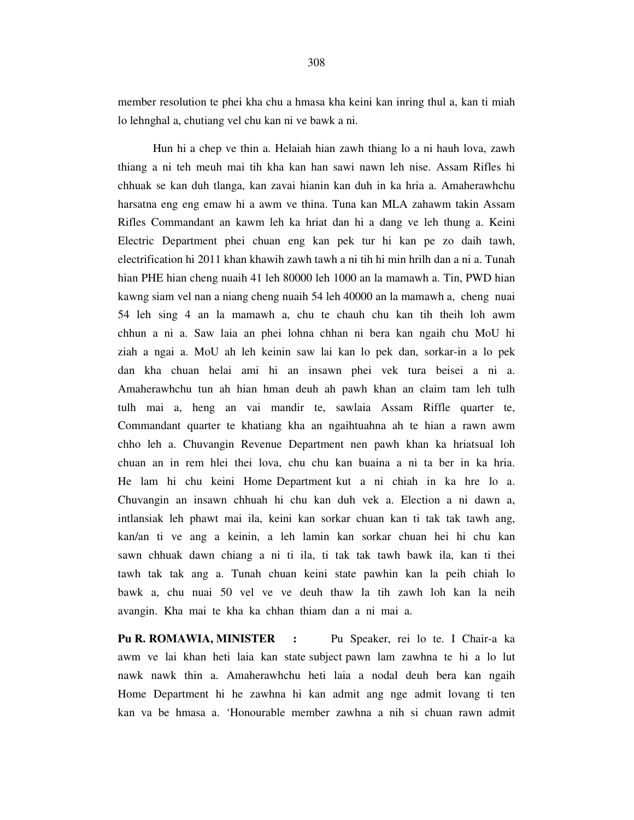member resolution te phei kha chu a hmasa kha keini kan inring thul a, kan ti miah lo lehnghal a, chutiang vel chu kan ni ve bawk a ni.

 Hun hi a chep ve thin a. Helaiah hian zawh thiang lo a ni hauh lova, zawh thiang a ni teh meuh mai tih kha kan han sawi nawn leh nise. Assam Rifles hi chhuak se kan duh tlanga, kan zavai hianin kan duh in ka hria a. Amaherawhchu harsatna eng eng emaw hi a awm ve thina. Tuna kan MLA zahawm takin Assam Rifles Commandant an kawm leh ka hriat dan hi a dang ve leh thung a. Keini Electric Department phei chuan eng kan pek tur hi kan pe zo daih tawh, electrification hi 2011 khan khawih zawh tawh a ni tih hi min hrilh dan a ni a. Tunah hian PHE hian cheng nuaih 41 leh 80000 leh 1000 an la mamawh a. Tin, PWD hian kawng siam vel nan a niang cheng nuaih 54 leh 40000 an la mamawh a, cheng nuai 54 leh sing 4 an la mamawh a, chu te chauh chu kan tih theih loh awm chhun a ni a. Saw laia an phei lohna chhan ni bera kan ngaih chu MoU hi ziah a ngai a. MoU ah leh keinin saw lai kan lo pek dan, sorkar-in a lo pek dan kha chuan helai ami hi an insawn phei vek tura beisei a ni a. Amaherawhchu tun ah hian hman deuh ah pawh khan an claim tam leh tulh tulh mai a, heng an vai mandir te, sawlaia Assam Riffle quarter te, Commandant quarter te khatiang kha an ngaihtuahna ah te hian a rawn awm chho leh a. Chuvangin Revenue Department nen pawh khan ka hriatsual loh chuan an in rem hlei thei lova, chu chu kan buaina a ni ta ber in ka hria. He lam hi chu keini Home Department kut a ni chiah in ka hre lo a. Chuvangin an insawn chhuah hi chu kan duh vek a. Election a ni dawn a, intlansiak leh phawt mai ila, keini kan sorkar chuan kan ti tak tak tawh ang, kan/an ti ve ang a keinin, a leh lamin kan sorkar chuan hei hi chu kan sawn chhuak dawn chiang a ni ti ila, ti tak tak tawh bawk ila, kan ti thei tawh tak tak ang a. Tunah chuan keini state pawhin kan la peih chiah lo bawk a, chu nuai 50 vel ve ve deuh thaw la tih zawh loh kan la neih avangin. Kha mai te kha ka chhan thiam dan a ni mai a.

**Pu R. ROMAWIA, MINISTER :** Pu Speaker, rei lo te. I Chair-a ka awm ve lai khan heti laia kan state subject pawn lam zawhna te hi a lo lut nawk nawk thin a. Amaherawhchu heti laia a nodal deuh bera kan ngaih Home Department hi he zawhna hi kan admit ang nge admit lovang ti ten kan va be hmasa a. 'Honourable member zawhna a nih si chuan rawn admit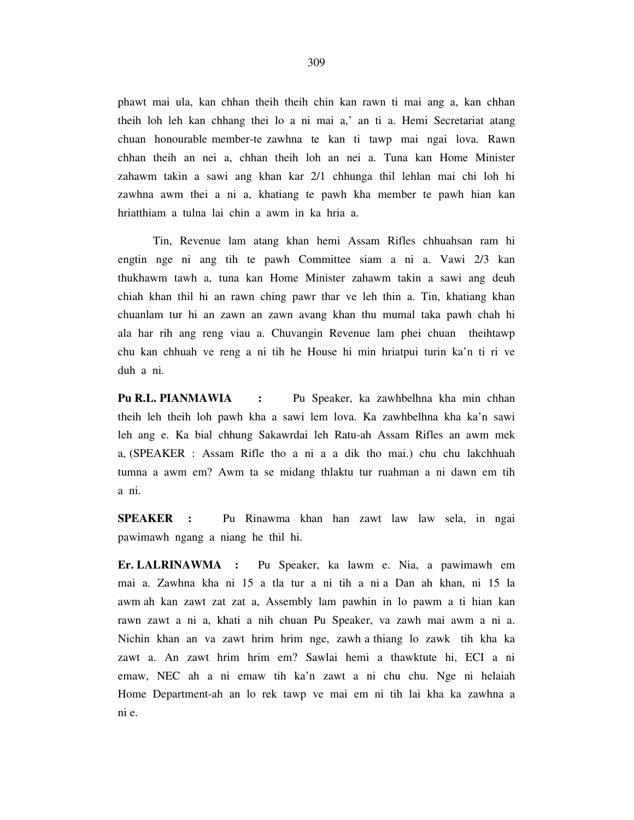phawt mai ula, kan chhan theih theih chin kan rawn ti mai ang a, kan chhan theih loh leh kan chhang thei lo a ni mai a,' an ti a. Hemi Secretariat atang chuan honourable member-te zawhna te kan ti tawp mai ngai lova. Rawn chhan theih an nei a, chhan theih loh an nei a. Tuna kan Home Minister zahawm takin a sawi ang khan kar 2/1 chhunga thil lehlan mai chi loh hi zawhna awm thei a ni a, khatiang te pawh kha member te pawh hian kan hriatthiam a tulna lai chin a awm in ka hria a.

 Tin, Revenue lam atang khan hemi Assam Rifles chhuahsan ram hi engtin nge ni ang tih te pawh Committee siam a ni a. Vawi 2/3 kan thukhawm tawh a, tuna kan Home Minister zahawm takin a sawi ang deuh chiah khan thil hi an rawn ching pawr thar ve leh thin a. Tin, khatiang khan chuanlam tur hi an zawn an zawn avang khan thu mumal taka pawh chah hi ala har rih ang reng viau a. Chuvangin Revenue lam phei chuan theihtawp chu kan chhuah ve reng a ni tih he House hi min hriatpui turin ka'n ti ri ve duh a ni.

**Pu R.L. PIANMAWIA :** Pu Speaker, ka zawhbelhna kha min chhan theih leh theih loh pawh kha a sawi lem lova. Ka zawhbelhna kha ka'n sawi leh ang e. Ka bial chhung Sakawrdai leh Ratu-ah Assam Rifles an awm mek a, (SPEAKER : Assam Rifle tho a ni a a dik tho mai.) chu chu lakchhuah tumna a awm em? Awm ta se midang thlaktu tur ruahman a ni dawn em tih a ni.

**SPEAKER :** Pu Rinawma khan han zawt law law sela, in ngai pawimawh ngang a niang he thil hi.

**Er. LALRINAWMA :** Pu Speaker, ka lawm e. Nia, a pawimawh em mai a. Zawhna kha ni 15 a tla tur a ni tih a ni a Dan ah khan, ni 15 la awm ah kan zawt zat zat a, Assembly lam pawhin in lo pawm a ti hian kan rawn zawt a ni a, khati a nih chuan Pu Speaker, va zawh mai awm a ni a. Nichin khan an va zawt hrim hrim nge, zawh a thiang lo zawk tih kha ka zawt a. An zawt hrim hrim em? Sawlai hemi a thawktute hi, ECI a ni emaw, NEC ah a ni emaw tih ka'n zawt a ni chu chu. Nge ni helaiah Home Department-ah an lo rek tawp ve mai em ni tih lai kha ka zawhna a ni e.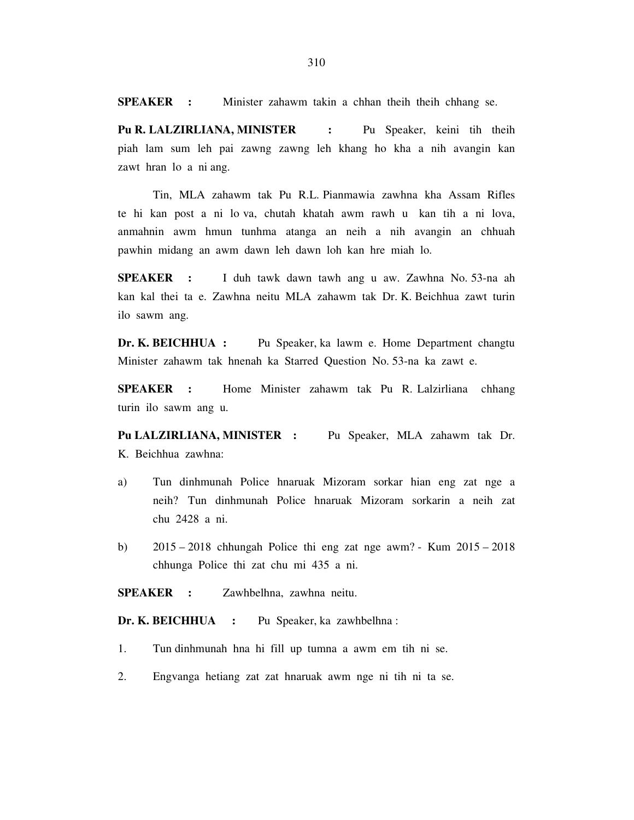**SPEAKER :** Minister zahawm takin a chhan theih theih chhang se.

**Pu R. LALZIRLIANA, MINISTER :** Pu Speaker, keini tih theih piah lam sum leh pai zawng zawng leh khang ho kha a nih avangin kan zawt hran lo a ni ang.

 Tin, MLA zahawm tak Pu R.L. Pianmawia zawhna kha Assam Rifles te hi kan post a ni lo va, chutah khatah awm rawh u kan tih a ni lova, anmahnin awm hmun tunhma atanga an neih a nih avangin an chhuah pawhin midang an awm dawn leh dawn loh kan hre miah lo.

**SPEAKER :** I duh tawk dawn tawh ang u aw. Zawhna No. 53-na ah kan kal thei ta e. Zawhna neitu MLA zahawm tak Dr. K. Beichhua zawt turin ilo sawm ang.

**Dr. K. BEICHHUA :** Pu Speaker, ka lawm e. Home Department changtu Minister zahawm tak hnenah ka Starred Question No. 53-na ka zawt e.

**SPEAKER :** Home Minister zahawm tak Pu R. Lalzirliana chhang turin ilo sawm ang u.

**Pu LALZIRLIANA, MINISTER :** Pu Speaker, MLA zahawm tak Dr. K. Beichhua zawhna:

- a) Tun dinhmunah Police hnaruak Mizoram sorkar hian eng zat nge a neih? Tun dinhmunah Police hnaruak Mizoram sorkarin a neih zat chu 2428 a ni.
- b) 2015 2018 chhungah Police thi eng zat nge awm? Kum 2015 2018 chhunga Police thi zat chu mi 435 a ni.

**SPEAKER :** Zawhbelhna, zawhna neitu.

**Dr. K. BEICHHUA :** Pu Speaker, ka zawhbelhna :

- 1. Tun dinhmunah hna hi fill up tumna a awm em tih ni se.
- 2. Engvanga hetiang zat zat hnaruak awm nge ni tih ni ta se.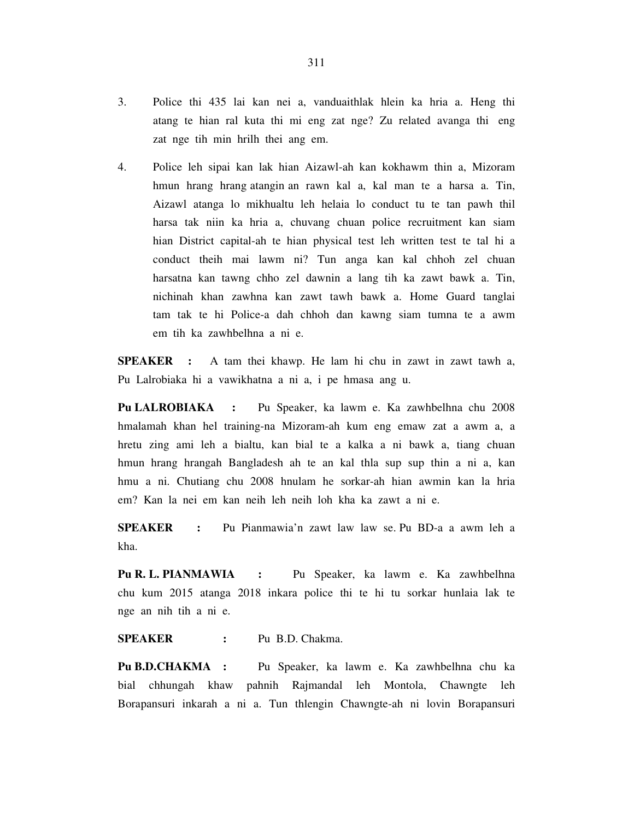3. Police thi 435 lai kan nei a, vanduaithlak hlein ka hria a. Heng thi atang te hian ral kuta thi mi eng zat nge? Zu related avanga thi eng zat nge tih min hrilh thei ang em.

4. Police leh sipai kan lak hian Aizawl-ah kan kokhawm thin a, Mizoram hmun hrang hrang atangin an rawn kal a, kal man te a harsa a. Tin, Aizawl atanga lo mikhualtu leh helaia lo conduct tu te tan pawh thil harsa tak niin ka hria a, chuvang chuan police recruitment kan siam hian District capital-ah te hian physical test leh written test te tal hi a conduct theih mai lawm ni? Tun anga kan kal chhoh zel chuan harsatna kan tawng chho zel dawnin a lang tih ka zawt bawk a. Tin, nichinah khan zawhna kan zawt tawh bawk a. Home Guard tanglai tam tak te hi Police-a dah chhoh dan kawng siam tumna te a awm em tih ka zawhbelhna a ni e.

**SPEAKER** : A tam thei khawp. He lam hi chu in zawt in zawt tawh a, Pu Lalrobiaka hi a vawikhatna a ni a, i pe hmasa ang u.

**Pu LALROBIAKA :** Pu Speaker, ka lawm e. Ka zawhbelhna chu 2008 hmalamah khan hel training-na Mizoram-ah kum eng emaw zat a awm a, a hretu zing ami leh a bialtu, kan bial te a kalka a ni bawk a, tiang chuan hmun hrang hrangah Bangladesh ah te an kal thla sup sup thin a ni a, kan hmu a ni. Chutiang chu 2008 hnulam he sorkar-ah hian awmin kan la hria em? Kan la nei em kan neih leh neih loh kha ka zawt a ni e.

**SPEAKER :** Pu Pianmawia'n zawt law law se. Pu BD-a a awm leh a kha.

**Pu R. L. PIANMAWIA :** Pu Speaker, ka lawm e. Ka zawhbelhna chu kum 2015 atanga 2018 inkara police thi te hi tu sorkar hunlaia lak te nge an nih tih a ni e.

**SPEAKER :** Pu B.D. Chakma.

**Pu B.D.CHAKMA :** Pu Speaker, ka lawm e. Ka zawhbelhna chu ka bial chhungah khaw pahnih Rajmandal leh Montola, Chawngte leh Borapansuri inkarah a ni a. Tun thlengin Chawngte-ah ni lovin Borapansuri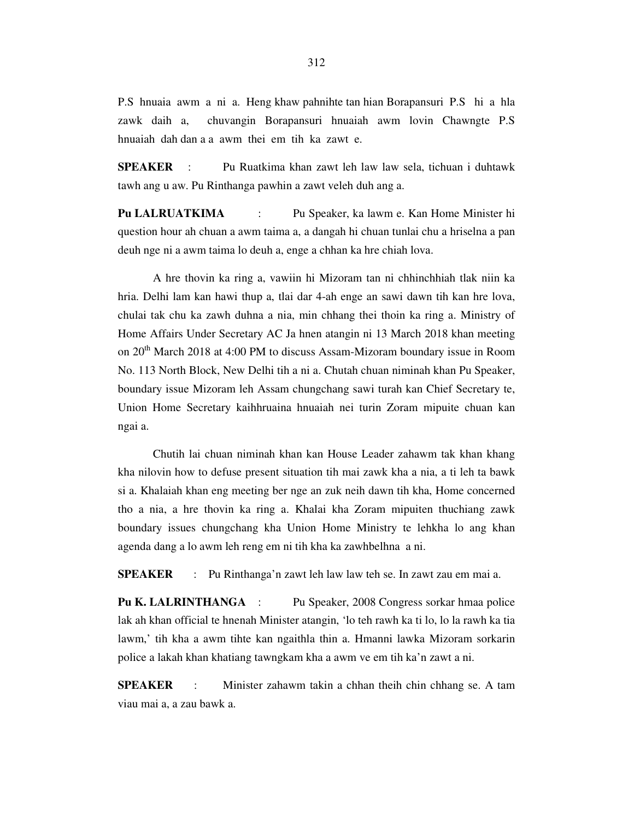P.S hnuaia awm a ni a. Heng khaw pahnihte tan hian Borapansuri P.S hi a hla zawk daih a, chuvangin Borapansuri hnuaiah awm lovin Chawngte P.S hnuaiah dah dan a a awm thei em tih ka zawt e.

**SPEAKER** : Pu Ruatkima khan zawt leh law law sela, tichuan i duhtawk tawh ang u aw. Pu Rinthanga pawhin a zawt veleh duh ang a.

**Pu LALRUATKIMA** : Pu Speaker, ka lawm e. Kan Home Minister hi question hour ah chuan a awm taima a, a dangah hi chuan tunlai chu a hriselna a pan deuh nge ni a awm taima lo deuh a, enge a chhan ka hre chiah lova.

 A hre thovin ka ring a, vawiin hi Mizoram tan ni chhinchhiah tlak niin ka hria. Delhi lam kan hawi thup a, tlai dar 4-ah enge an sawi dawn tih kan hre lova, chulai tak chu ka zawh duhna a nia, min chhang thei thoin ka ring a. Ministry of Home Affairs Under Secretary AC Ja hnen atangin ni 13 March 2018 khan meeting on 20th March 2018 at 4:00 PM to discuss Assam-Mizoram boundary issue in Room No. 113 North Block, New Delhi tih a ni a. Chutah chuan niminah khan Pu Speaker, boundary issue Mizoram leh Assam chungchang sawi turah kan Chief Secretary te, Union Home Secretary kaihhruaina hnuaiah nei turin Zoram mipuite chuan kan ngai a.

 Chutih lai chuan niminah khan kan House Leader zahawm tak khan khang kha nilovin how to defuse present situation tih mai zawk kha a nia, a ti leh ta bawk si a. Khalaiah khan eng meeting ber nge an zuk neih dawn tih kha, Home concerned tho a nia, a hre thovin ka ring a. Khalai kha Zoram mipuiten thuchiang zawk boundary issues chungchang kha Union Home Ministry te lehkha lo ang khan agenda dang a lo awm leh reng em ni tih kha ka zawhbelhna a ni.

**SPEAKER** : Pu Rinthanga'n zawt leh law law teh se. In zawt zau em mai a.

**Pu K. LALRINTHANGA** : Pu Speaker, 2008 Congress sorkar hmaa police lak ah khan official te hnenah Minister atangin, 'lo teh rawh ka ti lo, lo la rawh ka tia lawm,' tih kha a awm tihte kan ngaithla thin a. Hmanni lawka Mizoram sorkarin police a lakah khan khatiang tawngkam kha a awm ve em tih ka'n zawt a ni.

**SPEAKER** : Minister zahawm takin a chhan theih chin chhang se. A tam viau mai a, a zau bawk a.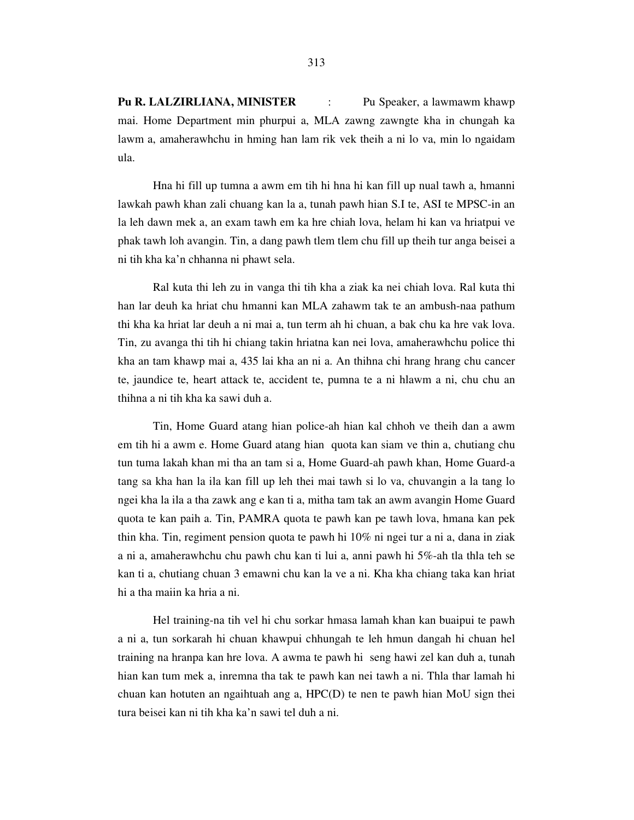**Pu R. LALZIRLIANA, MINISTER** : Pu Speaker, a lawmawm khawp mai. Home Department min phurpui a, MLA zawng zawngte kha in chungah ka lawm a, amaherawhchu in hming han lam rik vek theih a ni lo va, min lo ngaidam ula.

 Hna hi fill up tumna a awm em tih hi hna hi kan fill up nual tawh a, hmanni lawkah pawh khan zali chuang kan la a, tunah pawh hian S.I te, ASI te MPSC-in an la leh dawn mek a, an exam tawh em ka hre chiah lova, helam hi kan va hriatpui ve phak tawh loh avangin. Tin, a dang pawh tlem tlem chu fill up theih tur anga beisei a ni tih kha ka'n chhanna ni phawt sela.

 Ral kuta thi leh zu in vanga thi tih kha a ziak ka nei chiah lova. Ral kuta thi han lar deuh ka hriat chu hmanni kan MLA zahawm tak te an ambush-naa pathum thi kha ka hriat lar deuh a ni mai a, tun term ah hi chuan, a bak chu ka hre vak lova. Tin, zu avanga thi tih hi chiang takin hriatna kan nei lova, amaherawhchu police thi kha an tam khawp mai a, 435 lai kha an ni a. An thihna chi hrang hrang chu cancer te, jaundice te, heart attack te, accident te, pumna te a ni hlawm a ni, chu chu an thihna a ni tih kha ka sawi duh a.

 Tin, Home Guard atang hian police-ah hian kal chhoh ve theih dan a awm em tih hi a awm e. Home Guard atang hian quota kan siam ve thin a, chutiang chu tun tuma lakah khan mi tha an tam si a, Home Guard-ah pawh khan, Home Guard-a tang sa kha han la ila kan fill up leh thei mai tawh si lo va, chuvangin a la tang lo ngei kha la ila a tha zawk ang e kan ti a, mitha tam tak an awm avangin Home Guard quota te kan paih a. Tin, PAMRA quota te pawh kan pe tawh lova, hmana kan pek thin kha. Tin, regiment pension quota te pawh hi 10% ni ngei tur a ni a, dana in ziak a ni a, amaherawhchu chu pawh chu kan ti lui a, anni pawh hi 5%-ah tla thla teh se kan ti a, chutiang chuan 3 emawni chu kan la ve a ni. Kha kha chiang taka kan hriat hi a tha maiin ka hria a ni.

 Hel training-na tih vel hi chu sorkar hmasa lamah khan kan buaipui te pawh a ni a, tun sorkarah hi chuan khawpui chhungah te leh hmun dangah hi chuan hel training na hranpa kan hre lova. A awma te pawh hi seng hawi zel kan duh a, tunah hian kan tum mek a, inremna tha tak te pawh kan nei tawh a ni. Thla thar lamah hi chuan kan hotuten an ngaihtuah ang a, HPC(D) te nen te pawh hian MoU sign thei tura beisei kan ni tih kha ka'n sawi tel duh a ni.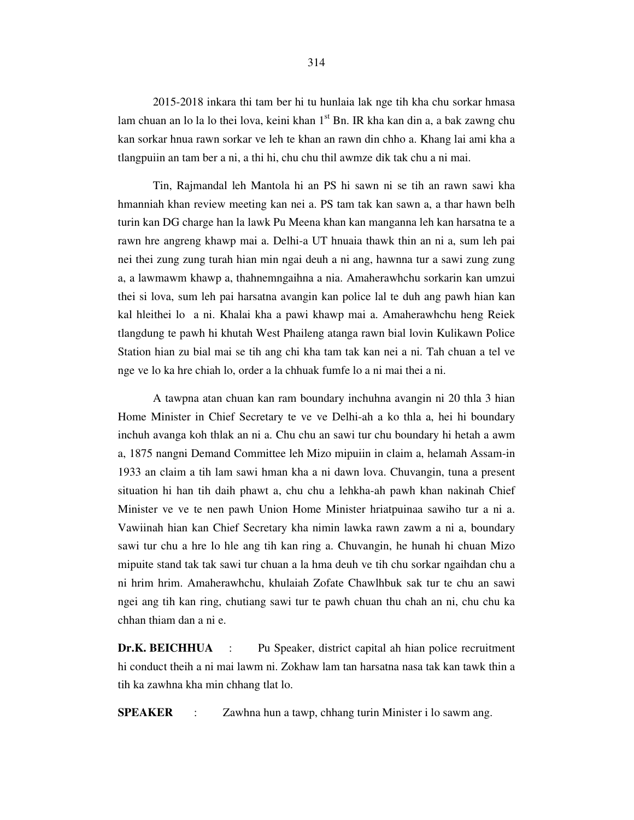2015-2018 inkara thi tam ber hi tu hunlaia lak nge tih kha chu sorkar hmasa lam chuan an lo la lo thei lova, keini khan  $1<sup>st</sup>$  Bn. IR kha kan din a, a bak zawng chu kan sorkar hnua rawn sorkar ve leh te khan an rawn din chho a. Khang lai ami kha a tlangpuiin an tam ber a ni, a thi hi, chu chu thil awmze dik tak chu a ni mai.

 Tin, Rajmandal leh Mantola hi an PS hi sawn ni se tih an rawn sawi kha hmanniah khan review meeting kan nei a. PS tam tak kan sawn a, a thar hawn belh turin kan DG charge han la lawk Pu Meena khan kan manganna leh kan harsatna te a rawn hre angreng khawp mai a. Delhi-a UT hnuaia thawk thin an ni a, sum leh pai nei thei zung zung turah hian min ngai deuh a ni ang, hawnna tur a sawi zung zung a, a lawmawm khawp a, thahnemngaihna a nia. Amaherawhchu sorkarin kan umzui thei si lova, sum leh pai harsatna avangin kan police lal te duh ang pawh hian kan kal hleithei lo a ni. Khalai kha a pawi khawp mai a. Amaherawhchu heng Reiek tlangdung te pawh hi khutah West Phaileng atanga rawn bial lovin Kulikawn Police Station hian zu bial mai se tih ang chi kha tam tak kan nei a ni. Tah chuan a tel ve nge ve lo ka hre chiah lo, order a la chhuak fumfe lo a ni mai thei a ni.

 A tawpna atan chuan kan ram boundary inchuhna avangin ni 20 thla 3 hian Home Minister in Chief Secretary te ve ve Delhi-ah a ko thla a, hei hi boundary inchuh avanga koh thlak an ni a. Chu chu an sawi tur chu boundary hi hetah a awm a, 1875 nangni Demand Committee leh Mizo mipuiin in claim a, helamah Assam-in 1933 an claim a tih lam sawi hman kha a ni dawn lova. Chuvangin, tuna a present situation hi han tih daih phawt a, chu chu a lehkha-ah pawh khan nakinah Chief Minister ve ve te nen pawh Union Home Minister hriatpuinaa sawiho tur a ni a. Vawiinah hian kan Chief Secretary kha nimin lawka rawn zawm a ni a, boundary sawi tur chu a hre lo hle ang tih kan ring a. Chuvangin, he hunah hi chuan Mizo mipuite stand tak tak sawi tur chuan a la hma deuh ve tih chu sorkar ngaihdan chu a ni hrim hrim. Amaherawhchu, khulaiah Zofate Chawlhbuk sak tur te chu an sawi ngei ang tih kan ring, chutiang sawi tur te pawh chuan thu chah an ni, chu chu ka chhan thiam dan a ni e.

**Dr.K. BEICHHUA** : Pu Speaker, district capital ah hian police recruitment hi conduct theih a ni mai lawm ni. Zokhaw lam tan harsatna nasa tak kan tawk thin a tih ka zawhna kha min chhang tlat lo.

**SPEAKER** : Zawhna hun a tawp, chhang turin Minister i lo sawm ang.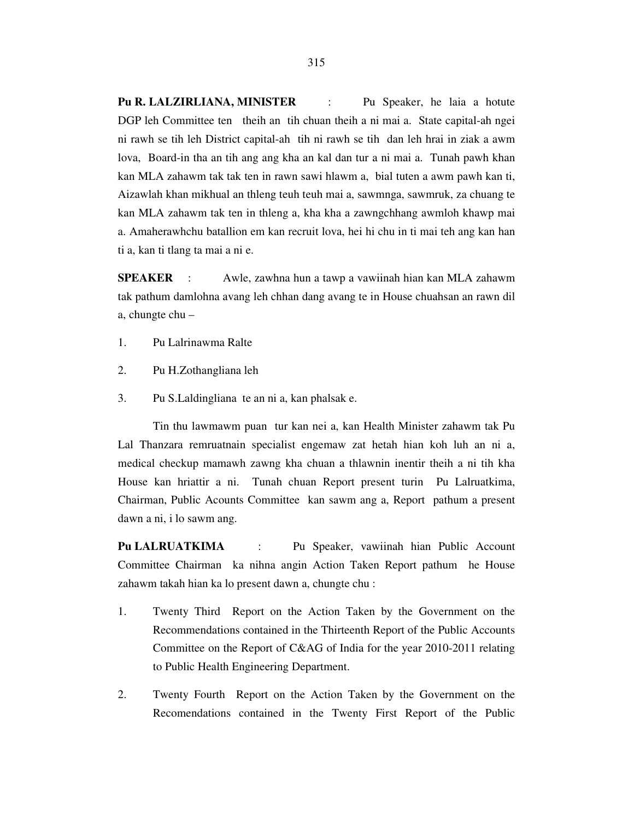**Pu R. LALZIRLIANA, MINISTER** : Pu Speaker, he laia a hotute DGP leh Committee ten theih an tih chuan theih a ni mai a. State capital-ah ngei ni rawh se tih leh District capital-ah tih ni rawh se tih dan leh hrai in ziak a awm lova, Board-in tha an tih ang ang kha an kal dan tur a ni mai a. Tunah pawh khan kan MLA zahawm tak tak ten in rawn sawi hlawm a, bial tuten a awm pawh kan ti, Aizawlah khan mikhual an thleng teuh teuh mai a, sawmnga, sawmruk, za chuang te kan MLA zahawm tak ten in thleng a, kha kha a zawngchhang awmloh khawp mai a. Amaherawhchu batallion em kan recruit lova, hei hi chu in ti mai teh ang kan han ti a, kan ti tlang ta mai a ni e.

**SPEAKER** : Awle, zawhna hun a tawp a vawiinah hian kan MLA zahawm tak pathum damlohna avang leh chhan dang avang te in House chuahsan an rawn dil a, chungte chu –

- 1. Pu Lalrinawma Ralte
- 2. Pu H.Zothangliana leh
- 3. Pu S.Laldingliana te an ni a, kan phalsak e.

 Tin thu lawmawm puan tur kan nei a, kan Health Minister zahawm tak Pu Lal Thanzara remruatnain specialist engemaw zat hetah hian koh luh an ni a, medical checkup mamawh zawng kha chuan a thlawnin inentir theih a ni tih kha House kan hriattir a ni. Tunah chuan Report present turin Pu Lalruatkima, Chairman, Public Acounts Committee kan sawm ang a, Report pathum a present dawn a ni, i lo sawm ang.

Pu LALRUATKIMA : Pu Speaker, vawiinah hian Public Account Committee Chairman ka nihna angin Action Taken Report pathum he House zahawm takah hian ka lo present dawn a, chungte chu :

- 1. Twenty Third Report on the Action Taken by the Government on the Recommendations contained in the Thirteenth Report of the Public Accounts Committee on the Report of C&AG of India for the year 2010-2011 relating to Public Health Engineering Department.
- 2. Twenty Fourth Report on the Action Taken by the Government on the Recomendations contained in the Twenty First Report of the Public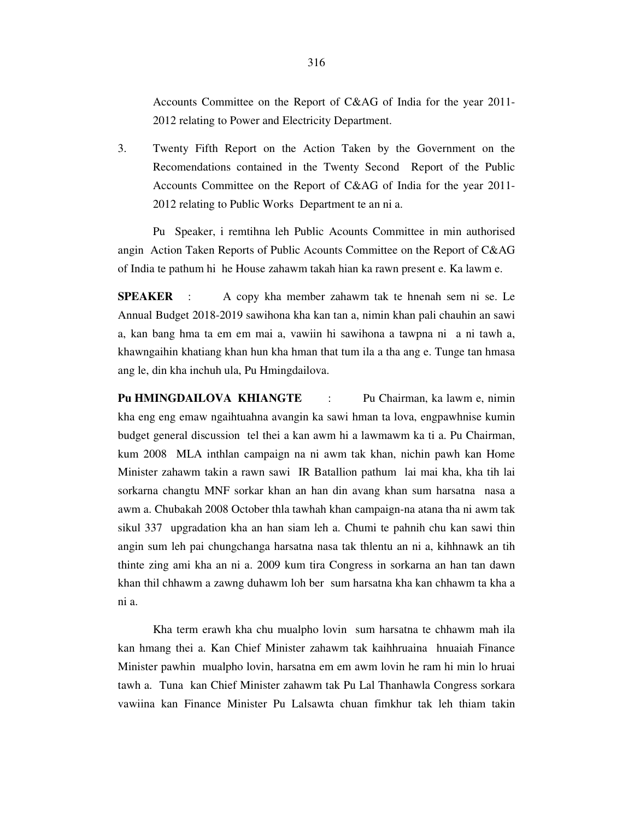Accounts Committee on the Report of C&AG of India for the year 2011- 2012 relating to Power and Electricity Department.

3. Twenty Fifth Report on the Action Taken by the Government on the Recomendations contained in the Twenty Second Report of the Public Accounts Committee on the Report of C&AG of India for the year 2011- 2012 relating to Public Works Department te an ni a.

 Pu Speaker, i remtihna leh Public Acounts Committee in min authorised angin Action Taken Reports of Public Acounts Committee on the Report of C&AG of India te pathum hi he House zahawm takah hian ka rawn present e. Ka lawm e.

**SPEAKER** : A copy kha member zahawm tak te hnenah sem ni se. Le Annual Budget 2018-2019 sawihona kha kan tan a, nimin khan pali chauhin an sawi a, kan bang hma ta em em mai a, vawiin hi sawihona a tawpna ni a ni tawh a, khawngaihin khatiang khan hun kha hman that tum ila a tha ang e. Tunge tan hmasa ang le, din kha inchuh ula, Pu Hmingdailova.

**Pu HMINGDAILOVA KHIANGTE** : Pu Chairman, ka lawm e, nimin kha eng eng emaw ngaihtuahna avangin ka sawi hman ta lova, engpawhnise kumin budget general discussion tel thei a kan awm hi a lawmawm ka ti a. Pu Chairman, kum 2008 MLA inthlan campaign na ni awm tak khan, nichin pawh kan Home Minister zahawm takin a rawn sawi IR Batallion pathum lai mai kha, kha tih lai sorkarna changtu MNF sorkar khan an han din avang khan sum harsatna nasa a awm a. Chubakah 2008 October thla tawhah khan campaign-na atana tha ni awm tak sikul 337 upgradation kha an han siam leh a. Chumi te pahnih chu kan sawi thin angin sum leh pai chungchanga harsatna nasa tak thlentu an ni a, kihhnawk an tih thinte zing ami kha an ni a. 2009 kum tira Congress in sorkarna an han tan dawn khan thil chhawm a zawng duhawm loh ber sum harsatna kha kan chhawm ta kha a ni a.

 Kha term erawh kha chu mualpho lovin sum harsatna te chhawm mah ila kan hmang thei a. Kan Chief Minister zahawm tak kaihhruaina hnuaiah Finance Minister pawhin mualpho lovin, harsatna em em awm lovin he ram hi min lo hruai tawh a. Tuna kan Chief Minister zahawm tak Pu Lal Thanhawla Congress sorkara vawiina kan Finance Minister Pu Lalsawta chuan fimkhur tak leh thiam takin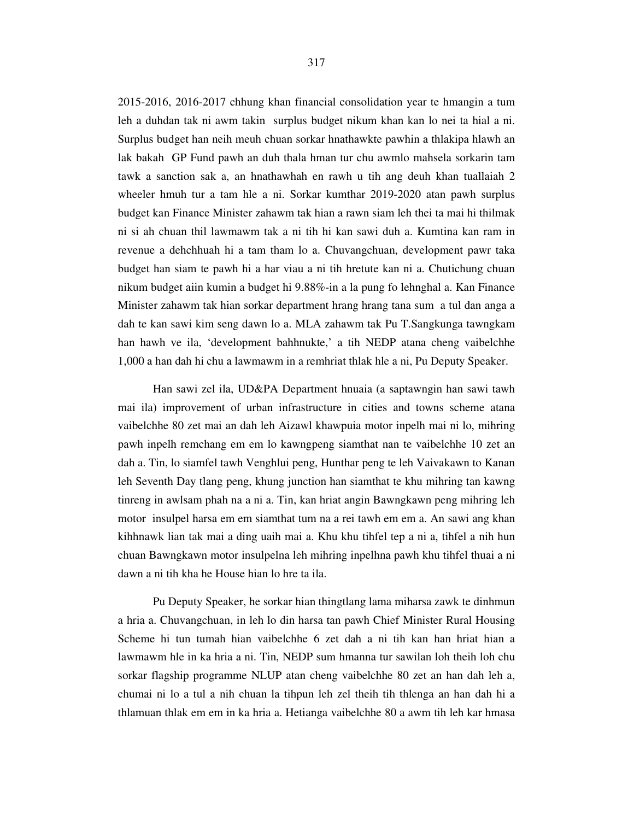2015-2016, 2016-2017 chhung khan financial consolidation year te hmangin a tum leh a duhdan tak ni awm takin surplus budget nikum khan kan lo nei ta hial a ni. Surplus budget han neih meuh chuan sorkar hnathawkte pawhin a thlakipa hlawh an lak bakah GP Fund pawh an duh thala hman tur chu awmlo mahsela sorkarin tam tawk a sanction sak a, an hnathawhah en rawh u tih ang deuh khan tuallaiah 2 wheeler hmuh tur a tam hle a ni. Sorkar kumthar 2019-2020 atan pawh surplus budget kan Finance Minister zahawm tak hian a rawn siam leh thei ta mai hi thilmak ni si ah chuan thil lawmawm tak a ni tih hi kan sawi duh a. Kumtina kan ram in revenue a dehchhuah hi a tam tham lo a. Chuvangchuan, development pawr taka budget han siam te pawh hi a har viau a ni tih hretute kan ni a. Chutichung chuan nikum budget aiin kumin a budget hi 9.88%-in a la pung fo lehnghal a. Kan Finance Minister zahawm tak hian sorkar department hrang hrang tana sum a tul dan anga a dah te kan sawi kim seng dawn lo a. MLA zahawm tak Pu T.Sangkunga tawngkam han hawh ve ila, 'development bahhnukte,' a tih NEDP atana cheng vaibelchhe 1,000 a han dah hi chu a lawmawm in a remhriat thlak hle a ni, Pu Deputy Speaker.

 Han sawi zel ila, UD&PA Department hnuaia (a saptawngin han sawi tawh mai ila) improvement of urban infrastructure in cities and towns scheme atana vaibelchhe 80 zet mai an dah leh Aizawl khawpuia motor inpelh mai ni lo, mihring pawh inpelh remchang em em lo kawngpeng siamthat nan te vaibelchhe 10 zet an dah a. Tin, lo siamfel tawh Venghlui peng, Hunthar peng te leh Vaivakawn to Kanan leh Seventh Day tlang peng, khung junction han siamthat te khu mihring tan kawng tinreng in awlsam phah na a ni a. Tin, kan hriat angin Bawngkawn peng mihring leh motor insulpel harsa em em siamthat tum na a rei tawh em em a. An sawi ang khan kihhnawk lian tak mai a ding uaih mai a. Khu khu tihfel tep a ni a, tihfel a nih hun chuan Bawngkawn motor insulpelna leh mihring inpelhna pawh khu tihfel thuai a ni dawn a ni tih kha he House hian lo hre ta ila.

 Pu Deputy Speaker, he sorkar hian thingtlang lama miharsa zawk te dinhmun a hria a. Chuvangchuan, in leh lo din harsa tan pawh Chief Minister Rural Housing Scheme hi tun tumah hian vaibelchhe 6 zet dah a ni tih kan han hriat hian a lawmawm hle in ka hria a ni. Tin, NEDP sum hmanna tur sawilan loh theih loh chu sorkar flagship programme NLUP atan cheng vaibelchhe 80 zet an han dah leh a, chumai ni lo a tul a nih chuan la tihpun leh zel theih tih thlenga an han dah hi a thlamuan thlak em em in ka hria a. Hetianga vaibelchhe 80 a awm tih leh kar hmasa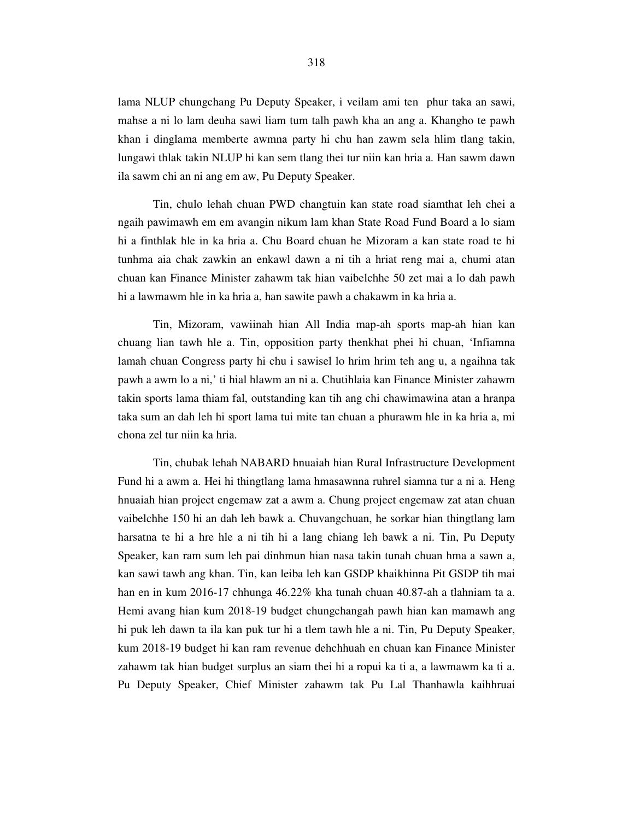lama NLUP chungchang Pu Deputy Speaker, i veilam ami ten phur taka an sawi, mahse a ni lo lam deuha sawi liam tum talh pawh kha an ang a. Khangho te pawh khan i dinglama memberte awmna party hi chu han zawm sela hlim tlang takin, lungawi thlak takin NLUP hi kan sem tlang thei tur niin kan hria a. Han sawm dawn ila sawm chi an ni ang em aw, Pu Deputy Speaker.

 Tin, chulo lehah chuan PWD changtuin kan state road siamthat leh chei a ngaih pawimawh em em avangin nikum lam khan State Road Fund Board a lo siam hi a finthlak hle in ka hria a. Chu Board chuan he Mizoram a kan state road te hi tunhma aia chak zawkin an enkawl dawn a ni tih a hriat reng mai a, chumi atan chuan kan Finance Minister zahawm tak hian vaibelchhe 50 zet mai a lo dah pawh hi a lawmawm hle in ka hria a, han sawite pawh a chakawm in ka hria a.

 Tin, Mizoram, vawiinah hian All India map-ah sports map-ah hian kan chuang lian tawh hle a. Tin, opposition party thenkhat phei hi chuan, 'Infiamna lamah chuan Congress party hi chu i sawisel lo hrim hrim teh ang u, a ngaihna tak pawh a awm lo a ni,' ti hial hlawm an ni a. Chutihlaia kan Finance Minister zahawm takin sports lama thiam fal, outstanding kan tih ang chi chawimawina atan a hranpa taka sum an dah leh hi sport lama tui mite tan chuan a phurawm hle in ka hria a, mi chona zel tur niin ka hria.

 Tin, chubak lehah NABARD hnuaiah hian Rural Infrastructure Development Fund hi a awm a. Hei hi thingtlang lama hmasawnna ruhrel siamna tur a ni a. Heng hnuaiah hian project engemaw zat a awm a. Chung project engemaw zat atan chuan vaibelchhe 150 hi an dah leh bawk a. Chuvangchuan, he sorkar hian thingtlang lam harsatna te hi a hre hle a ni tih hi a lang chiang leh bawk a ni. Tin, Pu Deputy Speaker, kan ram sum leh pai dinhmun hian nasa takin tunah chuan hma a sawn a, kan sawi tawh ang khan. Tin, kan leiba leh kan GSDP khaikhinna Pit GSDP tih mai han en in kum 2016-17 chhunga 46.22% kha tunah chuan 40.87-ah a tlahniam ta a. Hemi avang hian kum 2018-19 budget chungchangah pawh hian kan mamawh ang hi puk leh dawn ta ila kan puk tur hi a tlem tawh hle a ni. Tin, Pu Deputy Speaker, kum 2018-19 budget hi kan ram revenue dehchhuah en chuan kan Finance Minister zahawm tak hian budget surplus an siam thei hi a ropui ka ti a, a lawmawm ka ti a. Pu Deputy Speaker, Chief Minister zahawm tak Pu Lal Thanhawla kaihhruai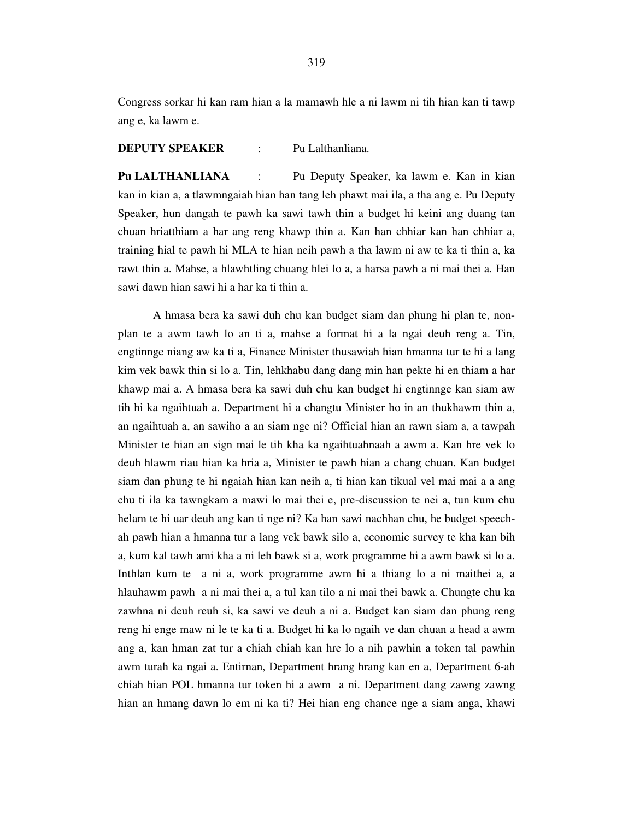Congress sorkar hi kan ram hian a la mamawh hle a ni lawm ni tih hian kan ti tawp ang e, ka lawm e.

### **DEPUTY SPEAKER** : Pu Lalthanliana.

**Pu LALTHANLIANA** : Pu Deputy Speaker, ka lawm e. Kan in kian kan in kian a, a tlawmngaiah hian han tang leh phawt mai ila, a tha ang e. Pu Deputy Speaker, hun dangah te pawh ka sawi tawh thin a budget hi keini ang duang tan chuan hriatthiam a har ang reng khawp thin a. Kan han chhiar kan han chhiar a, training hial te pawh hi MLA te hian neih pawh a tha lawm ni aw te ka ti thin a, ka rawt thin a. Mahse, a hlawhtling chuang hlei lo a, a harsa pawh a ni mai thei a. Han sawi dawn hian sawi hi a har ka ti thin a.

 A hmasa bera ka sawi duh chu kan budget siam dan phung hi plan te, nonplan te a awm tawh lo an ti a, mahse a format hi a la ngai deuh reng a. Tin, engtinnge niang aw ka ti a, Finance Minister thusawiah hian hmanna tur te hi a lang kim vek bawk thin si lo a. Tin, lehkhabu dang dang min han pekte hi en thiam a har khawp mai a. A hmasa bera ka sawi duh chu kan budget hi engtinnge kan siam aw tih hi ka ngaihtuah a. Department hi a changtu Minister ho in an thukhawm thin a, an ngaihtuah a, an sawiho a an siam nge ni? Official hian an rawn siam a, a tawpah Minister te hian an sign mai le tih kha ka ngaihtuahnaah a awm a. Kan hre vek lo deuh hlawm riau hian ka hria a, Minister te pawh hian a chang chuan. Kan budget siam dan phung te hi ngaiah hian kan neih a, ti hian kan tikual vel mai mai a a ang chu ti ila ka tawngkam a mawi lo mai thei e, pre-discussion te nei a, tun kum chu helam te hi uar deuh ang kan ti nge ni? Ka han sawi nachhan chu, he budget speechah pawh hian a hmanna tur a lang vek bawk silo a, economic survey te kha kan bih a, kum kal tawh ami kha a ni leh bawk si a, work programme hi a awm bawk si lo a. Inthlan kum te a ni a, work programme awm hi a thiang lo a ni maithei a, a hlauhawm pawh a ni mai thei a, a tul kan tilo a ni mai thei bawk a. Chungte chu ka zawhna ni deuh reuh si, ka sawi ve deuh a ni a. Budget kan siam dan phung reng reng hi enge maw ni le te ka ti a. Budget hi ka lo ngaih ve dan chuan a head a awm ang a, kan hman zat tur a chiah chiah kan hre lo a nih pawhin a token tal pawhin awm turah ka ngai a. Entirnan, Department hrang hrang kan en a, Department 6-ah chiah hian POL hmanna tur token hi a awm a ni. Department dang zawng zawng hian an hmang dawn lo em ni ka ti? Hei hian eng chance nge a siam anga, khawi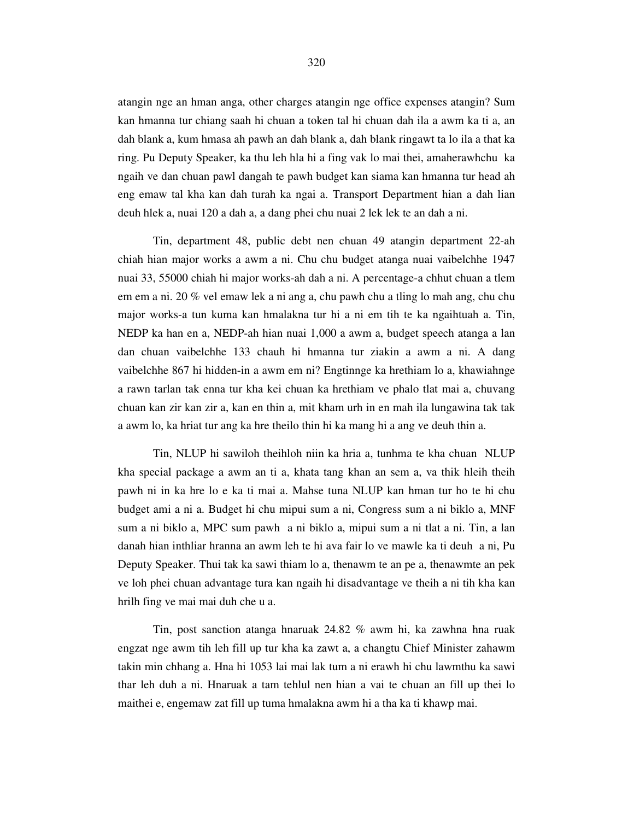atangin nge an hman anga, other charges atangin nge office expenses atangin? Sum kan hmanna tur chiang saah hi chuan a token tal hi chuan dah ila a awm ka ti a, an dah blank a, kum hmasa ah pawh an dah blank a, dah blank ringawt ta lo ila a that ka ring. Pu Deputy Speaker, ka thu leh hla hi a fing vak lo mai thei, amaherawhchu ka ngaih ve dan chuan pawl dangah te pawh budget kan siama kan hmanna tur head ah eng emaw tal kha kan dah turah ka ngai a. Transport Department hian a dah lian deuh hlek a, nuai 120 a dah a, a dang phei chu nuai 2 lek lek te an dah a ni.

 Tin, department 48, public debt nen chuan 49 atangin department 22-ah chiah hian major works a awm a ni. Chu chu budget atanga nuai vaibelchhe 1947 nuai 33, 55000 chiah hi major works-ah dah a ni. A percentage-a chhut chuan a tlem em em a ni. 20 % vel emaw lek a ni ang a, chu pawh chu a tling lo mah ang, chu chu major works-a tun kuma kan hmalakna tur hi a ni em tih te ka ngaihtuah a. Tin, NEDP ka han en a, NEDP-ah hian nuai 1,000 a awm a, budget speech atanga a lan dan chuan vaibelchhe 133 chauh hi hmanna tur ziakin a awm a ni. A dang vaibelchhe 867 hi hidden-in a awm em ni? Engtinnge ka hrethiam lo a, khawiahnge a rawn tarlan tak enna tur kha kei chuan ka hrethiam ve phalo tlat mai a, chuvang chuan kan zir kan zir a, kan en thin a, mit kham urh in en mah ila lungawina tak tak a awm lo, ka hriat tur ang ka hre theilo thin hi ka mang hi a ang ve deuh thin a.

 Tin, NLUP hi sawiloh theihloh niin ka hria a, tunhma te kha chuan NLUP kha special package a awm an ti a, khata tang khan an sem a, va thik hleih theih pawh ni in ka hre lo e ka ti mai a. Mahse tuna NLUP kan hman tur ho te hi chu budget ami a ni a. Budget hi chu mipui sum a ni, Congress sum a ni biklo a, MNF sum a ni biklo a, MPC sum pawh a ni biklo a, mipui sum a ni tlat a ni. Tin, a lan danah hian inthliar hranna an awm leh te hi ava fair lo ve mawle ka ti deuh a ni, Pu Deputy Speaker. Thui tak ka sawi thiam lo a, thenawm te an pe a, thenawmte an pek ve loh phei chuan advantage tura kan ngaih hi disadvantage ve theih a ni tih kha kan hrilh fing ve mai mai duh che u a.

 Tin, post sanction atanga hnaruak 24.82 % awm hi, ka zawhna hna ruak engzat nge awm tih leh fill up tur kha ka zawt a, a changtu Chief Minister zahawm takin min chhang a. Hna hi 1053 lai mai lak tum a ni erawh hi chu lawmthu ka sawi thar leh duh a ni. Hnaruak a tam tehlul nen hian a vai te chuan an fill up thei lo maithei e, engemaw zat fill up tuma hmalakna awm hi a tha ka ti khawp mai.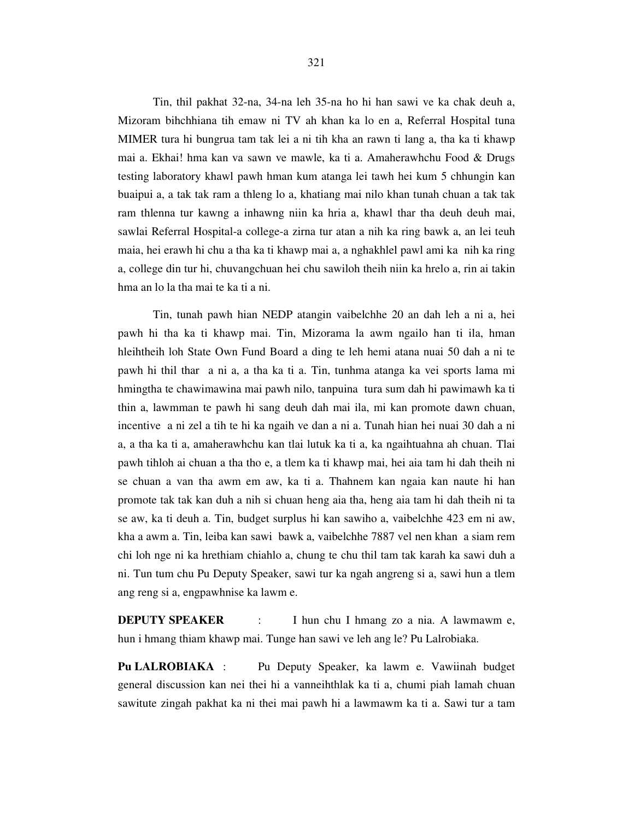Tin, thil pakhat 32-na, 34-na leh 35-na ho hi han sawi ve ka chak deuh a, Mizoram bihchhiana tih emaw ni TV ah khan ka lo en a, Referral Hospital tuna MIMER tura hi bungrua tam tak lei a ni tih kha an rawn ti lang a, tha ka ti khawp mai a. Ekhai! hma kan va sawn ve mawle, ka ti a. Amaherawhchu Food & Drugs testing laboratory khawl pawh hman kum atanga lei tawh hei kum 5 chhungin kan buaipui a, a tak tak ram a thleng lo a, khatiang mai nilo khan tunah chuan a tak tak ram thlenna tur kawng a inhawng niin ka hria a, khawl thar tha deuh deuh mai, sawlai Referral Hospital-a college-a zirna tur atan a nih ka ring bawk a, an lei teuh maia, hei erawh hi chu a tha ka ti khawp mai a, a nghakhlel pawl ami ka nih ka ring a, college din tur hi, chuvangchuan hei chu sawiloh theih niin ka hrelo a, rin ai takin hma an lo la tha mai te ka ti a ni.

 Tin, tunah pawh hian NEDP atangin vaibelchhe 20 an dah leh a ni a, hei pawh hi tha ka ti khawp mai. Tin, Mizorama la awm ngailo han ti ila, hman hleihtheih loh State Own Fund Board a ding te leh hemi atana nuai 50 dah a ni te pawh hi thil thar a ni a, a tha ka ti a. Tin, tunhma atanga ka vei sports lama mi hmingtha te chawimawina mai pawh nilo, tanpuina tura sum dah hi pawimawh ka ti thin a, lawmman te pawh hi sang deuh dah mai ila, mi kan promote dawn chuan, incentive a ni zel a tih te hi ka ngaih ve dan a ni a. Tunah hian hei nuai 30 dah a ni a, a tha ka ti a, amaherawhchu kan tlai lutuk ka ti a, ka ngaihtuahna ah chuan. Tlai pawh tihloh ai chuan a tha tho e, a tlem ka ti khawp mai, hei aia tam hi dah theih ni se chuan a van tha awm em aw, ka ti a. Thahnem kan ngaia kan naute hi han promote tak tak kan duh a nih si chuan heng aia tha, heng aia tam hi dah theih ni ta se aw, ka ti deuh a. Tin, budget surplus hi kan sawiho a, vaibelchhe 423 em ni aw, kha a awm a. Tin, leiba kan sawi bawk a, vaibelchhe 7887 vel nen khan a siam rem chi loh nge ni ka hrethiam chiahlo a, chung te chu thil tam tak karah ka sawi duh a ni. Tun tum chu Pu Deputy Speaker, sawi tur ka ngah angreng si a, sawi hun a tlem ang reng si a, engpawhnise ka lawm e.

**DEPUTY SPEAKER** : I hun chu I hmang zo a nia. A lawmawm e, hun i hmang thiam khawp mai. Tunge han sawi ve leh ang le? Pu Lalrobiaka.

**Pu LALROBIAKA** : Pu Deputy Speaker, ka lawm e. Vawiinah budget general discussion kan nei thei hi a vanneihthlak ka ti a, chumi piah lamah chuan sawitute zingah pakhat ka ni thei mai pawh hi a lawmawm ka ti a. Sawi tur a tam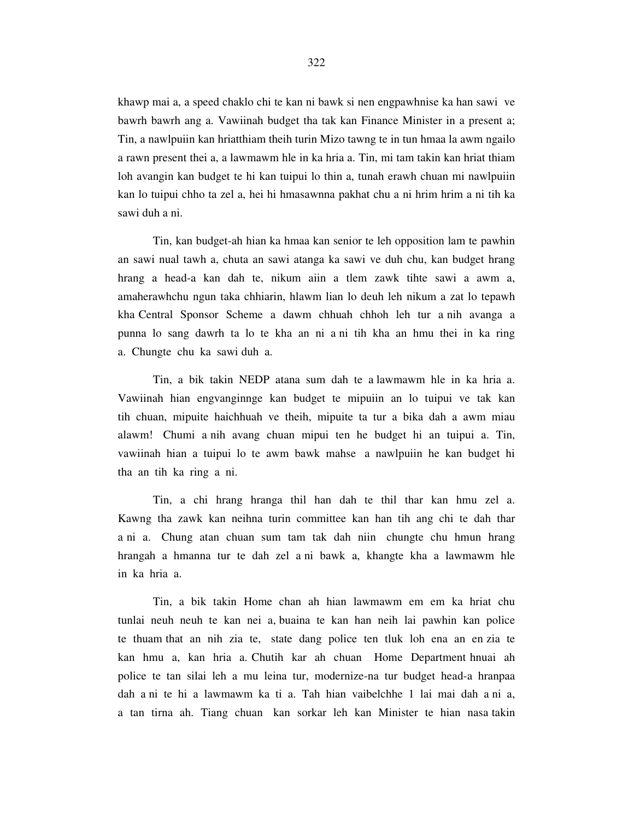khawp mai a, a speed chaklo chi te kan ni bawk si nen engpawhnise ka han sawi ve bawrh bawrh ang a. Vawiinah budget tha tak kan Finance Minister in a present a; Tin, a nawlpuiin kan hriatthiam theih turin Mizo tawng te in tun hmaa la awm ngailo a rawn present thei a, a lawmawm hle in ka hria a. Tin, mi tam takin kan hriat thiam loh avangin kan budget te hi kan tuipui lo thin a, tunah erawh chuan mi nawlpuiin kan lo tuipui chho ta zel a, hei hi hmasawnna pakhat chu a ni hrim hrim a ni tih ka sawi duh a ni.

 Tin, kan budget-ah hian ka hmaa kan senior te leh opposition lam te pawhin an sawi nual tawh a, chuta an sawi atanga ka sawi ve duh chu, kan budget hrang hrang a head-a kan dah te, nikum aiin a tlem zawk tihte sawi a awm a, amaherawhchu ngun taka chhiarin, hlawm lian lo deuh leh nikum a zat lo tepawh kha Central Sponsor Scheme a dawm chhuah chhoh leh tur a nih avanga a punna lo sang dawrh ta lo te kha an ni a ni tih kha an hmu thei in ka ring a. Chungte chu ka sawi duh a.

 Tin, a bik takin NEDP atana sum dah te a lawmawm hle in ka hria a. Vawiinah hian engvanginnge kan budget te mipuiin an lo tuipui ve tak kan tih chuan, mipuite haichhuah ve theih, mipuite ta tur a bika dah a awm miau alawm! Chumi a nih avang chuan mipui ten he budget hi an tuipui a. Tin, vawiinah hian a tuipui lo te awm bawk mahse a nawlpuiin he kan budget hi tha an tih ka ring a ni.

 Tin, a chi hrang hranga thil han dah te thil thar kan hmu zel a. Kawng tha zawk kan neihna turin committee kan han tih ang chi te dah thar a ni a. Chung atan chuan sum tam tak dah niin chungte chu hmun hrang hrangah a hmanna tur te dah zel a ni bawk a, khangte kha a lawmawm hle in ka hria a.

 Tin, a bik takin Home chan ah hian lawmawm em em ka hriat chu tunlai neuh neuh te kan nei a, buaina te kan han neih lai pawhin kan police te thuam that an nih zia te, state dang police ten tluk loh ena an en zia te kan hmu a, kan hria a. Chutih kar ah chuan Home Department hnuai ah police te tan silai leh a mu leina tur, modernize-na tur budget head-a hranpaa dah a ni te hi a lawmawm ka ti a. Tah hian vaibelchhe 1 lai mai dah a ni a, a tan tirna ah. Tiang chuan kan sorkar leh kan Minister te hian nasa takin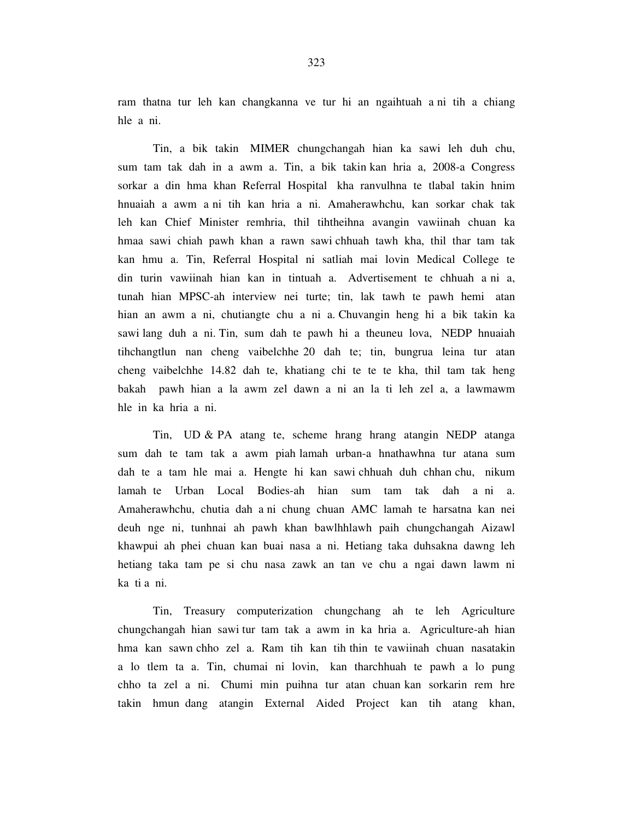ram thatna tur leh kan changkanna ve tur hi an ngaihtuah a ni tih a chiang hle a ni.

 Tin, a bik takin MIMER chungchangah hian ka sawi leh duh chu, sum tam tak dah in a awm a. Tin, a bik takin kan hria a, 2008-a Congress sorkar a din hma khan Referral Hospital kha ranvulhna te tlabal takin hnim hnuaiah a awm a ni tih kan hria a ni. Amaherawhchu, kan sorkar chak tak leh kan Chief Minister remhria, thil tihtheihna avangin vawiinah chuan ka hmaa sawi chiah pawh khan a rawn sawi chhuah tawh kha, thil thar tam tak kan hmu a. Tin, Referral Hospital ni satliah mai lovin Medical College te din turin vawiinah hian kan in tintuah a. Advertisement te chhuah a ni a, tunah hian MPSC-ah interview nei turte; tin, lak tawh te pawh hemi atan hian an awm a ni, chutiangte chu a ni a. Chuvangin heng hi a bik takin ka sawi lang duh a ni. Tin, sum dah te pawh hi a theuneu lova, NEDP hnuaiah tihchangtlun nan cheng vaibelchhe 20 dah te; tin, bungrua leina tur atan cheng vaibelchhe 14.82 dah te, khatiang chi te te te kha, thil tam tak heng bakah pawh hian a la awm zel dawn a ni an la ti leh zel a, a lawmawm hle in ka hria a ni.

 Tin, UD & PA atang te, scheme hrang hrang atangin NEDP atanga sum dah te tam tak a awm piah lamah urban-a hnathawhna tur atana sum dah te a tam hle mai a. Hengte hi kan sawi chhuah duh chhan chu, nikum lamah te Urban Local Bodies-ah hian sum tam tak dah a ni a. Amaherawhchu, chutia dah a ni chung chuan AMC lamah te harsatna kan nei deuh nge ni, tunhnai ah pawh khan bawlhhlawh paih chungchangah Aizawl khawpui ah phei chuan kan buai nasa a ni. Hetiang taka duhsakna dawng leh hetiang taka tam pe si chu nasa zawk an tan ve chu a ngai dawn lawm ni ka ti a ni.

 Tin, Treasury computerization chungchang ah te leh Agriculture chungchangah hian sawi tur tam tak a awm in ka hria a. Agriculture-ah hian hma kan sawn chho zel a. Ram tih kan tih thin te vawiinah chuan nasatakin a lo tlem ta a. Tin, chumai ni lovin, kan tharchhuah te pawh a lo pung chho ta zel a ni. Chumi min puihna tur atan chuan kan sorkarin rem hre takin hmun dang atangin External Aided Project kan tih atang khan,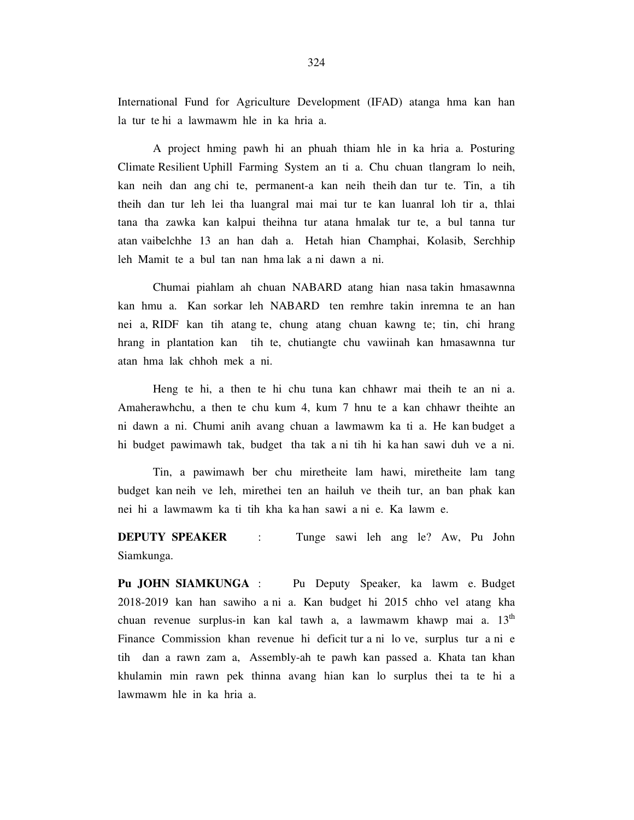International Fund for Agriculture Development (IFAD) atanga hma kan han la tur te hi a lawmawm hle in ka hria a.

 A project hming pawh hi an phuah thiam hle in ka hria a. Posturing Climate Resilient Uphill Farming System an ti a. Chu chuan tlangram lo neih, kan neih dan ang chi te, permanent-a kan neih theih dan tur te. Tin, a tih theih dan tur leh lei tha luangral mai mai tur te kan luanral loh tir a, thlai tana tha zawka kan kalpui theihna tur atana hmalak tur te, a bul tanna tur atan vaibelchhe 13 an han dah a. Hetah hian Champhai, Kolasib, Serchhip leh Mamit te a bul tan nan hma lak a ni dawn a ni.

 Chumai piahlam ah chuan NABARD atang hian nasa takin hmasawnna kan hmu a. Kan sorkar leh NABARD ten remhre takin inremna te an han nei a, RIDF kan tih atang te, chung atang chuan kawng te; tin, chi hrang hrang in plantation kan tih te, chutiangte chu vawiinah kan hmasawnna tur atan hma lak chhoh mek a ni.

 Heng te hi, a then te hi chu tuna kan chhawr mai theih te an ni a. Amaherawhchu, a then te chu kum 4, kum 7 hnu te a kan chhawr theihte an ni dawn a ni. Chumi anih avang chuan a lawmawm ka ti a. He kan budget a hi budget pawimawh tak, budget tha tak a ni tih hi ka han sawi duh ve a ni.

 Tin, a pawimawh ber chu miretheite lam hawi, miretheite lam tang budget kan neih ve leh, mirethei ten an hailuh ve theih tur, an ban phak kan nei hi a lawmawm ka ti tih kha ka han sawi a ni e. Ka lawm e.

**DEPUTY SPEAKER** : Tunge sawi leh ang le? Aw, Pu John Siamkunga.

**Pu JOHN SIAMKUNGA** : Pu Deputy Speaker, ka lawm e. Budget 2018-2019 kan han sawiho a ni a. Kan budget hi 2015 chho vel atang kha chuan revenue surplus-in kan kal tawh a, a lawmawm khawp mai a.  $13<sup>th</sup>$ Finance Commission khan revenue hi deficit tur a ni lo ve, surplus tur a ni e tih dan a rawn zam a, Assembly-ah te pawh kan passed a. Khata tan khan khulamin min rawn pek thinna avang hian kan lo surplus thei ta te hi a lawmawm hle in ka hria a.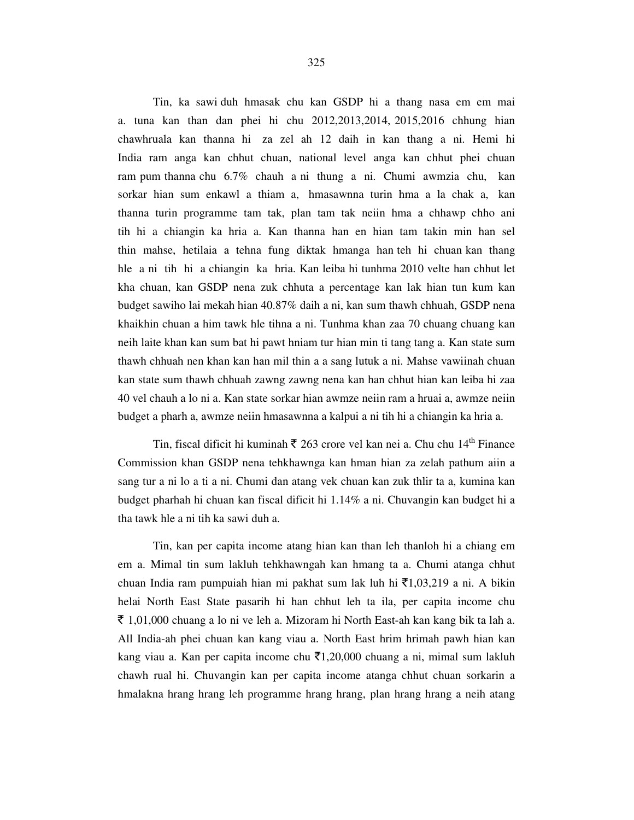Tin, ka sawi duh hmasak chu kan GSDP hi a thang nasa em em mai a. tuna kan than dan phei hi chu 2012,2013,2014, 2015,2016 chhung hian chawhruala kan thanna hi za zel ah 12 daih in kan thang a ni. Hemi hi India ram anga kan chhut chuan, national level anga kan chhut phei chuan ram pum thanna chu 6.7% chauh a ni thung a ni. Chumi awmzia chu, kan sorkar hian sum enkawl a thiam a, hmasawnna turin hma a la chak a, kan thanna turin programme tam tak, plan tam tak neiin hma a chhawp chho ani tih hi a chiangin ka hria a. Kan thanna han en hian tam takin min han sel thin mahse, hetilaia a tehna fung diktak hmanga han teh hi chuan kan thang hle a ni tih hi a chiangin ka hria. Kan leiba hi tunhma 2010 velte han chhut let kha chuan, kan GSDP nena zuk chhuta a percentage kan lak hian tun kum kan budget sawiho lai mekah hian 40.87% daih a ni, kan sum thawh chhuah, GSDP nena khaikhin chuan a him tawk hle tihna a ni. Tunhma khan zaa 70 chuang chuang kan neih laite khan kan sum bat hi pawt hniam tur hian min ti tang tang a. Kan state sum thawh chhuah nen khan kan han mil thin a a sang lutuk a ni. Mahse vawiinah chuan kan state sum thawh chhuah zawng zawng nena kan han chhut hian kan leiba hi zaa 40 vel chauh a lo ni a. Kan state sorkar hian awmze neiin ram a hruai a, awmze neiin budget a pharh a, awmze neiin hmasawnna a kalpui a ni tih hi a chiangin ka hria a.

Tin, fiscal dificit hi kuminah  $\bar{\tau}$  263 crore vel kan nei a. Chu chu 14<sup>th</sup> Finance Commission khan GSDP nena tehkhawnga kan hman hian za zelah pathum aiin a sang tur a ni lo a ti a ni. Chumi dan atang vek chuan kan zuk thlir ta a, kumina kan budget pharhah hi chuan kan fiscal dificit hi 1.14% a ni. Chuvangin kan budget hi a tha tawk hle a ni tih ka sawi duh a.

 Tin, kan per capita income atang hian kan than leh thanloh hi a chiang em em a. Mimal tin sum lakluh tehkhawngah kan hmang ta a. Chumi atanga chhut chuan India ram pumpuiah hian mi pakhat sum lak luh hi  $\bar{\tau}1,03,219$  a ni. A bikin helai North East State pasarih hi han chhut leh ta ila, per capita income chu  $\bar{\xi}$  1,01,000 chuang a lo ni ve leh a. Mizoram hi North East-ah kan kang bik ta lah a. All India-ah phei chuan kan kang viau a. North East hrim hrimah pawh hian kan kang viau a. Kan per capita income chu  $\bar{\tau}1,20,000$  chuang a ni, mimal sum lakluh chawh rual hi. Chuvangin kan per capita income atanga chhut chuan sorkarin a hmalakna hrang hrang leh programme hrang hrang, plan hrang hrang a neih atang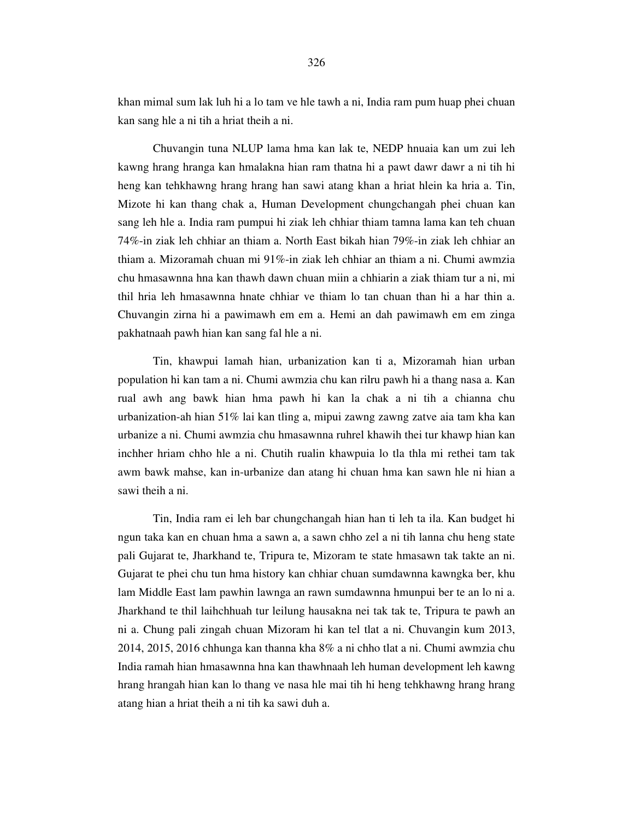khan mimal sum lak luh hi a lo tam ve hle tawh a ni, India ram pum huap phei chuan kan sang hle a ni tih a hriat theih a ni.

 Chuvangin tuna NLUP lama hma kan lak te, NEDP hnuaia kan um zui leh kawng hrang hranga kan hmalakna hian ram thatna hi a pawt dawr dawr a ni tih hi heng kan tehkhawng hrang hrang han sawi atang khan a hriat hlein ka hria a. Tin, Mizote hi kan thang chak a, Human Development chungchangah phei chuan kan sang leh hle a. India ram pumpui hi ziak leh chhiar thiam tamna lama kan teh chuan 74%-in ziak leh chhiar an thiam a. North East bikah hian 79%-in ziak leh chhiar an thiam a. Mizoramah chuan mi 91%-in ziak leh chhiar an thiam a ni. Chumi awmzia chu hmasawnna hna kan thawh dawn chuan miin a chhiarin a ziak thiam tur a ni, mi thil hria leh hmasawnna hnate chhiar ve thiam lo tan chuan than hi a har thin a. Chuvangin zirna hi a pawimawh em em a. Hemi an dah pawimawh em em zinga pakhatnaah pawh hian kan sang fal hle a ni.

 Tin, khawpui lamah hian, urbanization kan ti a, Mizoramah hian urban population hi kan tam a ni. Chumi awmzia chu kan rilru pawh hi a thang nasa a. Kan rual awh ang bawk hian hma pawh hi kan la chak a ni tih a chianna chu urbanization-ah hian 51% lai kan tling a, mipui zawng zawng zatve aia tam kha kan urbanize a ni. Chumi awmzia chu hmasawnna ruhrel khawih thei tur khawp hian kan inchher hriam chho hle a ni. Chutih rualin khawpuia lo tla thla mi rethei tam tak awm bawk mahse, kan in-urbanize dan atang hi chuan hma kan sawn hle ni hian a sawi theih a ni.

 Tin, India ram ei leh bar chungchangah hian han ti leh ta ila. Kan budget hi ngun taka kan en chuan hma a sawn a, a sawn chho zel a ni tih lanna chu heng state pali Gujarat te, Jharkhand te, Tripura te, Mizoram te state hmasawn tak takte an ni. Gujarat te phei chu tun hma history kan chhiar chuan sumdawnna kawngka ber, khu lam Middle East lam pawhin lawnga an rawn sumdawnna hmunpui ber te an lo ni a. Jharkhand te thil laihchhuah tur leilung hausakna nei tak tak te, Tripura te pawh an ni a. Chung pali zingah chuan Mizoram hi kan tel tlat a ni. Chuvangin kum 2013, 2014, 2015, 2016 chhunga kan thanna kha 8% a ni chho tlat a ni. Chumi awmzia chu India ramah hian hmasawnna hna kan thawhnaah leh human development leh kawng hrang hrangah hian kan lo thang ve nasa hle mai tih hi heng tehkhawng hrang hrang atang hian a hriat theih a ni tih ka sawi duh a.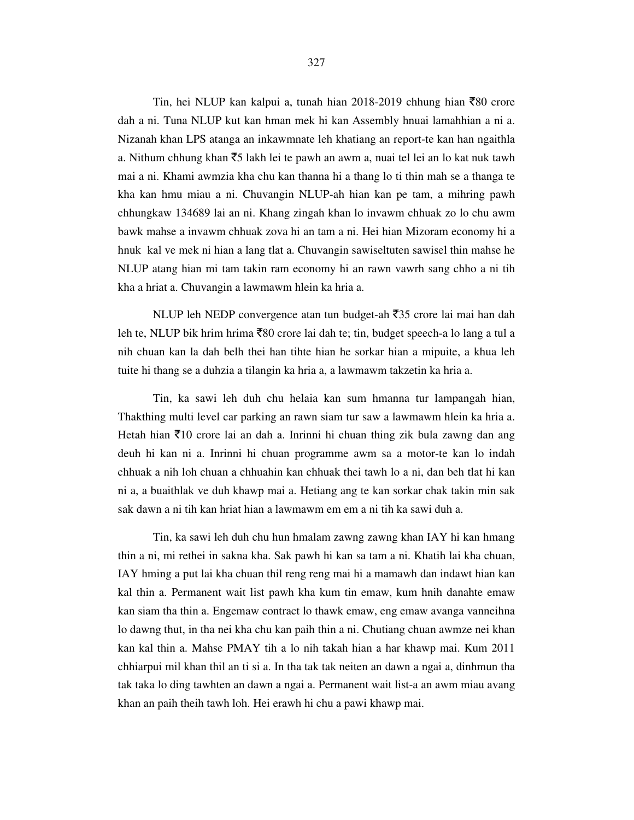Tin, hei NLUP kan kalpui a, tunah hian 2018-2019 chhung hian  $\bar{z}80$  crore dah a ni. Tuna NLUP kut kan hman mek hi kan Assembly hnuai lamahhian a ni a. Nizanah khan LPS atanga an inkawmnate leh khatiang an report-te kan han ngaithla a. Nithum chhung khan  $\bar{z}$ 5 lakh lei te pawh an awm a, nuai tel lei an lo kat nuk tawh mai a ni. Khami awmzia kha chu kan thanna hi a thang lo ti thin mah se a thanga te kha kan hmu miau a ni. Chuvangin NLUP-ah hian kan pe tam, a mihring pawh chhungkaw 134689 lai an ni. Khang zingah khan lo invawm chhuak zo lo chu awm bawk mahse a invawm chhuak zova hi an tam a ni. Hei hian Mizoram economy hi a hnuk kal ve mek ni hian a lang tlat a. Chuvangin sawiseltuten sawisel thin mahse he NLUP atang hian mi tam takin ram economy hi an rawn vawrh sang chho a ni tih kha a hriat a. Chuvangin a lawmawm hlein ka hria a.

NLUP leh NEDP convergence atan tun budget-ah  $\overline{3}35$  crore lai mai han dah leh te, NLUP bik hrim hrima  $\bar{8}80$  crore lai dah te; tin, budget speech-a lo lang a tul a nih chuan kan la dah belh thei han tihte hian he sorkar hian a mipuite, a khua leh tuite hi thang se a duhzia a tilangin ka hria a, a lawmawm takzetin ka hria a.

 Tin, ka sawi leh duh chu helaia kan sum hmanna tur lampangah hian, Thakthing multi level car parking an rawn siam tur saw a lawmawm hlein ka hria a. Hetah hian  $\bar{\tau}$ 10 crore lai an dah a. Inrinni hi chuan thing zik bula zawng dan ang deuh hi kan ni a. Inrinni hi chuan programme awm sa a motor-te kan lo indah chhuak a nih loh chuan a chhuahin kan chhuak thei tawh lo a ni, dan beh tlat hi kan ni a, a buaithlak ve duh khawp mai a. Hetiang ang te kan sorkar chak takin min sak sak dawn a ni tih kan hriat hian a lawmawm em em a ni tih ka sawi duh a.

 Tin, ka sawi leh duh chu hun hmalam zawng zawng khan IAY hi kan hmang thin a ni, mi rethei in sakna kha. Sak pawh hi kan sa tam a ni. Khatih lai kha chuan, IAY hming a put lai kha chuan thil reng reng mai hi a mamawh dan indawt hian kan kal thin a. Permanent wait list pawh kha kum tin emaw, kum hnih danahte emaw kan siam tha thin a. Engemaw contract lo thawk emaw, eng emaw avanga vanneihna lo dawng thut, in tha nei kha chu kan paih thin a ni. Chutiang chuan awmze nei khan kan kal thin a. Mahse PMAY tih a lo nih takah hian a har khawp mai. Kum 2011 chhiarpui mil khan thil an ti si a. In tha tak tak neiten an dawn a ngai a, dinhmun tha tak taka lo ding tawhten an dawn a ngai a. Permanent wait list-a an awm miau avang khan an paih theih tawh loh. Hei erawh hi chu a pawi khawp mai.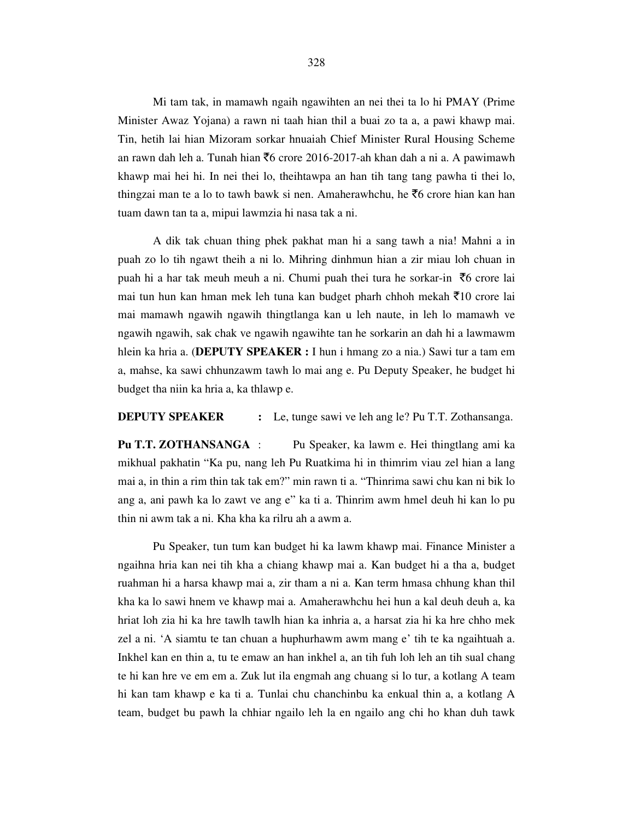Mi tam tak, in mamawh ngaih ngawihten an nei thei ta lo hi PMAY (Prime Minister Awaz Yojana) a rawn ni taah hian thil a buai zo ta a, a pawi khawp mai. Tin, hetih lai hian Mizoram sorkar hnuaiah Chief Minister Rural Housing Scheme an rawn dah leh a. Tunah hian  $\bar{\tau}6$  crore 2016-2017-ah khan dah a ni a. A pawimawh khawp mai hei hi. In nei thei lo, theihtawpa an han tih tang tang pawha ti thei lo, thingzai man te a lo to tawh bawk si nen. Amaherawhchu, he  $\bar{c}$ 6 crore hian kan han tuam dawn tan ta a, mipui lawmzia hi nasa tak a ni.

 A dik tak chuan thing phek pakhat man hi a sang tawh a nia! Mahni a in puah zo lo tih ngawt theih a ni lo. Mihring dinhmun hian a zir miau loh chuan in puah hi a har tak meuh meuh a ni. Chumi puah thei tura he sorkar-in  $\bar{z}$ 6 crore lai mai tun hun kan hman mek leh tuna kan budget pharh chhoh mekah  $\bar{\tau}$ 10 crore lai mai mamawh ngawih ngawih thingtlanga kan u leh naute, in leh lo mamawh ve ngawih ngawih, sak chak ve ngawih ngawihte tan he sorkarin an dah hi a lawmawm hlein ka hria a. (**DEPUTY SPEAKER :** I hun i hmang zo a nia.) Sawi tur a tam em a, mahse, ka sawi chhunzawm tawh lo mai ang e. Pu Deputy Speaker, he budget hi budget tha niin ka hria a, ka thlawp e.

### **DEPUTY SPEAKER** : Le, tunge sawi ve leh ang le? Pu T.T. Zothansanga.

**Pu T.T. ZOTHANSANGA** : Pu Speaker, ka lawm e. Hei thingtlang ami ka mikhual pakhatin "Ka pu, nang leh Pu Ruatkima hi in thimrim viau zel hian a lang mai a, in thin a rim thin tak tak em?" min rawn ti a. "Thinrima sawi chu kan ni bik lo ang a, ani pawh ka lo zawt ve ang e" ka ti a. Thinrim awm hmel deuh hi kan lo pu thin ni awm tak a ni. Kha kha ka rilru ah a awm a.

 Pu Speaker, tun tum kan budget hi ka lawm khawp mai. Finance Minister a ngaihna hria kan nei tih kha a chiang khawp mai a. Kan budget hi a tha a, budget ruahman hi a harsa khawp mai a, zir tham a ni a. Kan term hmasa chhung khan thil kha ka lo sawi hnem ve khawp mai a. Amaherawhchu hei hun a kal deuh deuh a, ka hriat loh zia hi ka hre tawlh tawlh hian ka inhria a, a harsat zia hi ka hre chho mek zel a ni. 'A siamtu te tan chuan a huphurhawm awm mang e' tih te ka ngaihtuah a. Inkhel kan en thin a, tu te emaw an han inkhel a, an tih fuh loh leh an tih sual chang te hi kan hre ve em em a. Zuk lut ila engmah ang chuang si lo tur, a kotlang A team hi kan tam khawp e ka ti a. Tunlai chu chanchinbu ka enkual thin a, a kotlang A team, budget bu pawh la chhiar ngailo leh la en ngailo ang chi ho khan duh tawk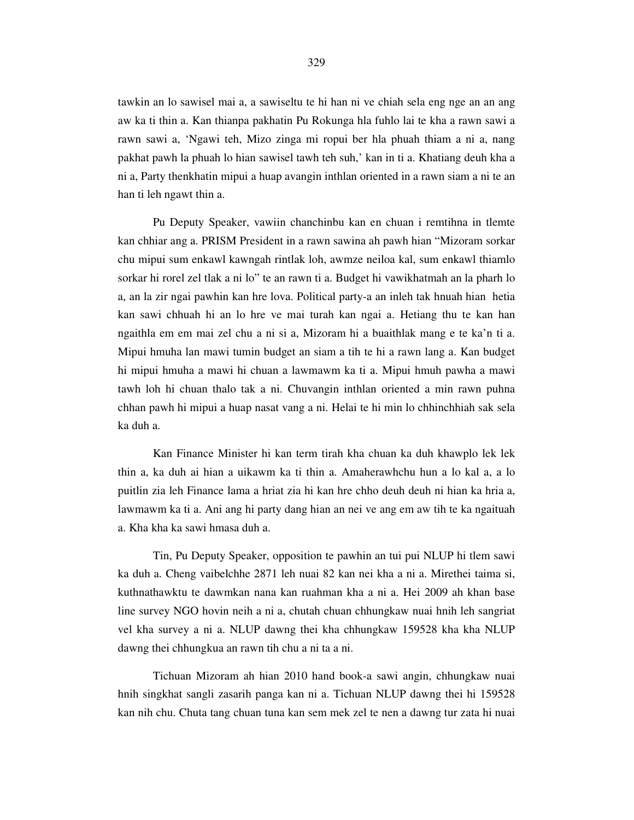tawkin an lo sawisel mai a, a sawiseltu te hi han ni ve chiah sela eng nge an an ang aw ka ti thin a. Kan thianpa pakhatin Pu Rokunga hla fuhlo lai te kha a rawn sawi a rawn sawi a, 'Ngawi teh, Mizo zinga mi ropui ber hla phuah thiam a ni a, nang pakhat pawh la phuah lo hian sawisel tawh teh suh,' kan in ti a. Khatiang deuh kha a ni a, Party thenkhatin mipui a huap avangin inthlan oriented in a rawn siam a ni te an han ti leh ngawt thin a.

 Pu Deputy Speaker, vawiin chanchinbu kan en chuan i remtihna in tlemte kan chhiar ang a. PRISM President in a rawn sawina ah pawh hian "Mizoram sorkar chu mipui sum enkawl kawngah rintlak loh, awmze neiloa kal, sum enkawl thiamlo sorkar hi rorel zel tlak a ni lo" te an rawn ti a. Budget hi vawikhatmah an la pharh lo a, an la zir ngai pawhin kan hre lova. Political party-a an inleh tak hnuah hian hetia kan sawi chhuah hi an lo hre ve mai turah kan ngai a. Hetiang thu te kan han ngaithla em em mai zel chu a ni si a, Mizoram hi a buaithlak mang e te ka'n ti a. Mipui hmuha lan mawi tumin budget an siam a tih te hi a rawn lang a. Kan budget hi mipui hmuha a mawi hi chuan a lawmawm ka ti a. Mipui hmuh pawha a mawi tawh loh hi chuan thalo tak a ni. Chuvangin inthlan oriented a min rawn puhna chhan pawh hi mipui a huap nasat vang a ni. Helai te hi min lo chhinchhiah sak sela ka duh a.

 Kan Finance Minister hi kan term tirah kha chuan ka duh khawplo lek lek thin a, ka duh ai hian a uikawm ka ti thin a. Amaherawhchu hun a lo kal a, a lo puitlin zia leh Finance lama a hriat zia hi kan hre chho deuh deuh ni hian ka hria a, lawmawm ka ti a. Ani ang hi party dang hian an nei ve ang em aw tih te ka ngaituah a. Kha kha ka sawi hmasa duh a.

 Tin, Pu Deputy Speaker, opposition te pawhin an tui pui NLUP hi tlem sawi ka duh a. Cheng vaibelchhe 2871 leh nuai 82 kan nei kha a ni a. Mirethei taima si, kuthnathawktu te dawmkan nana kan ruahman kha a ni a. Hei 2009 ah khan base line survey NGO hovin neih a ni a, chutah chuan chhungkaw nuai hnih leh sangriat vel kha survey a ni a. NLUP dawng thei kha chhungkaw 159528 kha kha NLUP dawng thei chhungkua an rawn tih chu a ni ta a ni.

 Tichuan Mizoram ah hian 2010 hand book-a sawi angin, chhungkaw nuai hnih singkhat sangli zasarih panga kan ni a. Tichuan NLUP dawng thei hi 159528 kan nih chu. Chuta tang chuan tuna kan sem mek zel te nen a dawng tur zata hi nuai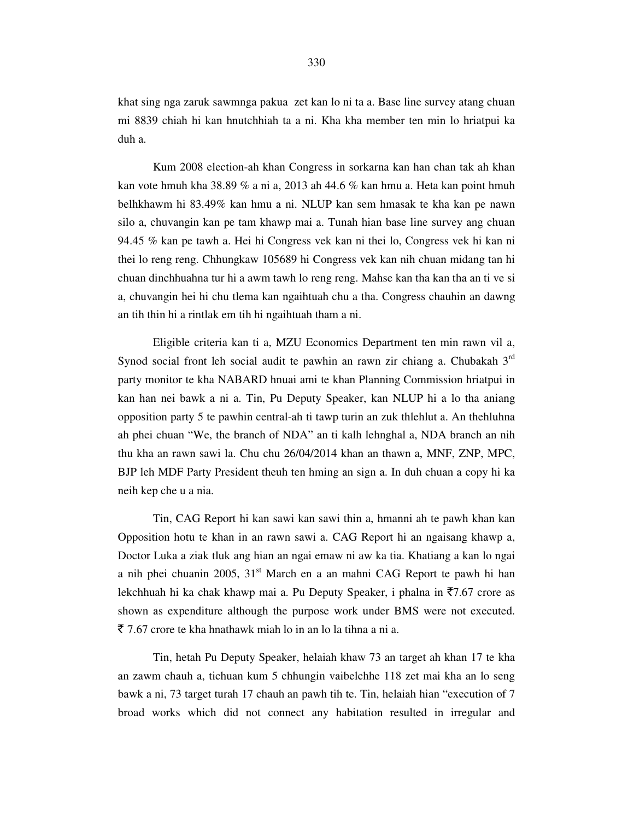khat sing nga zaruk sawmnga pakua zet kan lo ni ta a. Base line survey atang chuan mi 8839 chiah hi kan hnutchhiah ta a ni. Kha kha member ten min lo hriatpui ka duh a.

 Kum 2008 election-ah khan Congress in sorkarna kan han chan tak ah khan kan vote hmuh kha 38.89 % a ni a, 2013 ah 44.6 % kan hmu a. Heta kan point hmuh belhkhawm hi 83.49% kan hmu a ni. NLUP kan sem hmasak te kha kan pe nawn silo a, chuvangin kan pe tam khawp mai a. Tunah hian base line survey ang chuan 94.45 % kan pe tawh a. Hei hi Congress vek kan ni thei lo, Congress vek hi kan ni thei lo reng reng. Chhungkaw 105689 hi Congress vek kan nih chuan midang tan hi chuan dinchhuahna tur hi a awm tawh lo reng reng. Mahse kan tha kan tha an ti ve si a, chuvangin hei hi chu tlema kan ngaihtuah chu a tha. Congress chauhin an dawng an tih thin hi a rintlak em tih hi ngaihtuah tham a ni.

 Eligible criteria kan ti a, MZU Economics Department ten min rawn vil a, Synod social front leh social audit te pawhin an rawn zir chiang a. Chubakah 3<sup>rd</sup> party monitor te kha NABARD hnuai ami te khan Planning Commission hriatpui in kan han nei bawk a ni a. Tin, Pu Deputy Speaker, kan NLUP hi a lo tha aniang opposition party 5 te pawhin central-ah ti tawp turin an zuk thlehlut a. An thehluhna ah phei chuan "We, the branch of NDA" an ti kalh lehnghal a, NDA branch an nih thu kha an rawn sawi la. Chu chu 26/04/2014 khan an thawn a, MNF, ZNP, MPC, BJP leh MDF Party President theuh ten hming an sign a. In duh chuan a copy hi ka neih kep che u a nia.

 Tin, CAG Report hi kan sawi kan sawi thin a, hmanni ah te pawh khan kan Opposition hotu te khan in an rawn sawi a. CAG Report hi an ngaisang khawp a, Doctor Luka a ziak tluk ang hian an ngai emaw ni aw ka tia. Khatiang a kan lo ngai a nih phei chuanin 2005, 31<sup>st</sup> March en a an mahni CAG Report te pawh hi han lekchhuah hi ka chak khawp mai a. Pu Deputy Speaker, i phalna in  $\overline{57.67}$  crore as shown as expenditure although the purpose work under BMS were not executed.  $\bar{\xi}$  7.67 crore te kha hnathawk miah lo in an lo la tihna a ni a.

 Tin, hetah Pu Deputy Speaker, helaiah khaw 73 an target ah khan 17 te kha an zawm chauh a, tichuan kum 5 chhungin vaibelchhe 118 zet mai kha an lo seng bawk a ni, 73 target turah 17 chauh an pawh tih te. Tin, helaiah hian "execution of 7 broad works which did not connect any habitation resulted in irregular and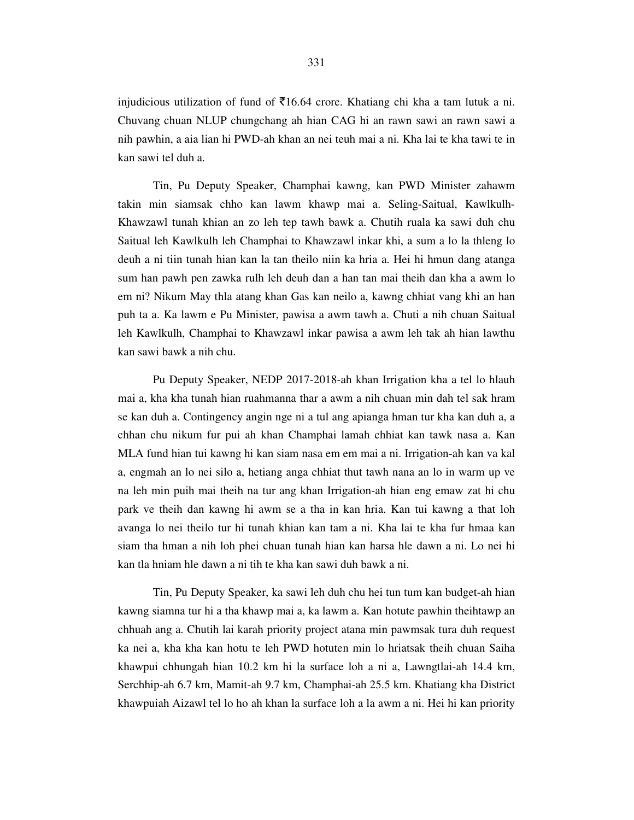injudicious utilization of fund of  $\overline{5}16.64$  crore. Khatiang chi kha a tam lutuk a ni. Chuvang chuan NLUP chungchang ah hian CAG hi an rawn sawi an rawn sawi a nih pawhin, a aia lian hi PWD-ah khan an nei teuh mai a ni. Kha lai te kha tawi te in kan sawi tel duh a.

 Tin, Pu Deputy Speaker, Champhai kawng, kan PWD Minister zahawm takin min siamsak chho kan lawm khawp mai a. Seling-Saitual, Kawlkulh-Khawzawl tunah khian an zo leh tep tawh bawk a. Chutih ruala ka sawi duh chu Saitual leh Kawlkulh leh Champhai to Khawzawl inkar khi, a sum a lo la thleng lo deuh a ni tiin tunah hian kan la tan theilo niin ka hria a. Hei hi hmun dang atanga sum han pawh pen zawka rulh leh deuh dan a han tan mai theih dan kha a awm lo em ni? Nikum May thla atang khan Gas kan neilo a, kawng chhiat vang khi an han puh ta a. Ka lawm e Pu Minister, pawisa a awm tawh a. Chuti a nih chuan Saitual leh Kawlkulh, Champhai to Khawzawl inkar pawisa a awm leh tak ah hian lawthu kan sawi bawk a nih chu.

 Pu Deputy Speaker, NEDP 2017-2018-ah khan Irrigation kha a tel lo hlauh mai a, kha kha tunah hian ruahmanna thar a awm a nih chuan min dah tel sak hram se kan duh a. Contingency angin nge ni a tul ang apianga hman tur kha kan duh a, a chhan chu nikum fur pui ah khan Champhai lamah chhiat kan tawk nasa a. Kan MLA fund hian tui kawng hi kan siam nasa em em mai a ni. Irrigation-ah kan va kal a, engmah an lo nei silo a, hetiang anga chhiat thut tawh nana an lo in warm up ve na leh min puih mai theih na tur ang khan Irrigation-ah hian eng emaw zat hi chu park ve theih dan kawng hi awm se a tha in kan hria. Kan tui kawng a that loh avanga lo nei theilo tur hi tunah khian kan tam a ni. Kha lai te kha fur hmaa kan siam tha hman a nih loh phei chuan tunah hian kan harsa hle dawn a ni. Lo nei hi kan tla hniam hle dawn a ni tih te kha kan sawi duh bawk a ni.

 Tin, Pu Deputy Speaker, ka sawi leh duh chu hei tun tum kan budget-ah hian kawng siamna tur hi a tha khawp mai a, ka lawm a. Kan hotute pawhin theihtawp an chhuah ang a. Chutih lai karah priority project atana min pawmsak tura duh request ka nei a, kha kha kan hotu te leh PWD hotuten min lo hriatsak theih chuan Saiha khawpui chhungah hian 10.2 km hi la surface loh a ni a, Lawngtlai-ah 14.4 km, Serchhip-ah 6.7 km, Mamit-ah 9.7 km, Champhai-ah 25.5 km. Khatiang kha District khawpuiah Aizawl tel lo ho ah khan la surface loh a la awm a ni. Hei hi kan priority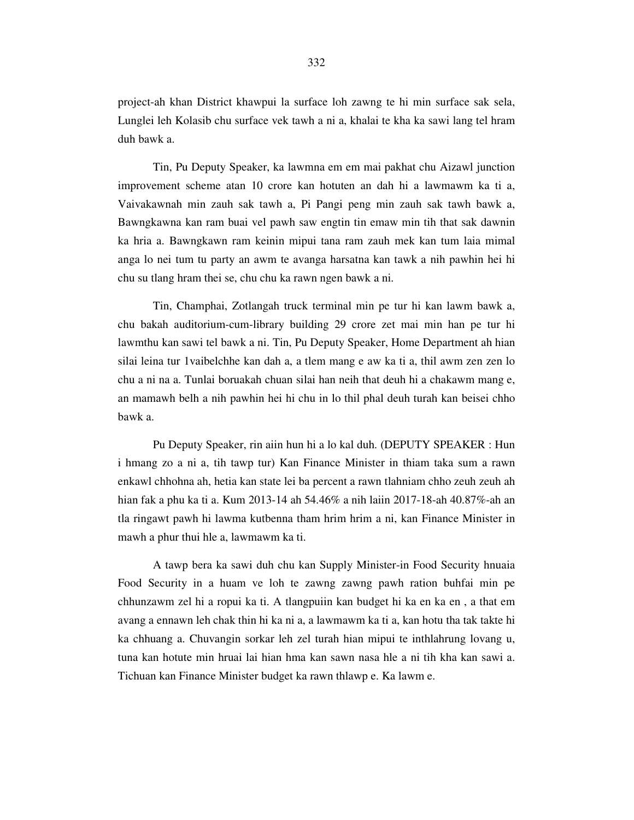project-ah khan District khawpui la surface loh zawng te hi min surface sak sela, Lunglei leh Kolasib chu surface vek tawh a ni a, khalai te kha ka sawi lang tel hram duh bawk a.

 Tin, Pu Deputy Speaker, ka lawmna em em mai pakhat chu Aizawl junction improvement scheme atan 10 crore kan hotuten an dah hi a lawmawm ka ti a, Vaivakawnah min zauh sak tawh a, Pi Pangi peng min zauh sak tawh bawk a, Bawngkawna kan ram buai vel pawh saw engtin tin emaw min tih that sak dawnin ka hria a. Bawngkawn ram keinin mipui tana ram zauh mek kan tum laia mimal anga lo nei tum tu party an awm te avanga harsatna kan tawk a nih pawhin hei hi chu su tlang hram thei se, chu chu ka rawn ngen bawk a ni.

 Tin, Champhai, Zotlangah truck terminal min pe tur hi kan lawm bawk a, chu bakah auditorium-cum-library building 29 crore zet mai min han pe tur hi lawmthu kan sawi tel bawk a ni. Tin, Pu Deputy Speaker, Home Department ah hian silai leina tur 1vaibelchhe kan dah a, a tlem mang e aw ka ti a, thil awm zen zen lo chu a ni na a. Tunlai boruakah chuan silai han neih that deuh hi a chakawm mang e, an mamawh belh a nih pawhin hei hi chu in lo thil phal deuh turah kan beisei chho bawk a.

 Pu Deputy Speaker, rin aiin hun hi a lo kal duh. (DEPUTY SPEAKER : Hun i hmang zo a ni a, tih tawp tur) Kan Finance Minister in thiam taka sum a rawn enkawl chhohna ah, hetia kan state lei ba percent a rawn tlahniam chho zeuh zeuh ah hian fak a phu ka ti a. Kum 2013-14 ah 54.46% a nih laiin 2017-18-ah 40.87%-ah an tla ringawt pawh hi lawma kutbenna tham hrim hrim a ni, kan Finance Minister in mawh a phur thui hle a, lawmawm ka ti.

 A tawp bera ka sawi duh chu kan Supply Minister-in Food Security hnuaia Food Security in a huam ve loh te zawng zawng pawh ration buhfai min pe chhunzawm zel hi a ropui ka ti. A tlangpuiin kan budget hi ka en ka en , a that em avang a ennawn leh chak thin hi ka ni a, a lawmawm ka ti a, kan hotu tha tak takte hi ka chhuang a. Chuvangin sorkar leh zel turah hian mipui te inthlahrung lovang u, tuna kan hotute min hruai lai hian hma kan sawn nasa hle a ni tih kha kan sawi a. Tichuan kan Finance Minister budget ka rawn thlawp e. Ka lawm e.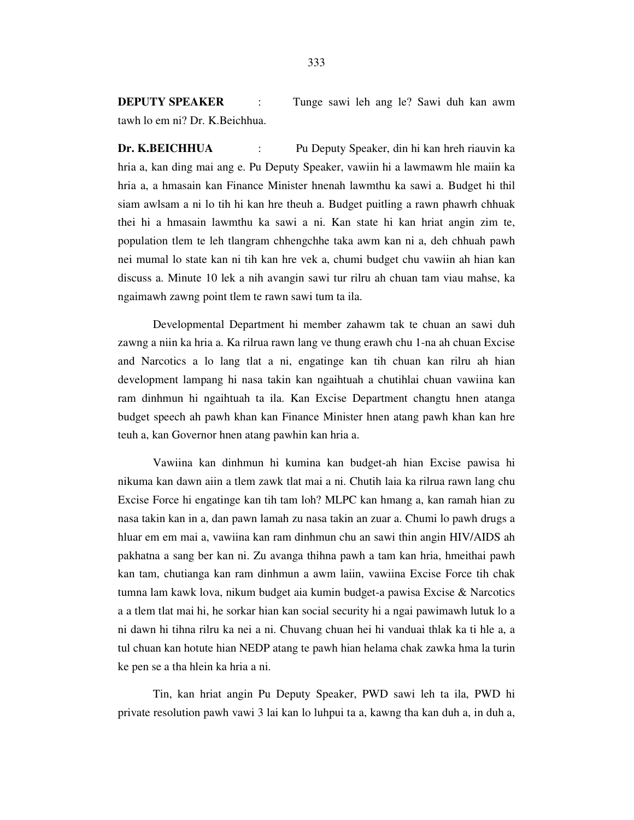**DEPUTY SPEAKER** : Tunge sawi leh ang le? Sawi duh kan awm tawh lo em ni? Dr. K.Beichhua.

**Dr. K.BEICHHUA** : Pu Deputy Speaker, din hi kan hreh riauvin ka hria a, kan ding mai ang e. Pu Deputy Speaker, vawiin hi a lawmawm hle maiin ka hria a, a hmasain kan Finance Minister hnenah lawmthu ka sawi a. Budget hi thil siam awlsam a ni lo tih hi kan hre theuh a. Budget puitling a rawn phawrh chhuak thei hi a hmasain lawmthu ka sawi a ni. Kan state hi kan hriat angin zim te, population tlem te leh tlangram chhengchhe taka awm kan ni a, deh chhuah pawh nei mumal lo state kan ni tih kan hre vek a, chumi budget chu vawiin ah hian kan discuss a. Minute 10 lek a nih avangin sawi tur rilru ah chuan tam viau mahse, ka ngaimawh zawng point tlem te rawn sawi tum ta ila.

 Developmental Department hi member zahawm tak te chuan an sawi duh zawng a niin ka hria a. Ka rilrua rawn lang ve thung erawh chu 1-na ah chuan Excise and Narcotics a lo lang tlat a ni, engatinge kan tih chuan kan rilru ah hian development lampang hi nasa takin kan ngaihtuah a chutihlai chuan vawiina kan ram dinhmun hi ngaihtuah ta ila. Kan Excise Department changtu hnen atanga budget speech ah pawh khan kan Finance Minister hnen atang pawh khan kan hre teuh a, kan Governor hnen atang pawhin kan hria a.

 Vawiina kan dinhmun hi kumina kan budget-ah hian Excise pawisa hi nikuma kan dawn aiin a tlem zawk tlat mai a ni. Chutih laia ka rilrua rawn lang chu Excise Force hi engatinge kan tih tam loh? MLPC kan hmang a, kan ramah hian zu nasa takin kan in a, dan pawn lamah zu nasa takin an zuar a. Chumi lo pawh drugs a hluar em em mai a, vawiina kan ram dinhmun chu an sawi thin angin HIV/AIDS ah pakhatna a sang ber kan ni. Zu avanga thihna pawh a tam kan hria, hmeithai pawh kan tam, chutianga kan ram dinhmun a awm laiin, vawiina Excise Force tih chak tumna lam kawk lova, nikum budget aia kumin budget-a pawisa Excise & Narcotics a a tlem tlat mai hi, he sorkar hian kan social security hi a ngai pawimawh lutuk lo a ni dawn hi tihna rilru ka nei a ni. Chuvang chuan hei hi vanduai thlak ka ti hle a, a tul chuan kan hotute hian NEDP atang te pawh hian helama chak zawka hma la turin ke pen se a tha hlein ka hria a ni.

 Tin, kan hriat angin Pu Deputy Speaker, PWD sawi leh ta ila, PWD hi private resolution pawh vawi 3 lai kan lo luhpui ta a, kawng tha kan duh a, in duh a,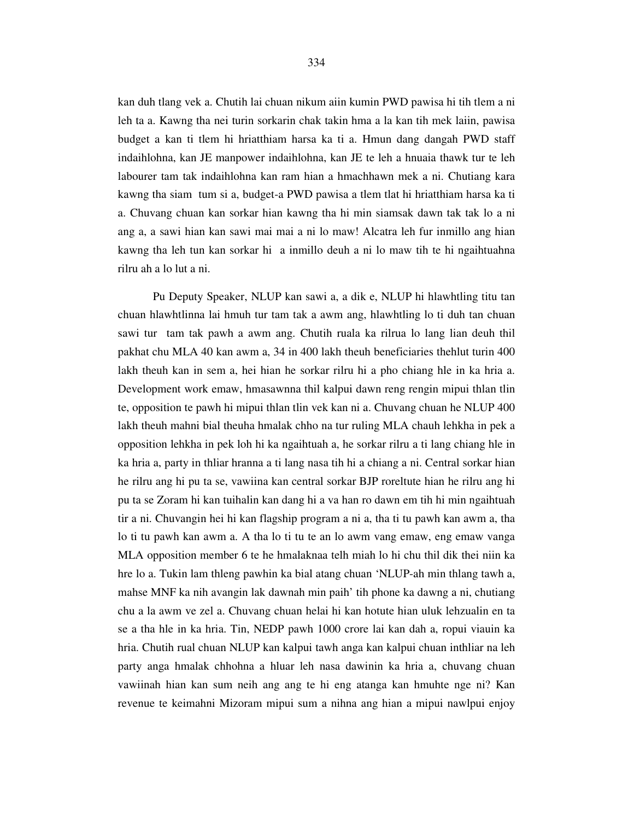kan duh tlang vek a. Chutih lai chuan nikum aiin kumin PWD pawisa hi tih tlem a ni leh ta a. Kawng tha nei turin sorkarin chak takin hma a la kan tih mek laiin, pawisa budget a kan ti tlem hi hriatthiam harsa ka ti a. Hmun dang dangah PWD staff indaihlohna, kan JE manpower indaihlohna, kan JE te leh a hnuaia thawk tur te leh labourer tam tak indaihlohna kan ram hian a hmachhawn mek a ni. Chutiang kara kawng tha siam tum si a, budget-a PWD pawisa a tlem tlat hi hriatthiam harsa ka ti a. Chuvang chuan kan sorkar hian kawng tha hi min siamsak dawn tak tak lo a ni ang a, a sawi hian kan sawi mai mai a ni lo maw! Alcatra leh fur inmillo ang hian kawng tha leh tun kan sorkar hi a inmillo deuh a ni lo maw tih te hi ngaihtuahna rilru ah a lo lut a ni.

 Pu Deputy Speaker, NLUP kan sawi a, a dik e, NLUP hi hlawhtling titu tan chuan hlawhtlinna lai hmuh tur tam tak a awm ang, hlawhtling lo ti duh tan chuan sawi tur tam tak pawh a awm ang. Chutih ruala ka rilrua lo lang lian deuh thil pakhat chu MLA 40 kan awm a, 34 in 400 lakh theuh beneficiaries thehlut turin 400 lakh theuh kan in sem a, hei hian he sorkar rilru hi a pho chiang hle in ka hria a. Development work emaw, hmasawnna thil kalpui dawn reng rengin mipui thlan tlin te, opposition te pawh hi mipui thlan tlin vek kan ni a. Chuvang chuan he NLUP 400 lakh theuh mahni bial theuha hmalak chho na tur ruling MLA chauh lehkha in pek a opposition lehkha in pek loh hi ka ngaihtuah a, he sorkar rilru a ti lang chiang hle in ka hria a, party in thliar hranna a ti lang nasa tih hi a chiang a ni. Central sorkar hian he rilru ang hi pu ta se, vawiina kan central sorkar BJP roreltute hian he rilru ang hi pu ta se Zoram hi kan tuihalin kan dang hi a va han ro dawn em tih hi min ngaihtuah tir a ni. Chuvangin hei hi kan flagship program a ni a, tha ti tu pawh kan awm a, tha lo ti tu pawh kan awm a. A tha lo ti tu te an lo awm vang emaw, eng emaw vanga MLA opposition member 6 te he hmalaknaa telh miah lo hi chu thil dik thei niin ka hre lo a. Tukin lam thleng pawhin ka bial atang chuan 'NLUP-ah min thlang tawh a, mahse MNF ka nih avangin lak dawnah min paih' tih phone ka dawng a ni, chutiang chu a la awm ve zel a. Chuvang chuan helai hi kan hotute hian uluk lehzualin en ta se a tha hle in ka hria. Tin, NEDP pawh 1000 crore lai kan dah a, ropui viauin ka hria. Chutih rual chuan NLUP kan kalpui tawh anga kan kalpui chuan inthliar na leh party anga hmalak chhohna a hluar leh nasa dawinin ka hria a, chuvang chuan vawiinah hian kan sum neih ang ang te hi eng atanga kan hmuhte nge ni? Kan revenue te keimahni Mizoram mipui sum a nihna ang hian a mipui nawlpui enjoy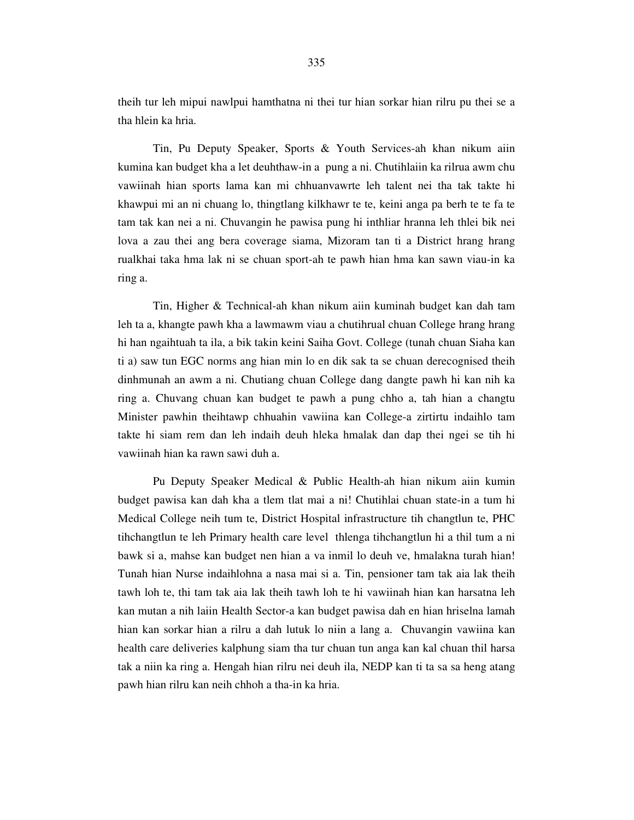theih tur leh mipui nawlpui hamthatna ni thei tur hian sorkar hian rilru pu thei se a tha hlein ka hria.

 Tin, Pu Deputy Speaker, Sports & Youth Services-ah khan nikum aiin kumina kan budget kha a let deuhthaw-in a pung a ni. Chutihlaiin ka rilrua awm chu vawiinah hian sports lama kan mi chhuanvawrte leh talent nei tha tak takte hi khawpui mi an ni chuang lo, thingtlang kilkhawr te te, keini anga pa berh te te fa te tam tak kan nei a ni. Chuvangin he pawisa pung hi inthliar hranna leh thlei bik nei lova a zau thei ang bera coverage siama, Mizoram tan ti a District hrang hrang rualkhai taka hma lak ni se chuan sport-ah te pawh hian hma kan sawn viau-in ka ring a.

 Tin, Higher & Technical-ah khan nikum aiin kuminah budget kan dah tam leh ta a, khangte pawh kha a lawmawm viau a chutihrual chuan College hrang hrang hi han ngaihtuah ta ila, a bik takin keini Saiha Govt. College (tunah chuan Siaha kan ti a) saw tun EGC norms ang hian min lo en dik sak ta se chuan derecognised theih dinhmunah an awm a ni. Chutiang chuan College dang dangte pawh hi kan nih ka ring a. Chuvang chuan kan budget te pawh a pung chho a, tah hian a changtu Minister pawhin theihtawp chhuahin vawiina kan College-a zirtirtu indaihlo tam takte hi siam rem dan leh indaih deuh hleka hmalak dan dap thei ngei se tih hi vawiinah hian ka rawn sawi duh a.

 Pu Deputy Speaker Medical & Public Health-ah hian nikum aiin kumin budget pawisa kan dah kha a tlem tlat mai a ni! Chutihlai chuan state-in a tum hi Medical College neih tum te, District Hospital infrastructure tih changtlun te, PHC tihchangtlun te leh Primary health care level thlenga tihchangtlun hi a thil tum a ni bawk si a, mahse kan budget nen hian a va inmil lo deuh ve, hmalakna turah hian! Tunah hian Nurse indaihlohna a nasa mai si a. Tin, pensioner tam tak aia lak theih tawh loh te, thi tam tak aia lak theih tawh loh te hi vawiinah hian kan harsatna leh kan mutan a nih laiin Health Sector-a kan budget pawisa dah en hian hriselna lamah hian kan sorkar hian a rilru a dah lutuk lo niin a lang a. Chuvangin vawiina kan health care deliveries kalphung siam tha tur chuan tun anga kan kal chuan thil harsa tak a niin ka ring a. Hengah hian rilru nei deuh ila, NEDP kan ti ta sa sa heng atang pawh hian rilru kan neih chhoh a tha-in ka hria.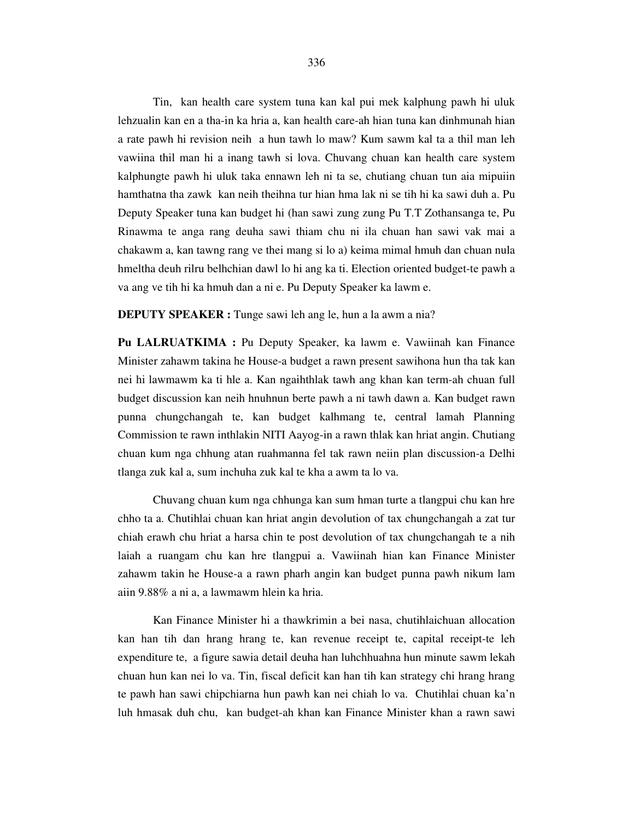Tin, kan health care system tuna kan kal pui mek kalphung pawh hi uluk lehzualin kan en a tha-in ka hria a, kan health care-ah hian tuna kan dinhmunah hian a rate pawh hi revision neih a hun tawh lo maw? Kum sawm kal ta a thil man leh vawiina thil man hi a inang tawh si lova. Chuvang chuan kan health care system kalphungte pawh hi uluk taka ennawn leh ni ta se, chutiang chuan tun aia mipuiin hamthatna tha zawk kan neih theihna tur hian hma lak ni se tih hi ka sawi duh a. Pu Deputy Speaker tuna kan budget hi (han sawi zung zung Pu T.T Zothansanga te, Pu Rinawma te anga rang deuha sawi thiam chu ni ila chuan han sawi vak mai a chakawm a, kan tawng rang ve thei mang si lo a) keima mimal hmuh dan chuan nula hmeltha deuh rilru belhchian dawl lo hi ang ka ti. Election oriented budget-te pawh a va ang ve tih hi ka hmuh dan a ni e. Pu Deputy Speaker ka lawm e.

**DEPUTY SPEAKER :** Tunge sawi leh ang le, hun a la awm a nia?

**Pu LALRUATKIMA :** Pu Deputy Speaker, ka lawm e. Vawiinah kan Finance Minister zahawm takina he House-a budget a rawn present sawihona hun tha tak kan nei hi lawmawm ka ti hle a. Kan ngaihthlak tawh ang khan kan term-ah chuan full budget discussion kan neih hnuhnun berte pawh a ni tawh dawn a. Kan budget rawn punna chungchangah te, kan budget kalhmang te, central lamah Planning Commission te rawn inthlakin NITI Aayog-in a rawn thlak kan hriat angin. Chutiang chuan kum nga chhung atan ruahmanna fel tak rawn neiin plan discussion-a Delhi tlanga zuk kal a, sum inchuha zuk kal te kha a awm ta lo va.

 Chuvang chuan kum nga chhunga kan sum hman turte a tlangpui chu kan hre chho ta a. Chutihlai chuan kan hriat angin devolution of tax chungchangah a zat tur chiah erawh chu hriat a harsa chin te post devolution of tax chungchangah te a nih laiah a ruangam chu kan hre tlangpui a. Vawiinah hian kan Finance Minister zahawm takin he House-a a rawn pharh angin kan budget punna pawh nikum lam aiin 9.88% a ni a, a lawmawm hlein ka hria.

 Kan Finance Minister hi a thawkrimin a bei nasa, chutihlaichuan allocation kan han tih dan hrang hrang te, kan revenue receipt te, capital receipt-te leh expenditure te, a figure sawia detail deuha han luhchhuahna hun minute sawm lekah chuan hun kan nei lo va. Tin, fiscal deficit kan han tih kan strategy chi hrang hrang te pawh han sawi chipchiarna hun pawh kan nei chiah lo va. Chutihlai chuan ka'n luh hmasak duh chu, kan budget-ah khan kan Finance Minister khan a rawn sawi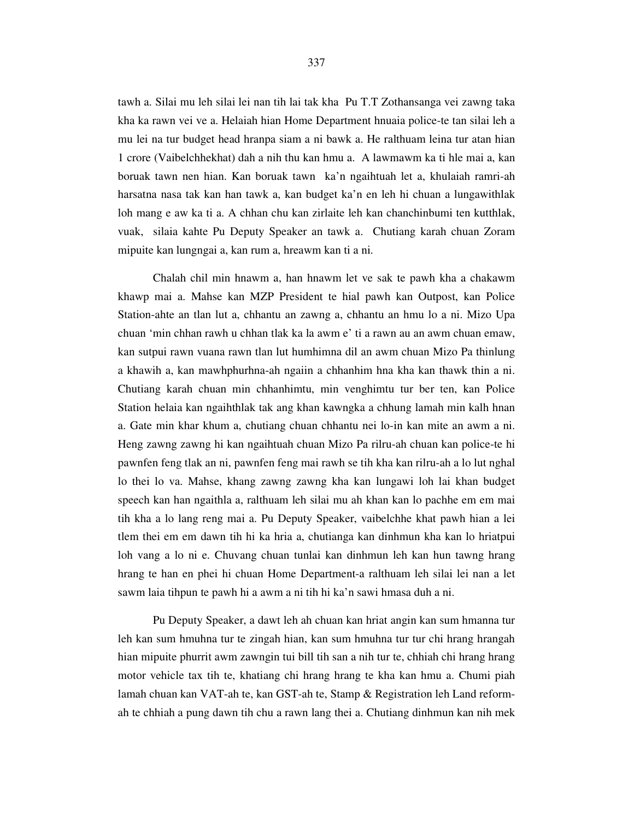tawh a. Silai mu leh silai lei nan tih lai tak kha Pu T.T Zothansanga vei zawng taka kha ka rawn vei ve a. Helaiah hian Home Department hnuaia police-te tan silai leh a mu lei na tur budget head hranpa siam a ni bawk a. He ralthuam leina tur atan hian 1 crore (Vaibelchhekhat) dah a nih thu kan hmu a. A lawmawm ka ti hle mai a, kan boruak tawn nen hian. Kan boruak tawn ka'n ngaihtuah let a, khulaiah ramri-ah harsatna nasa tak kan han tawk a, kan budget ka'n en leh hi chuan a lungawithlak loh mang e aw ka ti a. A chhan chu kan zirlaite leh kan chanchinbumi ten kutthlak, vuak, silaia kahte Pu Deputy Speaker an tawk a. Chutiang karah chuan Zoram mipuite kan lungngai a, kan rum a, hreawm kan ti a ni.

 Chalah chil min hnawm a, han hnawm let ve sak te pawh kha a chakawm khawp mai a. Mahse kan MZP President te hial pawh kan Outpost, kan Police Station-ahte an tlan lut a, chhantu an zawng a, chhantu an hmu lo a ni. Mizo Upa chuan 'min chhan rawh u chhan tlak ka la awm e' ti a rawn au an awm chuan emaw, kan sutpui rawn vuana rawn tlan lut humhimna dil an awm chuan Mizo Pa thinlung a khawih a, kan mawhphurhna-ah ngaiin a chhanhim hna kha kan thawk thin a ni. Chutiang karah chuan min chhanhimtu, min venghimtu tur ber ten, kan Police Station helaia kan ngaihthlak tak ang khan kawngka a chhung lamah min kalh hnan a. Gate min khar khum a, chutiang chuan chhantu nei lo-in kan mite an awm a ni. Heng zawng zawng hi kan ngaihtuah chuan Mizo Pa rilru-ah chuan kan police-te hi pawnfen feng tlak an ni, pawnfen feng mai rawh se tih kha kan rilru-ah a lo lut nghal lo thei lo va. Mahse, khang zawng zawng kha kan lungawi loh lai khan budget speech kan han ngaithla a, ralthuam leh silai mu ah khan kan lo pachhe em em mai tih kha a lo lang reng mai a. Pu Deputy Speaker, vaibelchhe khat pawh hian a lei tlem thei em em dawn tih hi ka hria a, chutianga kan dinhmun kha kan lo hriatpui loh vang a lo ni e. Chuvang chuan tunlai kan dinhmun leh kan hun tawng hrang hrang te han en phei hi chuan Home Department-a ralthuam leh silai lei nan a let sawm laia tihpun te pawh hi a awm a ni tih hi ka'n sawi hmasa duh a ni.

 Pu Deputy Speaker, a dawt leh ah chuan kan hriat angin kan sum hmanna tur leh kan sum hmuhna tur te zingah hian, kan sum hmuhna tur tur chi hrang hrangah hian mipuite phurrit awm zawngin tui bill tih san a nih tur te, chhiah chi hrang hrang motor vehicle tax tih te, khatiang chi hrang hrang te kha kan hmu a. Chumi piah lamah chuan kan VAT-ah te, kan GST-ah te, Stamp & Registration leh Land reformah te chhiah a pung dawn tih chu a rawn lang thei a. Chutiang dinhmun kan nih mek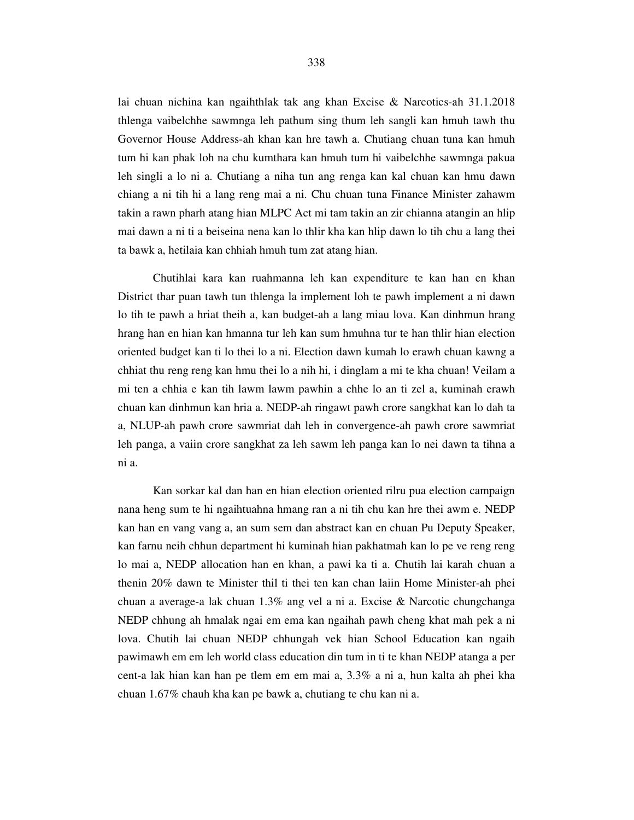lai chuan nichina kan ngaihthlak tak ang khan Excise & Narcotics-ah 31.1.2018 thlenga vaibelchhe sawmnga leh pathum sing thum leh sangli kan hmuh tawh thu Governor House Address-ah khan kan hre tawh a. Chutiang chuan tuna kan hmuh tum hi kan phak loh na chu kumthara kan hmuh tum hi vaibelchhe sawmnga pakua leh singli a lo ni a. Chutiang a niha tun ang renga kan kal chuan kan hmu dawn chiang a ni tih hi a lang reng mai a ni. Chu chuan tuna Finance Minister zahawm takin a rawn pharh atang hian MLPC Act mi tam takin an zir chianna atangin an hlip mai dawn a ni ti a beiseina nena kan lo thlir kha kan hlip dawn lo tih chu a lang thei ta bawk a, hetilaia kan chhiah hmuh tum zat atang hian.

 Chutihlai kara kan ruahmanna leh kan expenditure te kan han en khan District thar puan tawh tun thlenga la implement loh te pawh implement a ni dawn lo tih te pawh a hriat theih a, kan budget-ah a lang miau lova. Kan dinhmun hrang hrang han en hian kan hmanna tur leh kan sum hmuhna tur te han thlir hian election oriented budget kan ti lo thei lo a ni. Election dawn kumah lo erawh chuan kawng a chhiat thu reng reng kan hmu thei lo a nih hi, i dinglam a mi te kha chuan! Veilam a mi ten a chhia e kan tih lawm lawm pawhin a chhe lo an ti zel a, kuminah erawh chuan kan dinhmun kan hria a. NEDP-ah ringawt pawh crore sangkhat kan lo dah ta a, NLUP-ah pawh crore sawmriat dah leh in convergence-ah pawh crore sawmriat leh panga, a vaiin crore sangkhat za leh sawm leh panga kan lo nei dawn ta tihna a ni a.

 Kan sorkar kal dan han en hian election oriented rilru pua election campaign nana heng sum te hi ngaihtuahna hmang ran a ni tih chu kan hre thei awm e. NEDP kan han en vang vang a, an sum sem dan abstract kan en chuan Pu Deputy Speaker, kan farnu neih chhun department hi kuminah hian pakhatmah kan lo pe ve reng reng lo mai a, NEDP allocation han en khan, a pawi ka ti a. Chutih lai karah chuan a thenin 20% dawn te Minister thil ti thei ten kan chan laiin Home Minister-ah phei chuan a average-a lak chuan 1.3% ang vel a ni a. Excise & Narcotic chungchanga NEDP chhung ah hmalak ngai em ema kan ngaihah pawh cheng khat mah pek a ni lova. Chutih lai chuan NEDP chhungah vek hian School Education kan ngaih pawimawh em em leh world class education din tum in ti te khan NEDP atanga a per cent-a lak hian kan han pe tlem em em mai a, 3.3% a ni a, hun kalta ah phei kha chuan 1.67% chauh kha kan pe bawk a, chutiang te chu kan ni a.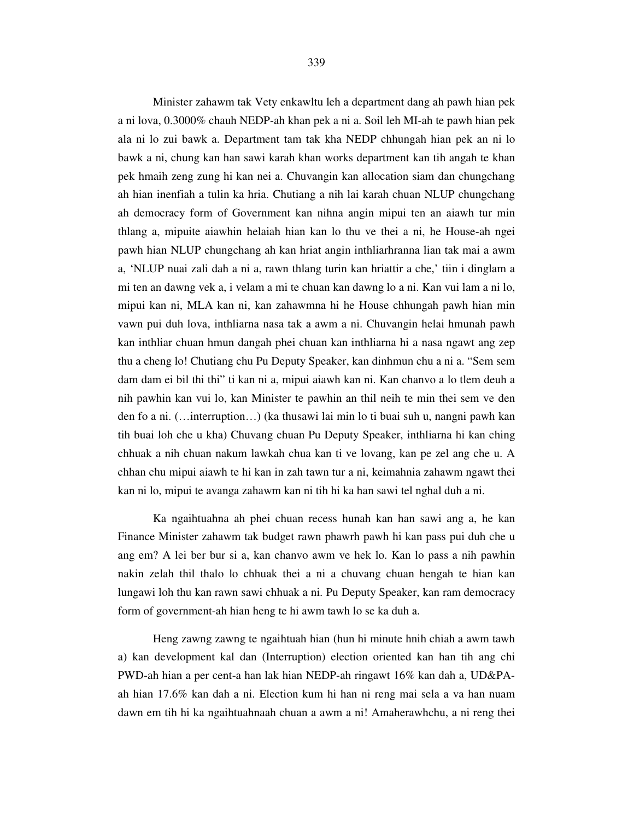Minister zahawm tak Vety enkawltu leh a department dang ah pawh hian pek a ni lova, 0.3000% chauh NEDP-ah khan pek a ni a. Soil leh MI-ah te pawh hian pek ala ni lo zui bawk a. Department tam tak kha NEDP chhungah hian pek an ni lo bawk a ni, chung kan han sawi karah khan works department kan tih angah te khan pek hmaih zeng zung hi kan nei a. Chuvangin kan allocation siam dan chungchang ah hian inenfiah a tulin ka hria. Chutiang a nih lai karah chuan NLUP chungchang ah democracy form of Government kan nihna angin mipui ten an aiawh tur min thlang a, mipuite aiawhin helaiah hian kan lo thu ve thei a ni, he House-ah ngei pawh hian NLUP chungchang ah kan hriat angin inthliarhranna lian tak mai a awm a, 'NLUP nuai zali dah a ni a, rawn thlang turin kan hriattir a che,' tiin i dinglam a mi ten an dawng vek a, i velam a mi te chuan kan dawng lo a ni. Kan vui lam a ni lo, mipui kan ni, MLA kan ni, kan zahawmna hi he House chhungah pawh hian min vawn pui duh lova, inthliarna nasa tak a awm a ni. Chuvangin helai hmunah pawh kan inthliar chuan hmun dangah phei chuan kan inthliarna hi a nasa ngawt ang zep thu a cheng lo! Chutiang chu Pu Deputy Speaker, kan dinhmun chu a ni a. "Sem sem dam dam ei bil thi thi" ti kan ni a, mipui aiawh kan ni. Kan chanvo a lo tlem deuh a nih pawhin kan vui lo, kan Minister te pawhin an thil neih te min thei sem ve den den fo a ni. (…interruption…) (ka thusawi lai min lo ti buai suh u, nangni pawh kan tih buai loh che u kha) Chuvang chuan Pu Deputy Speaker, inthliarna hi kan ching chhuak a nih chuan nakum lawkah chua kan ti ve lovang, kan pe zel ang che u. A chhan chu mipui aiawh te hi kan in zah tawn tur a ni, keimahnia zahawm ngawt thei kan ni lo, mipui te avanga zahawm kan ni tih hi ka han sawi tel nghal duh a ni.

 Ka ngaihtuahna ah phei chuan recess hunah kan han sawi ang a, he kan Finance Minister zahawm tak budget rawn phawrh pawh hi kan pass pui duh che u ang em? A lei ber bur si a, kan chanvo awm ve hek lo. Kan lo pass a nih pawhin nakin zelah thil thalo lo chhuak thei a ni a chuvang chuan hengah te hian kan lungawi loh thu kan rawn sawi chhuak a ni. Pu Deputy Speaker, kan ram democracy form of government-ah hian heng te hi awm tawh lo se ka duh a.

 Heng zawng zawng te ngaihtuah hian (hun hi minute hnih chiah a awm tawh a) kan development kal dan (Interruption) election oriented kan han tih ang chi PWD-ah hian a per cent-a han lak hian NEDP-ah ringawt 16% kan dah a, UD&PAah hian 17.6% kan dah a ni. Election kum hi han ni reng mai sela a va han nuam dawn em tih hi ka ngaihtuahnaah chuan a awm a ni! Amaherawhchu, a ni reng thei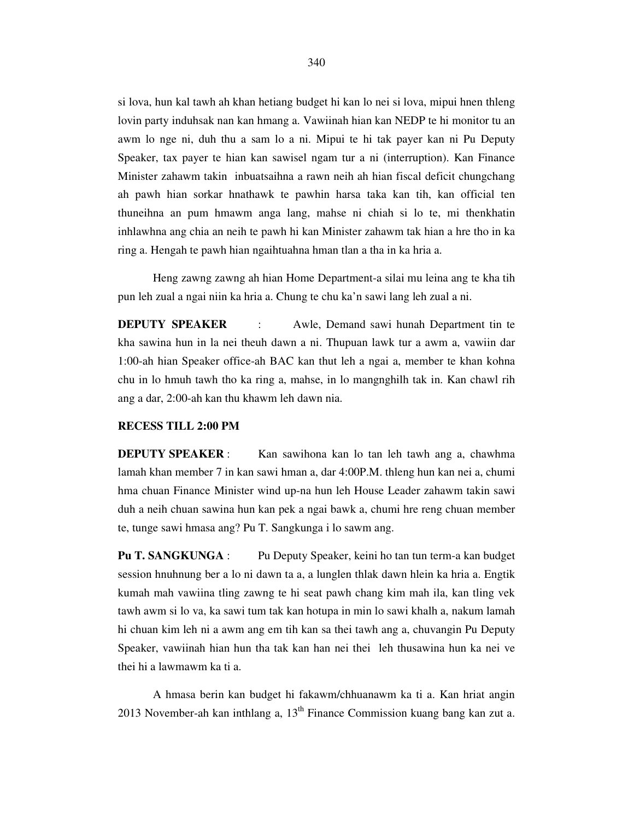si lova, hun kal tawh ah khan hetiang budget hi kan lo nei si lova, mipui hnen thleng lovin party induhsak nan kan hmang a. Vawiinah hian kan NEDP te hi monitor tu an awm lo nge ni, duh thu a sam lo a ni. Mipui te hi tak payer kan ni Pu Deputy Speaker, tax payer te hian kan sawisel ngam tur a ni (interruption). Kan Finance Minister zahawm takin inbuatsaihna a rawn neih ah hian fiscal deficit chungchang ah pawh hian sorkar hnathawk te pawhin harsa taka kan tih, kan official ten thuneihna an pum hmawm anga lang, mahse ni chiah si lo te, mi thenkhatin inhlawhna ang chia an neih te pawh hi kan Minister zahawm tak hian a hre tho in ka ring a. Hengah te pawh hian ngaihtuahna hman tlan a tha in ka hria a.

 Heng zawng zawng ah hian Home Department-a silai mu leina ang te kha tih pun leh zual a ngai niin ka hria a. Chung te chu ka'n sawi lang leh zual a ni.

**DEPUTY SPEAKER** : Awle, Demand sawi hunah Department tin te kha sawina hun in la nei theuh dawn a ni. Thupuan lawk tur a awm a, vawiin dar 1:00-ah hian Speaker office-ah BAC kan thut leh a ngai a, member te khan kohna chu in lo hmuh tawh tho ka ring a, mahse, in lo mangnghilh tak in. Kan chawl rih ang a dar, 2:00-ah kan thu khawm leh dawn nia.

#### **RECESS TILL 2:00 PM**

**DEPUTY SPEAKER** : Kan sawihona kan lo tan leh tawh ang a, chawhma lamah khan member 7 in kan sawi hman a, dar 4:00P.M. thleng hun kan nei a, chumi hma chuan Finance Minister wind up-na hun leh House Leader zahawm takin sawi duh a neih chuan sawina hun kan pek a ngai bawk a, chumi hre reng chuan member te, tunge sawi hmasa ang? Pu T. Sangkunga i lo sawm ang.

**Pu T. SANGKUNGA** : Pu Deputy Speaker, keini ho tan tun term-a kan budget session hnuhnung ber a lo ni dawn ta a, a lunglen thlak dawn hlein ka hria a. Engtik kumah mah vawiina tling zawng te hi seat pawh chang kim mah ila, kan tling vek tawh awm si lo va, ka sawi tum tak kan hotupa in min lo sawi khalh a, nakum lamah hi chuan kim leh ni a awm ang em tih kan sa thei tawh ang a, chuvangin Pu Deputy Speaker, vawiinah hian hun tha tak kan han nei thei leh thusawina hun ka nei ve thei hi a lawmawm ka ti a.

A hmasa berin kan budget hi fakawm/chhuanawm ka ti a. Kan hriat angin 2013 November-ah kan inthlang a,  $13<sup>th</sup>$  Finance Commission kuang bang kan zut a.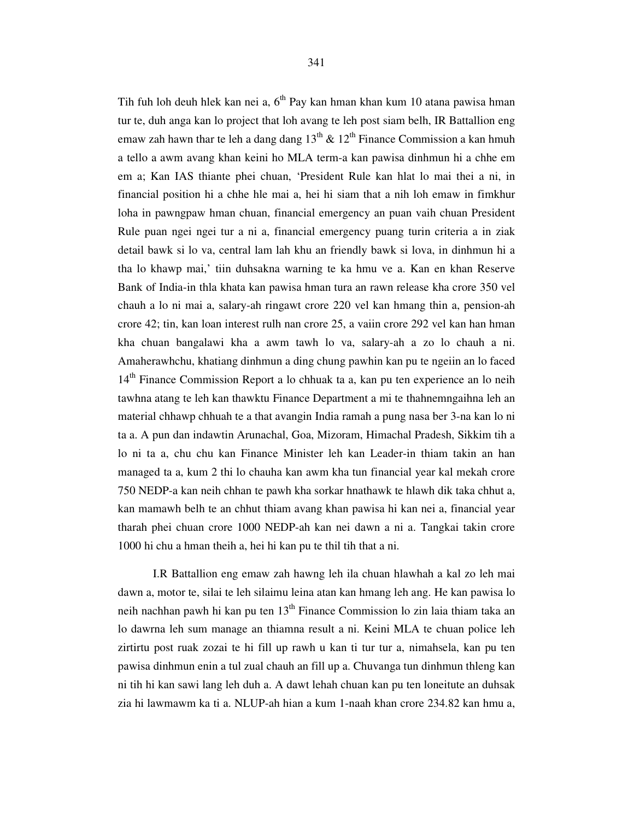Tih fuh loh deuh hlek kan nei a,  $6<sup>th</sup>$  Pay kan hman khan kum 10 atana pawisa hman tur te, duh anga kan lo project that loh avang te leh post siam belh, IR Battallion eng emaw zah hawn thar te leh a dang dang  $13^{th}$  &  $12^{th}$  Finance Commission a kan hmuh a tello a awm avang khan keini ho MLA term-a kan pawisa dinhmun hi a chhe em em a; Kan IAS thiante phei chuan, 'President Rule kan hlat lo mai thei a ni, in financial position hi a chhe hle mai a, hei hi siam that a nih loh emaw in fimkhur loha in pawngpaw hman chuan, financial emergency an puan vaih chuan President Rule puan ngei ngei tur a ni a, financial emergency puang turin criteria a in ziak detail bawk si lo va, central lam lah khu an friendly bawk si lova, in dinhmun hi a tha lo khawp mai,' tiin duhsakna warning te ka hmu ve a. Kan en khan Reserve Bank of India-in thla khata kan pawisa hman tura an rawn release kha crore 350 vel chauh a lo ni mai a, salary-ah ringawt crore 220 vel kan hmang thin a, pension-ah crore 42; tin, kan loan interest rulh nan crore 25, a vaiin crore 292 vel kan han hman kha chuan bangalawi kha a awm tawh lo va, salary-ah a zo lo chauh a ni. Amaherawhchu, khatiang dinhmun a ding chung pawhin kan pu te ngeiin an lo faced 14<sup>th</sup> Finance Commission Report a lo chhuak ta a, kan pu ten experience an lo neih tawhna atang te leh kan thawktu Finance Department a mi te thahnemngaihna leh an material chhawp chhuah te a that avangin India ramah a pung nasa ber 3-na kan lo ni ta a. A pun dan indawtin Arunachal, Goa, Mizoram, Himachal Pradesh, Sikkim tih a lo ni ta a, chu chu kan Finance Minister leh kan Leader-in thiam takin an han managed ta a, kum 2 thi lo chauha kan awm kha tun financial year kal mekah crore 750 NEDP-a kan neih chhan te pawh kha sorkar hnathawk te hlawh dik taka chhut a, kan mamawh belh te an chhut thiam avang khan pawisa hi kan nei a, financial year tharah phei chuan crore 1000 NEDP-ah kan nei dawn a ni a. Tangkai takin crore 1000 hi chu a hman theih a, hei hi kan pu te thil tih that a ni.

 I.R Battallion eng emaw zah hawng leh ila chuan hlawhah a kal zo leh mai dawn a, motor te, silai te leh silaimu leina atan kan hmang leh ang. He kan pawisa lo neih nachhan pawh hi kan pu ten  $13<sup>th</sup>$  Finance Commission lo zin laia thiam taka an lo dawrna leh sum manage an thiamna result a ni. Keini MLA te chuan police leh zirtirtu post ruak zozai te hi fill up rawh u kan ti tur tur a, nimahsela, kan pu ten pawisa dinhmun enin a tul zual chauh an fill up a. Chuvanga tun dinhmun thleng kan ni tih hi kan sawi lang leh duh a. A dawt lehah chuan kan pu ten loneitute an duhsak zia hi lawmawm ka ti a. NLUP-ah hian a kum 1-naah khan crore 234.82 kan hmu a,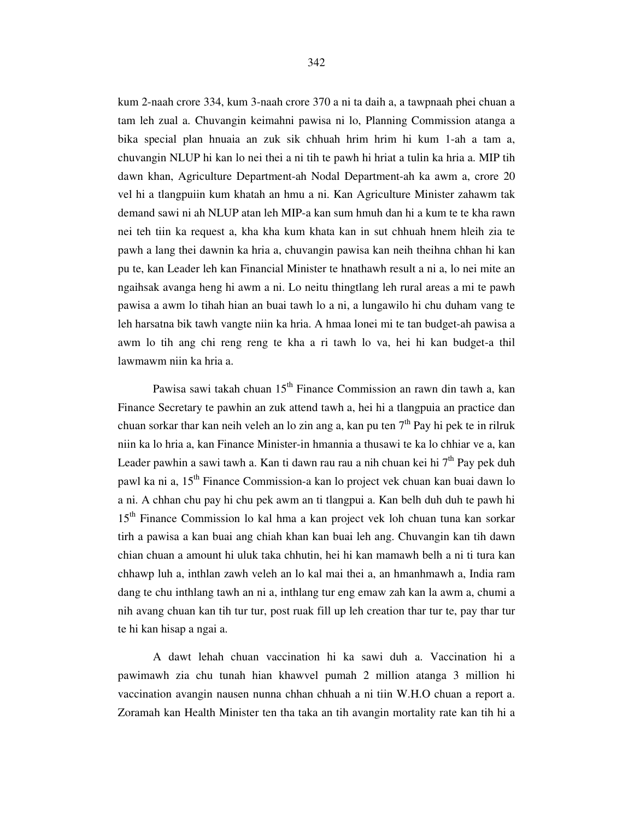kum 2-naah crore 334, kum 3-naah crore 370 a ni ta daih a, a tawpnaah phei chuan a tam leh zual a. Chuvangin keimahni pawisa ni lo, Planning Commission atanga a bika special plan hnuaia an zuk sik chhuah hrim hrim hi kum 1-ah a tam a, chuvangin NLUP hi kan lo nei thei a ni tih te pawh hi hriat a tulin ka hria a. MIP tih dawn khan, Agriculture Department-ah Nodal Department-ah ka awm a, crore 20 vel hi a tlangpuiin kum khatah an hmu a ni. Kan Agriculture Minister zahawm tak demand sawi ni ah NLUP atan leh MIP-a kan sum hmuh dan hi a kum te te kha rawn nei teh tiin ka request a, kha kha kum khata kan in sut chhuah hnem hleih zia te pawh a lang thei dawnin ka hria a, chuvangin pawisa kan neih theihna chhan hi kan pu te, kan Leader leh kan Financial Minister te hnathawh result a ni a, lo nei mite an ngaihsak avanga heng hi awm a ni. Lo neitu thingtlang leh rural areas a mi te pawh pawisa a awm lo tihah hian an buai tawh lo a ni, a lungawilo hi chu duham vang te leh harsatna bik tawh vangte niin ka hria. A hmaa lonei mi te tan budget-ah pawisa a awm lo tih ang chi reng reng te kha a ri tawh lo va, hei hi kan budget-a thil lawmawm niin ka hria a.

Pawisa sawi takah chuan  $15<sup>th</sup>$  Finance Commission an rawn din tawh a, kan Finance Secretary te pawhin an zuk attend tawh a, hei hi a tlangpuia an practice dan chuan sorkar thar kan neih veleh an lo zin ang a, kan pu ten  $7<sup>th</sup>$  Pay hi pek te in rilruk niin ka lo hria a, kan Finance Minister-in hmannia a thusawi te ka lo chhiar ve a, kan Leader pawhin a sawi tawh a. Kan ti dawn rau rau a nih chuan kei hi  $7<sup>th</sup>$  Pay pek duh pawl ka ni a, 15th Finance Commission-a kan lo project vek chuan kan buai dawn lo a ni. A chhan chu pay hi chu pek awm an ti tlangpui a. Kan belh duh duh te pawh hi 15th Finance Commission lo kal hma a kan project vek loh chuan tuna kan sorkar tirh a pawisa a kan buai ang chiah khan kan buai leh ang. Chuvangin kan tih dawn chian chuan a amount hi uluk taka chhutin, hei hi kan mamawh belh a ni ti tura kan chhawp luh a, inthlan zawh veleh an lo kal mai thei a, an hmanhmawh a, India ram dang te chu inthlang tawh an ni a, inthlang tur eng emaw zah kan la awm a, chumi a nih avang chuan kan tih tur tur, post ruak fill up leh creation thar tur te, pay thar tur te hi kan hisap a ngai a.

 A dawt lehah chuan vaccination hi ka sawi duh a. Vaccination hi a pawimawh zia chu tunah hian khawvel pumah 2 million atanga 3 million hi vaccination avangin nausen nunna chhan chhuah a ni tiin W.H.O chuan a report a. Zoramah kan Health Minister ten tha taka an tih avangin mortality rate kan tih hi a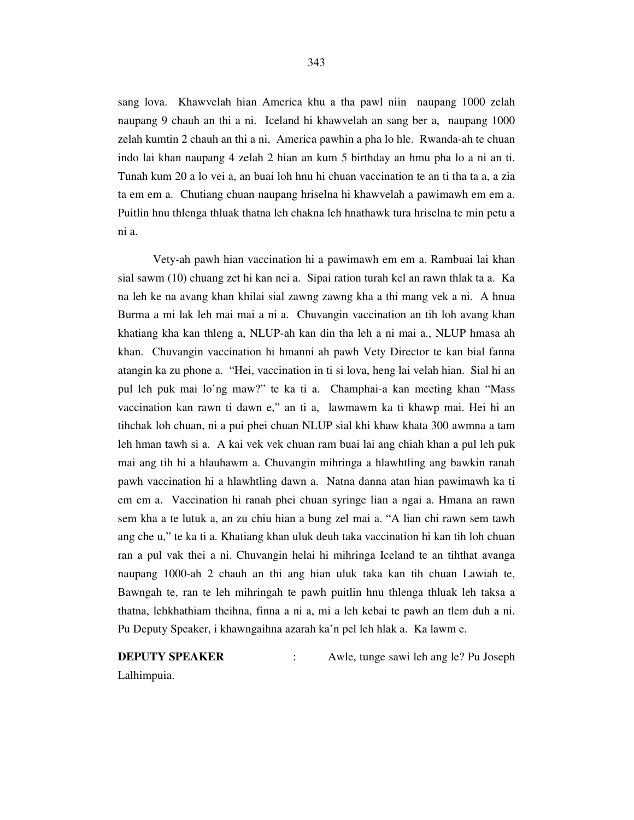sang lova. Khawvelah hian America khu a tha pawl niin naupang 1000 zelah naupang 9 chauh an thi a ni. Iceland hi khawvelah an sang ber a, naupang 1000 zelah kumtin 2 chauh an thi a ni, America pawhin a pha lo hle. Rwanda-ah te chuan

indo lai khan naupang 4 zelah 2 hian an kum 5 birthday an hmu pha lo a ni an ti. Tunah kum 20 a lo vei a, an buai loh hnu hi chuan vaccination te an ti tha ta a, a zia ta em em a. Chutiang chuan naupang hriselna hi khawvelah a pawimawh em em a. Puitlin hnu thlenga thluak thatna leh chakna leh hnathawk tura hriselna te min petu a ni a.

 Vety-ah pawh hian vaccination hi a pawimawh em em a. Rambuai lai khan sial sawm (10) chuang zet hi kan nei a. Sipai ration turah kel an rawn thlak ta a. Ka na leh ke na avang khan khilai sial zawng zawng kha a thi mang vek a ni. A hnua Burma a mi lak leh mai mai a ni a. Chuvangin vaccination an tih loh avang khan khatiang kha kan thleng a, NLUP-ah kan din tha leh a ni mai a., NLUP hmasa ah khan. Chuvangin vaccination hi hmanni ah pawh Vety Director te kan bial fanna atangin ka zu phone a. "Hei, vaccination in ti si lova, heng lai velah hian. Sial hi an pul leh puk mai lo'ng maw?" te ka ti a. Champhai-a kan meeting khan "Mass vaccination kan rawn ti dawn e," an ti a, lawmawm ka ti khawp mai. Hei hi an tihchak loh chuan, ni a pui phei chuan NLUP sial khi khaw khata 300 awmna a tam leh hman tawh si a. A kai vek vek chuan ram buai lai ang chiah khan a pul leh puk mai ang tih hi a hlauhawm a. Chuvangin mihringa a hlawhtling ang bawkin ranah pawh vaccination hi a hlawhtling dawn a. Natna danna atan hian pawimawh ka ti em em a. Vaccination hi ranah phei chuan syringe lian a ngai a. Hmana an rawn sem kha a te lutuk a, an zu chiu hian a bung zel mai a. "A lian chi rawn sem tawh ang che u," te ka ti a. Khatiang khan uluk deuh taka vaccination hi kan tih loh chuan ran a pul vak thei a ni. Chuvangin helai hi mihringa Iceland te an tihthat avanga naupang 1000-ah 2 chauh an thi ang hian uluk taka kan tih chuan Lawiah te, Bawngah te, ran te leh mihringah te pawh puitlin hnu thlenga thluak leh taksa a thatna, lehkhathiam theihna, finna a ni a, mi a leh kebai te pawh an tlem duh a ni. Pu Deputy Speaker, i khawngaihna azarah ka'n pel leh hlak a. Ka lawm e.

**DEPUTY SPEAKER** : Awle, tunge sawi leh ang le? Pu Joseph Lalhimpuia.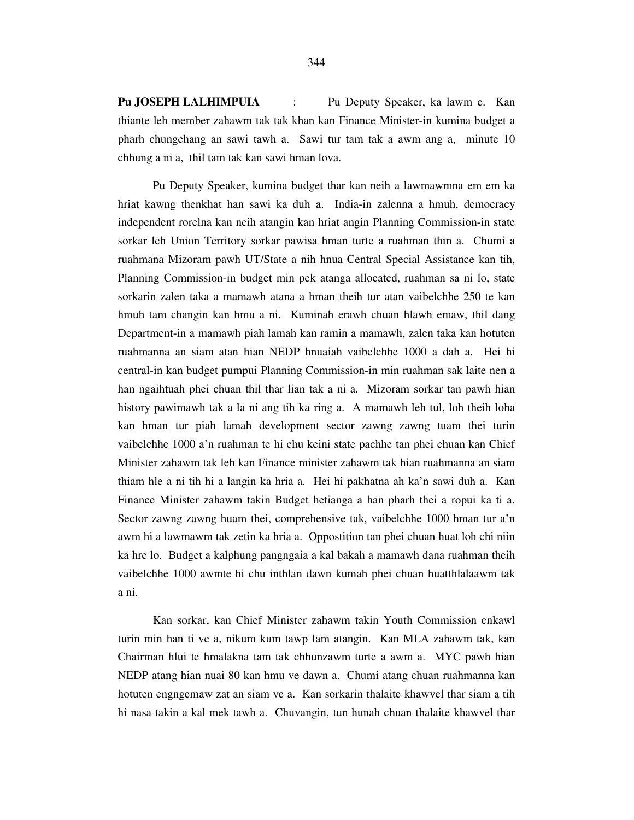**Pu JOSEPH LALHIMPUIA** : Pu Deputy Speaker, ka lawm e. Kan thiante leh member zahawm tak tak khan kan Finance Minister-in kumina budget a pharh chungchang an sawi tawh a. Sawi tur tam tak a awm ang a, minute 10 chhung a ni a, thil tam tak kan sawi hman lova.

 Pu Deputy Speaker, kumina budget thar kan neih a lawmawmna em em ka hriat kawng thenkhat han sawi ka duh a. India-in zalenna a hmuh, democracy independent rorelna kan neih atangin kan hriat angin Planning Commission-in state sorkar leh Union Territory sorkar pawisa hman turte a ruahman thin a. Chumi a ruahmana Mizoram pawh UT/State a nih hnua Central Special Assistance kan tih, Planning Commission-in budget min pek atanga allocated, ruahman sa ni lo, state sorkarin zalen taka a mamawh atana a hman theih tur atan vaibelchhe 250 te kan hmuh tam changin kan hmu a ni. Kuminah erawh chuan hlawh emaw, thil dang Department-in a mamawh piah lamah kan ramin a mamawh, zalen taka kan hotuten ruahmanna an siam atan hian NEDP hnuaiah vaibelchhe 1000 a dah a. Hei hi central-in kan budget pumpui Planning Commission-in min ruahman sak laite nen a han ngaihtuah phei chuan thil thar lian tak a ni a. Mizoram sorkar tan pawh hian history pawimawh tak a la ni ang tih ka ring a. A mamawh leh tul, loh theih loha kan hman tur piah lamah development sector zawng zawng tuam thei turin vaibelchhe 1000 a'n ruahman te hi chu keini state pachhe tan phei chuan kan Chief Minister zahawm tak leh kan Finance minister zahawm tak hian ruahmanna an siam thiam hle a ni tih hi a langin ka hria a. Hei hi pakhatna ah ka'n sawi duh a. Kan Finance Minister zahawm takin Budget hetianga a han pharh thei a ropui ka ti a. Sector zawng zawng huam thei, comprehensive tak, vaibelchhe 1000 hman tur a'n awm hi a lawmawm tak zetin ka hria a. Oppostition tan phei chuan huat loh chi niin ka hre lo. Budget a kalphung pangngaia a kal bakah a mamawh dana ruahman theih vaibelchhe 1000 awmte hi chu inthlan dawn kumah phei chuan huatthlalaawm tak a ni.

 Kan sorkar, kan Chief Minister zahawm takin Youth Commission enkawl turin min han ti ve a, nikum kum tawp lam atangin. Kan MLA zahawm tak, kan Chairman hlui te hmalakna tam tak chhunzawm turte a awm a. MYC pawh hian NEDP atang hian nuai 80 kan hmu ve dawn a. Chumi atang chuan ruahmanna kan hotuten engngemaw zat an siam ve a. Kan sorkarin thalaite khawvel thar siam a tih hi nasa takin a kal mek tawh a. Chuvangin, tun hunah chuan thalaite khawvel thar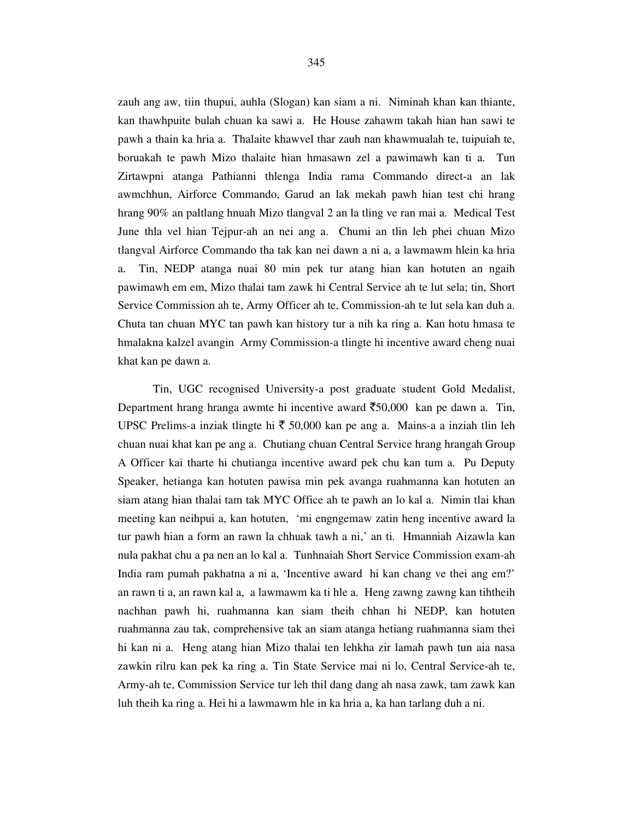zauh ang aw, tiin thupui, auhla (Slogan) kan siam a ni. Niminah khan kan thiante, kan thawhpuite bulah chuan ka sawi a. He House zahawm takah hian han sawi te pawh a thain ka hria a. Thalaite khawvel thar zauh nan khawmualah te, tuipuiah te, boruakah te pawh Mizo thalaite hian hmasawn zel a pawimawh kan ti a. Tun Zirtawpni atanga Pathianni thlenga India rama Commando direct-a an lak awmchhun, Airforce Commando, Garud an lak mekah pawh hian test chi hrang hrang 90% an paltlang hnuah Mizo tlangval 2 an la tling ve ran mai a. Medical Test June thla vel hian Tejpur-ah an nei ang a. Chumi an tlin leh phei chuan Mizo tlangval Airforce Commando tha tak kan nei dawn a ni a, a lawmawm hlein ka hria a. Tin, NEDP atanga nuai 80 min pek tur atang hian kan hotuten an ngaih pawimawh em em, Mizo thalai tam zawk hi Central Service ah te lut sela; tin, Short Service Commission ah te, Army Officer ah te, Commission-ah te lut sela kan duh a. Chuta tan chuan MYC tan pawh kan history tur a nih ka ring a. Kan hotu hmasa te hmalakna kalzel avangin Army Commission-a tlingte hi incentive award cheng nuai khat kan pe dawn a.

 Tin, UGC recognised University-a post graduate student Gold Medalist, Department hrang hranga awmte hi incentive award  $\overline{50,000}$  kan pe dawn a. Tin, UPSC Prelims-a inziak tlingte hi  $\bar{\tau}$  50,000 kan pe ang a. Mains-a a inziah tlin leh chuan nuai khat kan pe ang a. Chutiang chuan Central Service hrang hrangah Group A Officer kai tharte hi chutianga incentive award pek chu kan tum a. Pu Deputy Speaker, hetianga kan hotuten pawisa min pek avanga ruahmanna kan hotuten an siam atang hian thalai tam tak MYC Office ah te pawh an lo kal a. Nimin tlai khan meeting kan neihpui a, kan hotuten, 'mi engngemaw zatin heng incentive award la tur pawh hian a form an rawn la chhuak tawh a ni,' an ti. Hmanniah Aizawla kan nula pakhat chu a pa nen an lo kal a. Tunhnaiah Short Service Commission exam-ah India ram pumah pakhatna a ni a, 'Incentive award hi kan chang ve thei ang em?' an rawn ti a, an rawn kal a, a lawmawm ka ti hle a. Heng zawng zawng kan tihtheih nachhan pawh hi, ruahmanna kan siam theih chhan hi NEDP, kan hotuten ruahmanna zau tak, comprehensive tak an siam atanga hetiang ruahmanna siam thei hi kan ni a. Heng atang hian Mizo thalai ten lehkha zir lamah pawh tun aia nasa zawkin rilru kan pek ka ring a. Tin State Service mai ni lo, Central Service-ah te, Army-ah te, Commission Service tur leh thil dang dang ah nasa zawk, tam zawk kan luh theih ka ring a. Hei hi a lawmawm hle in ka hria a, ka han tarlang duh a ni.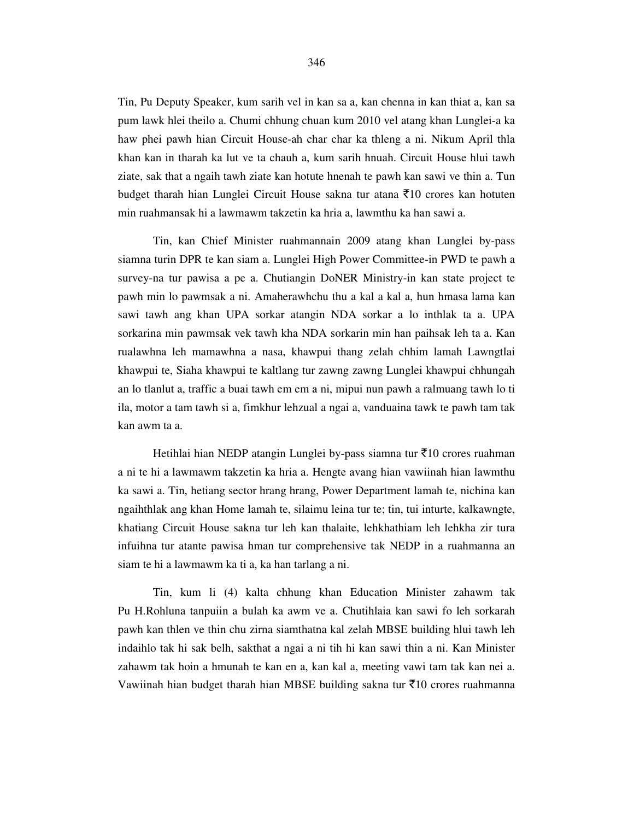Tin, Pu Deputy Speaker, kum sarih vel in kan sa a, kan chenna in kan thiat a, kan sa pum lawk hlei theilo a. Chumi chhung chuan kum 2010 vel atang khan Lunglei-a ka haw phei pawh hian Circuit House-ah char char ka thleng a ni. Nikum April thla khan kan in tharah ka lut ve ta chauh a, kum sarih hnuah. Circuit House hlui tawh ziate, sak that a ngaih tawh ziate kan hotute hnenah te pawh kan sawi ve thin a. Tun budget tharah hian Lunglei Circuit House sakna tur atana  $\bar{\tau}$ 10 crores kan hotuten min ruahmansak hi a lawmawm takzetin ka hria a, lawmthu ka han sawi a.

 Tin, kan Chief Minister ruahmannain 2009 atang khan Lunglei by-pass siamna turin DPR te kan siam a. Lunglei High Power Committee-in PWD te pawh a survey-na tur pawisa a pe a. Chutiangin DoNER Ministry-in kan state project te pawh min lo pawmsak a ni. Amaherawhchu thu a kal a kal a, hun hmasa lama kan sawi tawh ang khan UPA sorkar atangin NDA sorkar a lo inthlak ta a. UPA sorkarina min pawmsak vek tawh kha NDA sorkarin min han paihsak leh ta a. Kan rualawhna leh mamawhna a nasa, khawpui thang zelah chhim lamah Lawngtlai khawpui te, Siaha khawpui te kaltlang tur zawng zawng Lunglei khawpui chhungah an lo tlanlut a, traffic a buai tawh em em a ni, mipui nun pawh a ralmuang tawh lo ti ila, motor a tam tawh si a, fimkhur lehzual a ngai a, vanduaina tawk te pawh tam tak kan awm ta a.

Hetihlai hian NEDP atangin Lunglei by-pass siamna tur  $\bar{\tau}$ 10 crores ruahman a ni te hi a lawmawm takzetin ka hria a. Hengte avang hian vawiinah hian lawmthu ka sawi a. Tin, hetiang sector hrang hrang, Power Department lamah te, nichina kan ngaihthlak ang khan Home lamah te, silaimu leina tur te; tin, tui inturte, kalkawngte, khatiang Circuit House sakna tur leh kan thalaite, lehkhathiam leh lehkha zir tura infuihna tur atante pawisa hman tur comprehensive tak NEDP in a ruahmanna an siam te hi a lawmawm ka ti a, ka han tarlang a ni.

 Tin, kum li (4) kalta chhung khan Education Minister zahawm tak Pu H.Rohluna tanpuiin a bulah ka awm ve a. Chutihlaia kan sawi fo leh sorkarah pawh kan thlen ve thin chu zirna siamthatna kal zelah MBSE building hlui tawh leh indaihlo tak hi sak belh, sakthat a ngai a ni tih hi kan sawi thin a ni. Kan Minister zahawm tak hoin a hmunah te kan en a, kan kal a, meeting vawi tam tak kan nei a. Vawiinah hian budget tharah hian MBSE building sakna tur  $\bar{\tau}$ 10 crores ruahmanna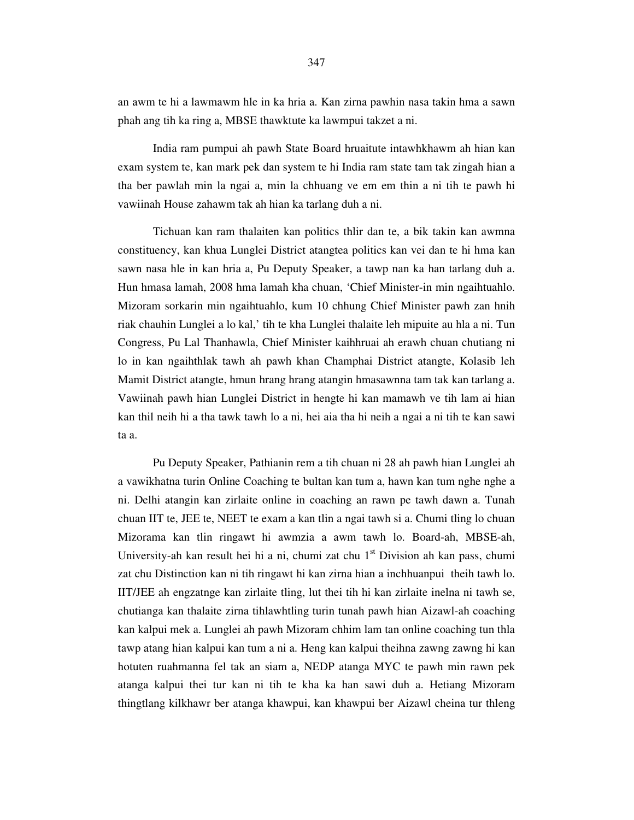an awm te hi a lawmawm hle in ka hria a. Kan zirna pawhin nasa takin hma a sawn phah ang tih ka ring a, MBSE thawktute ka lawmpui takzet a ni.

 India ram pumpui ah pawh State Board hruaitute intawhkhawm ah hian kan exam system te, kan mark pek dan system te hi India ram state tam tak zingah hian a tha ber pawlah min la ngai a, min la chhuang ve em em thin a ni tih te pawh hi vawiinah House zahawm tak ah hian ka tarlang duh a ni.

 Tichuan kan ram thalaiten kan politics thlir dan te, a bik takin kan awmna constituency, kan khua Lunglei District atangtea politics kan vei dan te hi hma kan sawn nasa hle in kan hria a, Pu Deputy Speaker, a tawp nan ka han tarlang duh a. Hun hmasa lamah, 2008 hma lamah kha chuan, 'Chief Minister-in min ngaihtuahlo. Mizoram sorkarin min ngaihtuahlo, kum 10 chhung Chief Minister pawh zan hnih riak chauhin Lunglei a lo kal,' tih te kha Lunglei thalaite leh mipuite au hla a ni. Tun Congress, Pu Lal Thanhawla, Chief Minister kaihhruai ah erawh chuan chutiang ni lo in kan ngaihthlak tawh ah pawh khan Champhai District atangte, Kolasib leh Mamit District atangte, hmun hrang hrang atangin hmasawnna tam tak kan tarlang a. Vawiinah pawh hian Lunglei District in hengte hi kan mamawh ve tih lam ai hian kan thil neih hi a tha tawk tawh lo a ni, hei aia tha hi neih a ngai a ni tih te kan sawi ta a.

 Pu Deputy Speaker, Pathianin rem a tih chuan ni 28 ah pawh hian Lunglei ah a vawikhatna turin Online Coaching te bultan kan tum a, hawn kan tum nghe nghe a ni. Delhi atangin kan zirlaite online in coaching an rawn pe tawh dawn a. Tunah chuan IIT te, JEE te, NEET te exam a kan tlin a ngai tawh si a. Chumi tling lo chuan Mizorama kan tlin ringawt hi awmzia a awm tawh lo. Board-ah, MBSE-ah, University-ah kan result hei hi a ni, chumi zat chu  $1<sup>st</sup>$  Division ah kan pass, chumi zat chu Distinction kan ni tih ringawt hi kan zirna hian a inchhuanpui theih tawh lo. IIT/JEE ah engzatnge kan zirlaite tling, lut thei tih hi kan zirlaite inelna ni tawh se, chutianga kan thalaite zirna tihlawhtling turin tunah pawh hian Aizawl-ah coaching kan kalpui mek a. Lunglei ah pawh Mizoram chhim lam tan online coaching tun thla tawp atang hian kalpui kan tum a ni a. Heng kan kalpui theihna zawng zawng hi kan hotuten ruahmanna fel tak an siam a, NEDP atanga MYC te pawh min rawn pek atanga kalpui thei tur kan ni tih te kha ka han sawi duh a. Hetiang Mizoram thingtlang kilkhawr ber atanga khawpui, kan khawpui ber Aizawl cheina tur thleng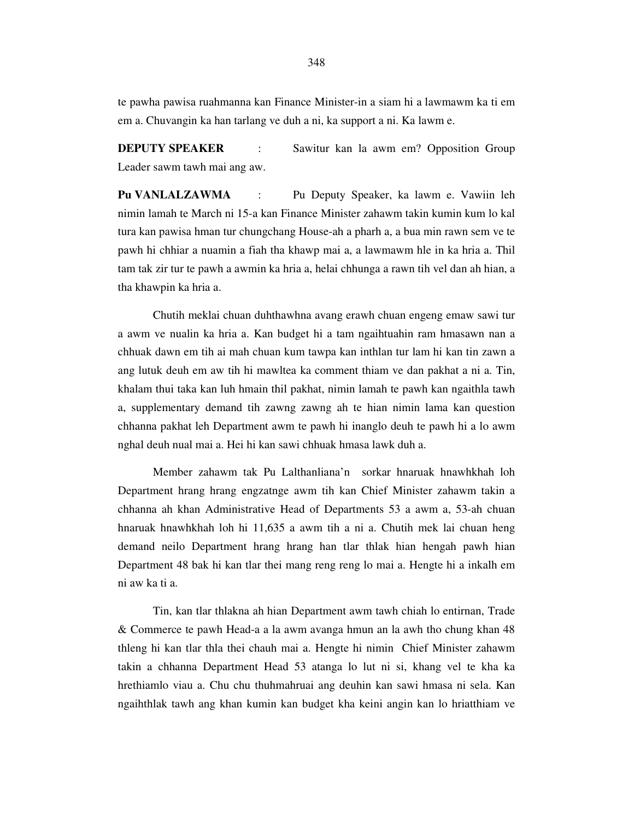te pawha pawisa ruahmanna kan Finance Minister-in a siam hi a lawmawm ka ti em em a. Chuvangin ka han tarlang ve duh a ni, ka support a ni. Ka lawm e.

**DEPUTY SPEAKER** : Sawitur kan la awm em? Opposition Group Leader sawm tawh mai ang aw.

**Pu VANLALZAWMA** : Pu Deputy Speaker, ka lawm e. Vawiin leh nimin lamah te March ni 15-a kan Finance Minister zahawm takin kumin kum lo kal tura kan pawisa hman tur chungchang House-ah a pharh a, a bua min rawn sem ve te pawh hi chhiar a nuamin a fiah tha khawp mai a, a lawmawm hle in ka hria a. Thil tam tak zir tur te pawh a awmin ka hria a, helai chhunga a rawn tih vel dan ah hian, a tha khawpin ka hria a.

 Chutih meklai chuan duhthawhna avang erawh chuan engeng emaw sawi tur a awm ve nualin ka hria a. Kan budget hi a tam ngaihtuahin ram hmasawn nan a chhuak dawn em tih ai mah chuan kum tawpa kan inthlan tur lam hi kan tin zawn a ang lutuk deuh em aw tih hi mawltea ka comment thiam ve dan pakhat a ni a. Tin, khalam thui taka kan luh hmain thil pakhat, nimin lamah te pawh kan ngaithla tawh a, supplementary demand tih zawng zawng ah te hian nimin lama kan question chhanna pakhat leh Department awm te pawh hi inanglo deuh te pawh hi a lo awm nghal deuh nual mai a. Hei hi kan sawi chhuak hmasa lawk duh a.

 Member zahawm tak Pu Lalthanliana'n sorkar hnaruak hnawhkhah loh Department hrang hrang engzatnge awm tih kan Chief Minister zahawm takin a chhanna ah khan Administrative Head of Departments 53 a awm a, 53-ah chuan hnaruak hnawhkhah loh hi 11,635 a awm tih a ni a. Chutih mek lai chuan heng demand neilo Department hrang hrang han tlar thlak hian hengah pawh hian Department 48 bak hi kan tlar thei mang reng reng lo mai a. Hengte hi a inkalh em ni aw ka ti a.

 Tin, kan tlar thlakna ah hian Department awm tawh chiah lo entirnan, Trade & Commerce te pawh Head-a a la awm avanga hmun an la awh tho chung khan 48 thleng hi kan tlar thla thei chauh mai a. Hengte hi nimin Chief Minister zahawm takin a chhanna Department Head 53 atanga lo lut ni si, khang vel te kha ka hrethiamlo viau a. Chu chu thuhmahruai ang deuhin kan sawi hmasa ni sela. Kan ngaihthlak tawh ang khan kumin kan budget kha keini angin kan lo hriatthiam ve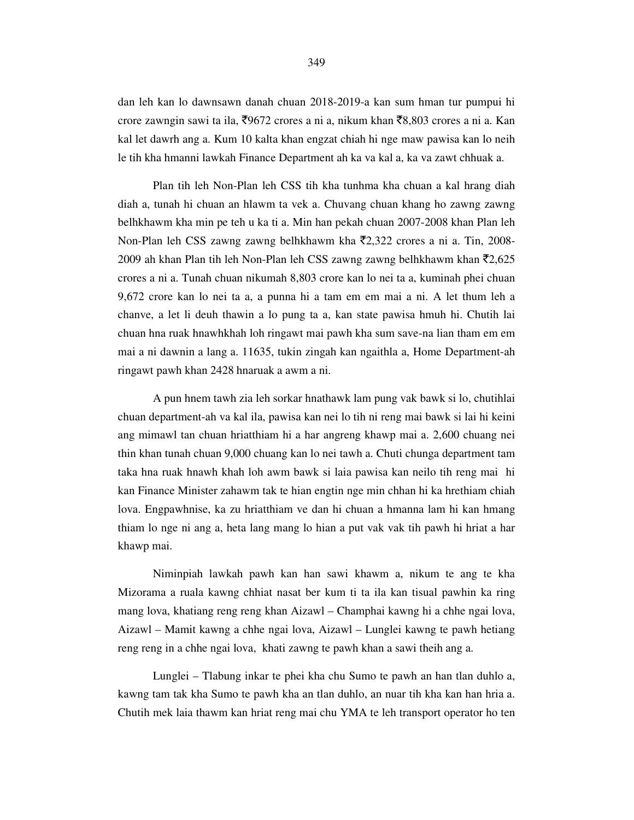dan leh kan lo dawnsawn danah chuan 2018-2019-a kan sum hman tur pumpui hi crore zawngin sawi ta ila,  $\overline{5}9672$  crores a ni a, nikum khan  $\overline{5}8,803$  crores a ni a. Kan kal let dawrh ang a. Kum 10 kalta khan engzat chiah hi nge maw pawisa kan lo neih le tih kha hmanni lawkah Finance Department ah ka va kal a, ka va zawt chhuak a.

 Plan tih leh Non-Plan leh CSS tih kha tunhma kha chuan a kal hrang diah diah a, tunah hi chuan an hlawm ta vek a. Chuvang chuan khang ho zawng zawng belhkhawm kha min pe teh u ka ti a. Min han pekah chuan 2007-2008 khan Plan leh Non-Plan leh CSS zawng zawng belhkhawm kha  $\bar{\tau}$ 2,322 crores a ni a. Tin, 2008-2009 ah khan Plan tih leh Non-Plan leh CSS zawng zawng belhkhawm khan  $\bar{z}$ 2,625 crores a ni a. Tunah chuan nikumah 8,803 crore kan lo nei ta a, kuminah phei chuan 9,672 crore kan lo nei ta a, a punna hi a tam em em mai a ni. A let thum leh a chanve, a let li deuh thawin a lo pung ta a, kan state pawisa hmuh hi. Chutih lai chuan hna ruak hnawhkhah loh ringawt mai pawh kha sum save-na lian tham em em mai a ni dawnin a lang a. 11635, tukin zingah kan ngaithla a, Home Department-ah ringawt pawh khan 2428 hnaruak a awm a ni.

 A pun hnem tawh zia leh sorkar hnathawk lam pung vak bawk si lo, chutihlai chuan department-ah va kal ila, pawisa kan nei lo tih ni reng mai bawk si lai hi keini ang mimawl tan chuan hriatthiam hi a har angreng khawp mai a. 2,600 chuang nei thin khan tunah chuan 9,000 chuang kan lo nei tawh a. Chuti chunga department tam taka hna ruak hnawh khah loh awm bawk si laia pawisa kan neilo tih reng mai hi kan Finance Minister zahawm tak te hian engtin nge min chhan hi ka hrethiam chiah lova. Engpawhnise, ka zu hriatthiam ve dan hi chuan a hmanna lam hi kan hmang thiam lo nge ni ang a, heta lang mang lo hian a put vak vak tih pawh hi hriat a har khawp mai.

 Niminpiah lawkah pawh kan han sawi khawm a, nikum te ang te kha Mizorama a ruala kawng chhiat nasat ber kum ti ta ila kan tisual pawhin ka ring mang lova, khatiang reng reng khan Aizawl – Champhai kawng hi a chhe ngai lova, Aizawl – Mamit kawng a chhe ngai lova, Aizawl – Lunglei kawng te pawh hetiang reng reng in a chhe ngai lova, khati zawng te pawh khan a sawi theih ang a.

 Lunglei – Tlabung inkar te phei kha chu Sumo te pawh an han tlan duhlo a, kawng tam tak kha Sumo te pawh kha an tlan duhlo, an nuar tih kha kan han hria a. Chutih mek laia thawm kan hriat reng mai chu YMA te leh transport operator ho ten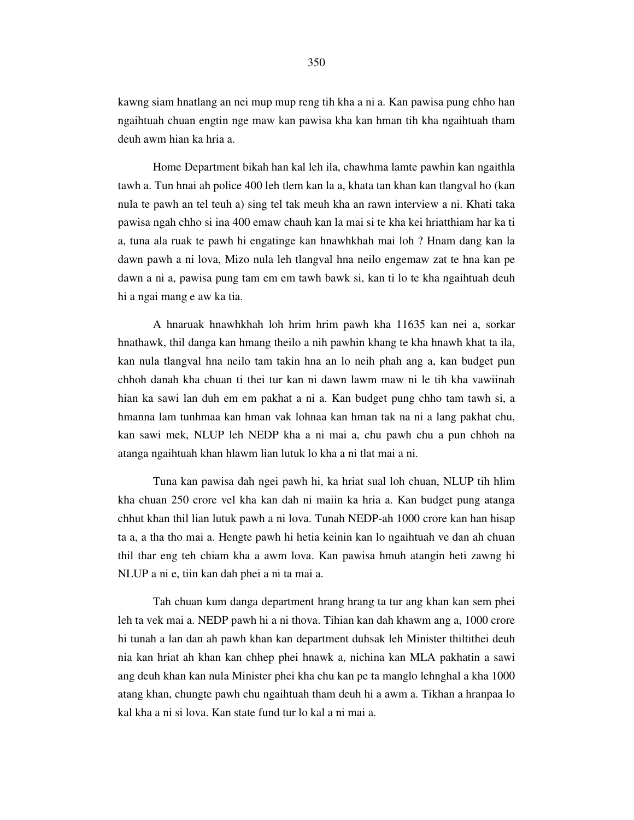kawng siam hnatlang an nei mup mup reng tih kha a ni a. Kan pawisa pung chho han ngaihtuah chuan engtin nge maw kan pawisa kha kan hman tih kha ngaihtuah tham deuh awm hian ka hria a.

 Home Department bikah han kal leh ila, chawhma lamte pawhin kan ngaithla tawh a. Tun hnai ah police 400 leh tlem kan la a, khata tan khan kan tlangval ho (kan nula te pawh an tel teuh a) sing tel tak meuh kha an rawn interview a ni. Khati taka pawisa ngah chho si ina 400 emaw chauh kan la mai si te kha kei hriatthiam har ka ti a, tuna ala ruak te pawh hi engatinge kan hnawhkhah mai loh ? Hnam dang kan la dawn pawh a ni lova, Mizo nula leh tlangval hna neilo engemaw zat te hna kan pe dawn a ni a, pawisa pung tam em em tawh bawk si, kan ti lo te kha ngaihtuah deuh hi a ngai mang e aw ka tia.

 A hnaruak hnawhkhah loh hrim hrim pawh kha 11635 kan nei a, sorkar hnathawk, thil danga kan hmang theilo a nih pawhin khang te kha hnawh khat ta ila, kan nula tlangval hna neilo tam takin hna an lo neih phah ang a, kan budget pun chhoh danah kha chuan ti thei tur kan ni dawn lawm maw ni le tih kha vawiinah hian ka sawi lan duh em em pakhat a ni a. Kan budget pung chho tam tawh si, a hmanna lam tunhmaa kan hman vak lohnaa kan hman tak na ni a lang pakhat chu, kan sawi mek, NLUP leh NEDP kha a ni mai a, chu pawh chu a pun chhoh na atanga ngaihtuah khan hlawm lian lutuk lo kha a ni tlat mai a ni.

 Tuna kan pawisa dah ngei pawh hi, ka hriat sual loh chuan, NLUP tih hlim kha chuan 250 crore vel kha kan dah ni maiin ka hria a. Kan budget pung atanga chhut khan thil lian lutuk pawh a ni lova. Tunah NEDP-ah 1000 crore kan han hisap ta a, a tha tho mai a. Hengte pawh hi hetia keinin kan lo ngaihtuah ve dan ah chuan thil thar eng teh chiam kha a awm lova. Kan pawisa hmuh atangin heti zawng hi NLUP a ni e, tiin kan dah phei a ni ta mai a.

 Tah chuan kum danga department hrang hrang ta tur ang khan kan sem phei leh ta vek mai a. NEDP pawh hi a ni thova. Tihian kan dah khawm ang a, 1000 crore hi tunah a lan dan ah pawh khan kan department duhsak leh Minister thiltithei deuh nia kan hriat ah khan kan chhep phei hnawk a, nichina kan MLA pakhatin a sawi ang deuh khan kan nula Minister phei kha chu kan pe ta manglo lehnghal a kha 1000 atang khan, chungte pawh chu ngaihtuah tham deuh hi a awm a. Tikhan a hranpaa lo kal kha a ni si lova. Kan state fund tur lo kal a ni mai a.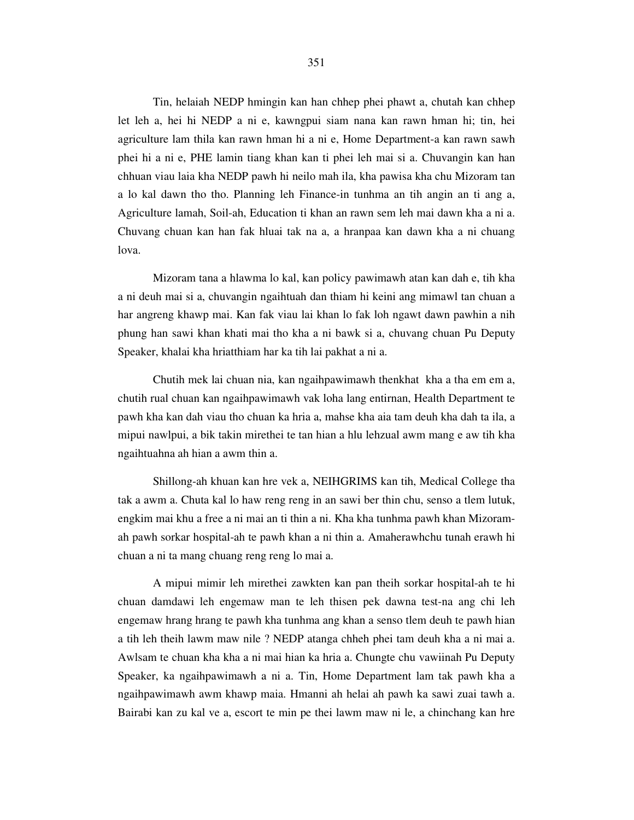Tin, helaiah NEDP hmingin kan han chhep phei phawt a, chutah kan chhep let leh a, hei hi NEDP a ni e, kawngpui siam nana kan rawn hman hi; tin, hei agriculture lam thila kan rawn hman hi a ni e, Home Department-a kan rawn sawh phei hi a ni e, PHE lamin tiang khan kan ti phei leh mai si a. Chuvangin kan han chhuan viau laia kha NEDP pawh hi neilo mah ila, kha pawisa kha chu Mizoram tan a lo kal dawn tho tho. Planning leh Finance-in tunhma an tih angin an ti ang a, Agriculture lamah, Soil-ah, Education ti khan an rawn sem leh mai dawn kha a ni a. Chuvang chuan kan han fak hluai tak na a, a hranpaa kan dawn kha a ni chuang lova.

 Mizoram tana a hlawma lo kal, kan policy pawimawh atan kan dah e, tih kha a ni deuh mai si a, chuvangin ngaihtuah dan thiam hi keini ang mimawl tan chuan a har angreng khawp mai. Kan fak viau lai khan lo fak loh ngawt dawn pawhin a nih phung han sawi khan khati mai tho kha a ni bawk si a, chuvang chuan Pu Deputy Speaker, khalai kha hriatthiam har ka tih lai pakhat a ni a.

 Chutih mek lai chuan nia, kan ngaihpawimawh thenkhat kha a tha em em a, chutih rual chuan kan ngaihpawimawh vak loha lang entirnan, Health Department te pawh kha kan dah viau tho chuan ka hria a, mahse kha aia tam deuh kha dah ta ila, a mipui nawlpui, a bik takin mirethei te tan hian a hlu lehzual awm mang e aw tih kha ngaihtuahna ah hian a awm thin a.

 Shillong-ah khuan kan hre vek a, NEIHGRIMS kan tih, Medical College tha tak a awm a. Chuta kal lo haw reng reng in an sawi ber thin chu, senso a tlem lutuk, engkim mai khu a free a ni mai an ti thin a ni. Kha kha tunhma pawh khan Mizoramah pawh sorkar hospital-ah te pawh khan a ni thin a. Amaherawhchu tunah erawh hi chuan a ni ta mang chuang reng reng lo mai a.

 A mipui mimir leh mirethei zawkten kan pan theih sorkar hospital-ah te hi chuan damdawi leh engemaw man te leh thisen pek dawna test-na ang chi leh engemaw hrang hrang te pawh kha tunhma ang khan a senso tlem deuh te pawh hian a tih leh theih lawm maw nile ? NEDP atanga chheh phei tam deuh kha a ni mai a. Awlsam te chuan kha kha a ni mai hian ka hria a. Chungte chu vawiinah Pu Deputy Speaker, ka ngaihpawimawh a ni a. Tin, Home Department lam tak pawh kha a ngaihpawimawh awm khawp maia. Hmanni ah helai ah pawh ka sawi zuai tawh a. Bairabi kan zu kal ve a, escort te min pe thei lawm maw ni le, a chinchang kan hre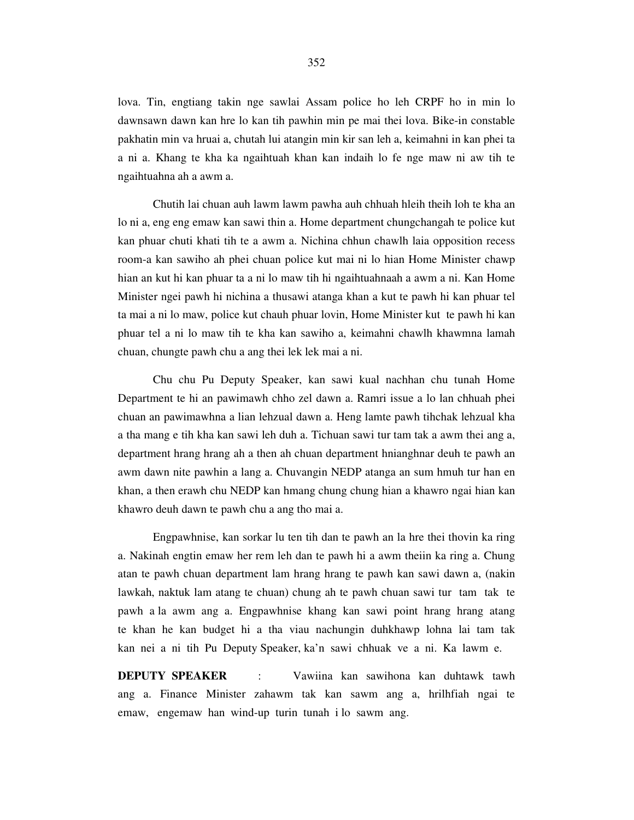lova. Tin, engtiang takin nge sawlai Assam police ho leh CRPF ho in min lo dawnsawn dawn kan hre lo kan tih pawhin min pe mai thei lova. Bike-in constable pakhatin min va hruai a, chutah lui atangin min kir san leh a, keimahni in kan phei ta a ni a. Khang te kha ka ngaihtuah khan kan indaih lo fe nge maw ni aw tih te ngaihtuahna ah a awm a.

 Chutih lai chuan auh lawm lawm pawha auh chhuah hleih theih loh te kha an lo ni a, eng eng emaw kan sawi thin a. Home department chungchangah te police kut kan phuar chuti khati tih te a awm a. Nichina chhun chawlh laia opposition recess room-a kan sawiho ah phei chuan police kut mai ni lo hian Home Minister chawp hian an kut hi kan phuar ta a ni lo maw tih hi ngaihtuahnaah a awm a ni. Kan Home Minister ngei pawh hi nichina a thusawi atanga khan a kut te pawh hi kan phuar tel ta mai a ni lo maw, police kut chauh phuar lovin, Home Minister kut te pawh hi kan phuar tel a ni lo maw tih te kha kan sawiho a, keimahni chawlh khawmna lamah chuan, chungte pawh chu a ang thei lek lek mai a ni.

 Chu chu Pu Deputy Speaker, kan sawi kual nachhan chu tunah Home Department te hi an pawimawh chho zel dawn a. Ramri issue a lo lan chhuah phei chuan an pawimawhna a lian lehzual dawn a. Heng lamte pawh tihchak lehzual kha a tha mang e tih kha kan sawi leh duh a. Tichuan sawi tur tam tak a awm thei ang a, department hrang hrang ah a then ah chuan department hnianghnar deuh te pawh an awm dawn nite pawhin a lang a. Chuvangin NEDP atanga an sum hmuh tur han en khan, a then erawh chu NEDP kan hmang chung chung hian a khawro ngai hian kan khawro deuh dawn te pawh chu a ang tho mai a.

 Engpawhnise, kan sorkar lu ten tih dan te pawh an la hre thei thovin ka ring a. Nakinah engtin emaw her rem leh dan te pawh hi a awm theiin ka ring a. Chung atan te pawh chuan department lam hrang hrang te pawh kan sawi dawn a, (nakin lawkah, naktuk lam atang te chuan) chung ah te pawh chuan sawi tur tam tak te pawh a la awm ang a. Engpawhnise khang kan sawi point hrang hrang atang te khan he kan budget hi a tha viau nachungin duhkhawp lohna lai tam tak kan nei a ni tih Pu Deputy Speaker, ka'n sawi chhuak ve a ni. Ka lawm e.

**DEPUTY SPEAKER** : Vawiina kan sawihona kan duhtawk tawh ang a. Finance Minister zahawm tak kan sawm ang a, hrilhfiah ngai te emaw, engemaw han wind-up turin tunah i lo sawm ang.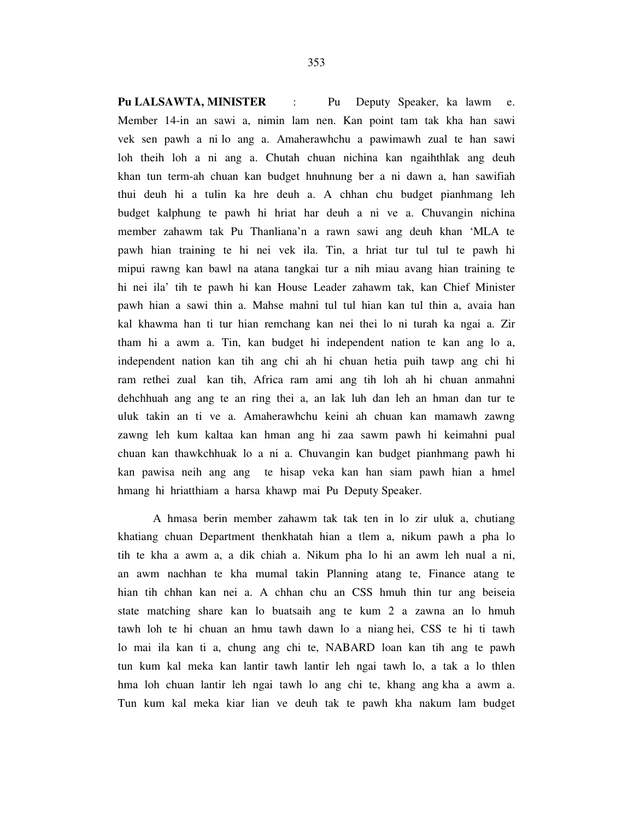**Pu LALSAWTA, MINISTER** : Pu Deputy Speaker, ka lawm e. Member 14-in an sawi a, nimin lam nen. Kan point tam tak kha han sawi vek sen pawh a ni lo ang a. Amaherawhchu a pawimawh zual te han sawi loh theih loh a ni ang a. Chutah chuan nichina kan ngaihthlak ang deuh khan tun term-ah chuan kan budget hnuhnung ber a ni dawn a, han sawifiah thui deuh hi a tulin ka hre deuh a. A chhan chu budget pianhmang leh budget kalphung te pawh hi hriat har deuh a ni ve a. Chuvangin nichina member zahawm tak Pu Thanliana'n a rawn sawi ang deuh khan 'MLA te pawh hian training te hi nei vek ila. Tin, a hriat tur tul tul te pawh hi mipui rawng kan bawl na atana tangkai tur a nih miau avang hian training te hi nei ila' tih te pawh hi kan House Leader zahawm tak, kan Chief Minister pawh hian a sawi thin a. Mahse mahni tul tul hian kan tul thin a, avaia han kal khawma han ti tur hian remchang kan nei thei lo ni turah ka ngai a. Zir tham hi a awm a. Tin, kan budget hi independent nation te kan ang lo a, independent nation kan tih ang chi ah hi chuan hetia puih tawp ang chi hi ram rethei zual kan tih, Africa ram ami ang tih loh ah hi chuan anmahni dehchhuah ang ang te an ring thei a, an lak luh dan leh an hman dan tur te uluk takin an ti ve a. Amaherawhchu keini ah chuan kan mamawh zawng zawng leh kum kaltaa kan hman ang hi zaa sawm pawh hi keimahni pual chuan kan thawkchhuak lo a ni a. Chuvangin kan budget pianhmang pawh hi kan pawisa neih ang ang te hisap veka kan han siam pawh hian a hmel hmang hi hriatthiam a harsa khawp mai Pu Deputy Speaker.

 A hmasa berin member zahawm tak tak ten in lo zir uluk a, chutiang khatiang chuan Department thenkhatah hian a tlem a, nikum pawh a pha lo tih te kha a awm a, a dik chiah a. Nikum pha lo hi an awm leh nual a ni, an awm nachhan te kha mumal takin Planning atang te, Finance atang te hian tih chhan kan nei a. A chhan chu an CSS hmuh thin tur ang beiseia state matching share kan lo buatsaih ang te kum 2 a zawna an lo hmuh tawh loh te hi chuan an hmu tawh dawn lo a niang hei, CSS te hi ti tawh lo mai ila kan ti a, chung ang chi te, NABARD loan kan tih ang te pawh tun kum kal meka kan lantir tawh lantir leh ngai tawh lo, a tak a lo thlen hma loh chuan lantir leh ngai tawh lo ang chi te, khang ang kha a awm a. Tun kum kal meka kiar lian ve deuh tak te pawh kha nakum lam budget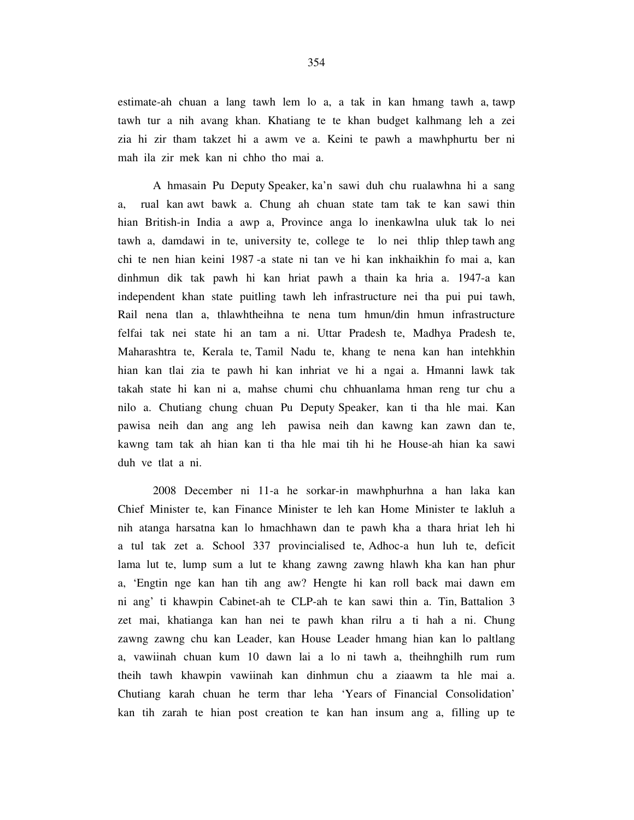estimate-ah chuan a lang tawh lem lo a, a tak in kan hmang tawh a, tawp tawh tur a nih avang khan. Khatiang te te khan budget kalhmang leh a zei zia hi zir tham takzet hi a awm ve a. Keini te pawh a mawhphurtu ber ni mah ila zir mek kan ni chho tho mai a.

 A hmasain Pu Deputy Speaker, ka'n sawi duh chu rualawhna hi a sang a, rual kan awt bawk a. Chung ah chuan state tam tak te kan sawi thin hian British-in India a awp a, Province anga lo inenkawlna uluk tak lo nei tawh a, damdawi in te, university te, college te lo nei thlip thlep tawh ang chi te nen hian keini 1987 -a state ni tan ve hi kan inkhaikhin fo mai a, kan dinhmun dik tak pawh hi kan hriat pawh a thain ka hria a. 1947-a kan independent khan state puitling tawh leh infrastructure nei tha pui pui tawh, Rail nena tlan a, thlawhtheihna te nena tum hmun/din hmun infrastructure felfai tak nei state hi an tam a ni. Uttar Pradesh te, Madhya Pradesh te, Maharashtra te, Kerala te, Tamil Nadu te, khang te nena kan han intehkhin hian kan tlai zia te pawh hi kan inhriat ve hi a ngai a. Hmanni lawk tak takah state hi kan ni a, mahse chumi chu chhuanlama hman reng tur chu a nilo a. Chutiang chung chuan Pu Deputy Speaker, kan ti tha hle mai. Kan pawisa neih dan ang ang leh pawisa neih dan kawng kan zawn dan te, kawng tam tak ah hian kan ti tha hle mai tih hi he House-ah hian ka sawi duh ve tlat a ni.

 2008 December ni 11-a he sorkar-in mawhphurhna a han laka kan Chief Minister te, kan Finance Minister te leh kan Home Minister te lakluh a nih atanga harsatna kan lo hmachhawn dan te pawh kha a thara hriat leh hi a tul tak zet a. School 337 provincialised te, Adhoc-a hun luh te, deficit lama lut te, lump sum a lut te khang zawng zawng hlawh kha kan han phur a, 'Engtin nge kan han tih ang aw? Hengte hi kan roll back mai dawn em ni ang' ti khawpin Cabinet-ah te CLP-ah te kan sawi thin a. Tin, Battalion 3 zet mai, khatianga kan han nei te pawh khan rilru a ti hah a ni. Chung zawng zawng chu kan Leader, kan House Leader hmang hian kan lo paltlang a, vawiinah chuan kum 10 dawn lai a lo ni tawh a, theihnghilh rum rum theih tawh khawpin vawiinah kan dinhmun chu a ziaawm ta hle mai a. Chutiang karah chuan he term thar leha 'Years of Financial Consolidation' kan tih zarah te hian post creation te kan han insum ang a, filling up te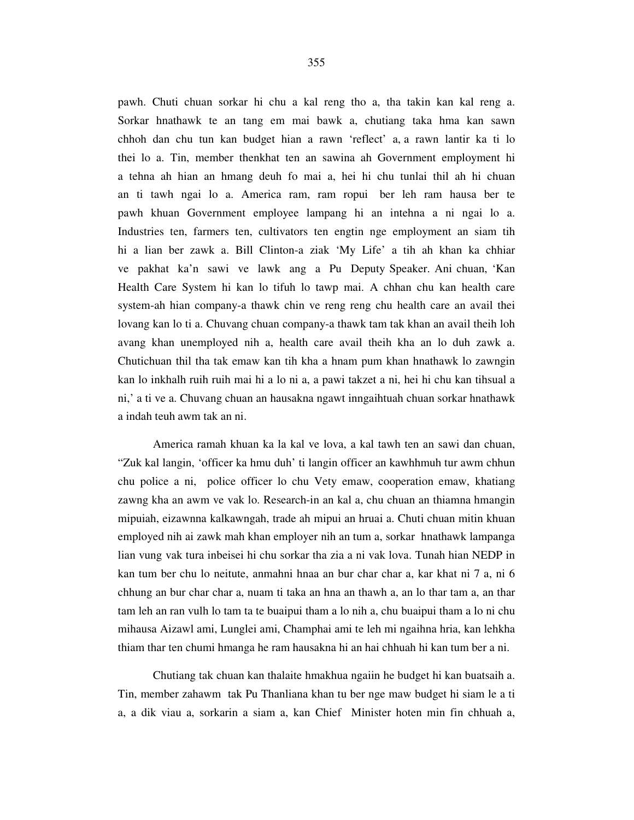pawh. Chuti chuan sorkar hi chu a kal reng tho a, tha takin kan kal reng a. Sorkar hnathawk te an tang em mai bawk a, chutiang taka hma kan sawn chhoh dan chu tun kan budget hian a rawn 'reflect' a, a rawn lantir ka ti lo thei lo a. Tin, member thenkhat ten an sawina ah Government employment hi a tehna ah hian an hmang deuh fo mai a, hei hi chu tunlai thil ah hi chuan an ti tawh ngai lo a. America ram, ram ropui ber leh ram hausa ber te pawh khuan Government employee lampang hi an intehna a ni ngai lo a. Industries ten, farmers ten, cultivators ten engtin nge employment an siam tih hi a lian ber zawk a. Bill Clinton-a ziak 'My Life' a tih ah khan ka chhiar ve pakhat ka'n sawi ve lawk ang a Pu Deputy Speaker. Ani chuan, 'Kan Health Care System hi kan lo tifuh lo tawp mai. A chhan chu kan health care system-ah hian company-a thawk chin ve reng reng chu health care an avail thei lovang kan lo ti a. Chuvang chuan company-a thawk tam tak khan an avail theih loh avang khan unemployed nih a, health care avail theih kha an lo duh zawk a. Chutichuan thil tha tak emaw kan tih kha a hnam pum khan hnathawk lo zawngin kan lo inkhalh ruih ruih mai hi a lo ni a, a pawi takzet a ni, hei hi chu kan tihsual a ni,' a ti ve a. Chuvang chuan an hausakna ngawt inngaihtuah chuan sorkar hnathawk a indah teuh awm tak an ni.

 America ramah khuan ka la kal ve lova, a kal tawh ten an sawi dan chuan, "Zuk kal langin, 'officer ka hmu duh' ti langin officer an kawhhmuh tur awm chhun chu police a ni, police officer lo chu Vety emaw, cooperation emaw, khatiang zawng kha an awm ve vak lo. Research-in an kal a, chu chuan an thiamna hmangin mipuiah, eizawnna kalkawngah, trade ah mipui an hruai a. Chuti chuan mitin khuan employed nih ai zawk mah khan employer nih an tum a, sorkar hnathawk lampanga lian vung vak tura inbeisei hi chu sorkar tha zia a ni vak lova. Tunah hian NEDP in kan tum ber chu lo neitute, anmahni hnaa an bur char char a, kar khat ni 7 a, ni 6 chhung an bur char char a, nuam ti taka an hna an thawh a, an lo thar tam a, an thar tam leh an ran vulh lo tam ta te buaipui tham a lo nih a, chu buaipui tham a lo ni chu mihausa Aizawl ami, Lunglei ami, Champhai ami te leh mi ngaihna hria, kan lehkha thiam thar ten chumi hmanga he ram hausakna hi an hai chhuah hi kan tum ber a ni.

 Chutiang tak chuan kan thalaite hmakhua ngaiin he budget hi kan buatsaih a. Tin, member zahawm tak Pu Thanliana khan tu ber nge maw budget hi siam le a ti a, a dik viau a, sorkarin a siam a, kan Chief Minister hoten min fin chhuah a,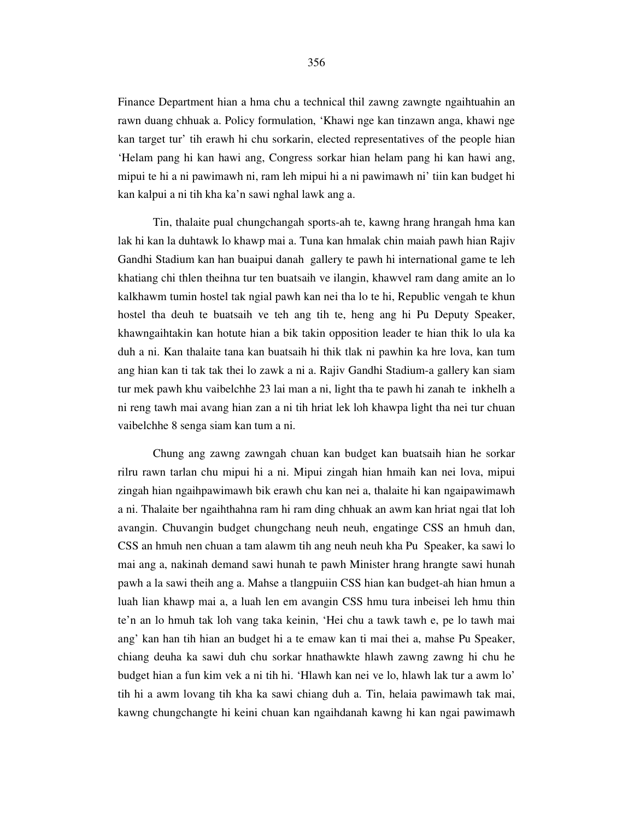Finance Department hian a hma chu a technical thil zawng zawngte ngaihtuahin an rawn duang chhuak a. Policy formulation, 'Khawi nge kan tinzawn anga, khawi nge kan target tur' tih erawh hi chu sorkarin, elected representatives of the people hian 'Helam pang hi kan hawi ang, Congress sorkar hian helam pang hi kan hawi ang, mipui te hi a ni pawimawh ni, ram leh mipui hi a ni pawimawh ni' tiin kan budget hi kan kalpui a ni tih kha ka'n sawi nghal lawk ang a.

 Tin, thalaite pual chungchangah sports-ah te, kawng hrang hrangah hma kan lak hi kan la duhtawk lo khawp mai a. Tuna kan hmalak chin maiah pawh hian Rajiv Gandhi Stadium kan han buaipui danah gallery te pawh hi international game te leh khatiang chi thlen theihna tur ten buatsaih ve ilangin, khawvel ram dang amite an lo kalkhawm tumin hostel tak ngial pawh kan nei tha lo te hi, Republic vengah te khun hostel tha deuh te buatsaih ve teh ang tih te, heng ang hi Pu Deputy Speaker, khawngaihtakin kan hotute hian a bik takin opposition leader te hian thik lo ula ka duh a ni. Kan thalaite tana kan buatsaih hi thik tlak ni pawhin ka hre lova, kan tum ang hian kan ti tak tak thei lo zawk a ni a. Rajiv Gandhi Stadium-a gallery kan siam tur mek pawh khu vaibelchhe 23 lai man a ni, light tha te pawh hi zanah te inkhelh a ni reng tawh mai avang hian zan a ni tih hriat lek loh khawpa light tha nei tur chuan vaibelchhe 8 senga siam kan tum a ni.

 Chung ang zawng zawngah chuan kan budget kan buatsaih hian he sorkar rilru rawn tarlan chu mipui hi a ni. Mipui zingah hian hmaih kan nei lova, mipui zingah hian ngaihpawimawh bik erawh chu kan nei a, thalaite hi kan ngaipawimawh a ni. Thalaite ber ngaihthahna ram hi ram ding chhuak an awm kan hriat ngai tlat loh avangin. Chuvangin budget chungchang neuh neuh, engatinge CSS an hmuh dan, CSS an hmuh nen chuan a tam alawm tih ang neuh neuh kha Pu Speaker, ka sawi lo mai ang a, nakinah demand sawi hunah te pawh Minister hrang hrangte sawi hunah pawh a la sawi theih ang a. Mahse a tlangpuiin CSS hian kan budget-ah hian hmun a luah lian khawp mai a, a luah len em avangin CSS hmu tura inbeisei leh hmu thin te'n an lo hmuh tak loh vang taka keinin, 'Hei chu a tawk tawh e, pe lo tawh mai ang' kan han tih hian an budget hi a te emaw kan ti mai thei a, mahse Pu Speaker, chiang deuha ka sawi duh chu sorkar hnathawkte hlawh zawng zawng hi chu he budget hian a fun kim vek a ni tih hi. 'Hlawh kan nei ve lo, hlawh lak tur a awm lo' tih hi a awm lovang tih kha ka sawi chiang duh a. Tin, helaia pawimawh tak mai, kawng chungchangte hi keini chuan kan ngaihdanah kawng hi kan ngai pawimawh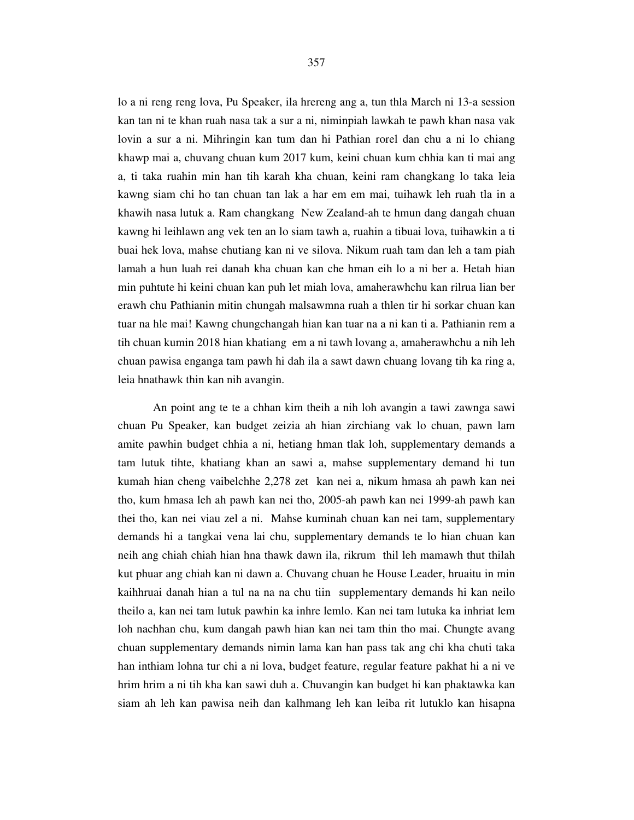lo a ni reng reng lova, Pu Speaker, ila hrereng ang a, tun thla March ni 13-a session kan tan ni te khan ruah nasa tak a sur a ni, niminpiah lawkah te pawh khan nasa vak lovin a sur a ni. Mihringin kan tum dan hi Pathian rorel dan chu a ni lo chiang khawp mai a, chuvang chuan kum 2017 kum, keini chuan kum chhia kan ti mai ang a, ti taka ruahin min han tih karah kha chuan, keini ram changkang lo taka leia kawng siam chi ho tan chuan tan lak a har em em mai, tuihawk leh ruah tla in a khawih nasa lutuk a. Ram changkang New Zealand-ah te hmun dang dangah chuan kawng hi leihlawn ang vek ten an lo siam tawh a, ruahin a tibuai lova, tuihawkin a ti buai hek lova, mahse chutiang kan ni ve silova. Nikum ruah tam dan leh a tam piah lamah a hun luah rei danah kha chuan kan che hman eih lo a ni ber a. Hetah hian min puhtute hi keini chuan kan puh let miah lova, amaherawhchu kan rilrua lian ber erawh chu Pathianin mitin chungah malsawmna ruah a thlen tir hi sorkar chuan kan tuar na hle mai! Kawng chungchangah hian kan tuar na a ni kan ti a. Pathianin rem a tih chuan kumin 2018 hian khatiang em a ni tawh lovang a, amaherawhchu a nih leh chuan pawisa enganga tam pawh hi dah ila a sawt dawn chuang lovang tih ka ring a, leia hnathawk thin kan nih avangin.

 An point ang te te a chhan kim theih a nih loh avangin a tawi zawnga sawi chuan Pu Speaker, kan budget zeizia ah hian zirchiang vak lo chuan, pawn lam amite pawhin budget chhia a ni, hetiang hman tlak loh, supplementary demands a tam lutuk tihte, khatiang khan an sawi a, mahse supplementary demand hi tun kumah hian cheng vaibelchhe 2,278 zet kan nei a, nikum hmasa ah pawh kan nei tho, kum hmasa leh ah pawh kan nei tho, 2005-ah pawh kan nei 1999-ah pawh kan thei tho, kan nei viau zel a ni. Mahse kuminah chuan kan nei tam, supplementary demands hi a tangkai vena lai chu, supplementary demands te lo hian chuan kan neih ang chiah chiah hian hna thawk dawn ila, rikrum thil leh mamawh thut thilah kut phuar ang chiah kan ni dawn a. Chuvang chuan he House Leader, hruaitu in min kaihhruai danah hian a tul na na na chu tiin supplementary demands hi kan neilo theilo a, kan nei tam lutuk pawhin ka inhre lemlo. Kan nei tam lutuka ka inhriat lem loh nachhan chu, kum dangah pawh hian kan nei tam thin tho mai. Chungte avang chuan supplementary demands nimin lama kan han pass tak ang chi kha chuti taka han inthiam lohna tur chi a ni lova, budget feature, regular feature pakhat hi a ni ve hrim hrim a ni tih kha kan sawi duh a. Chuvangin kan budget hi kan phaktawka kan siam ah leh kan pawisa neih dan kalhmang leh kan leiba rit lutuklo kan hisapna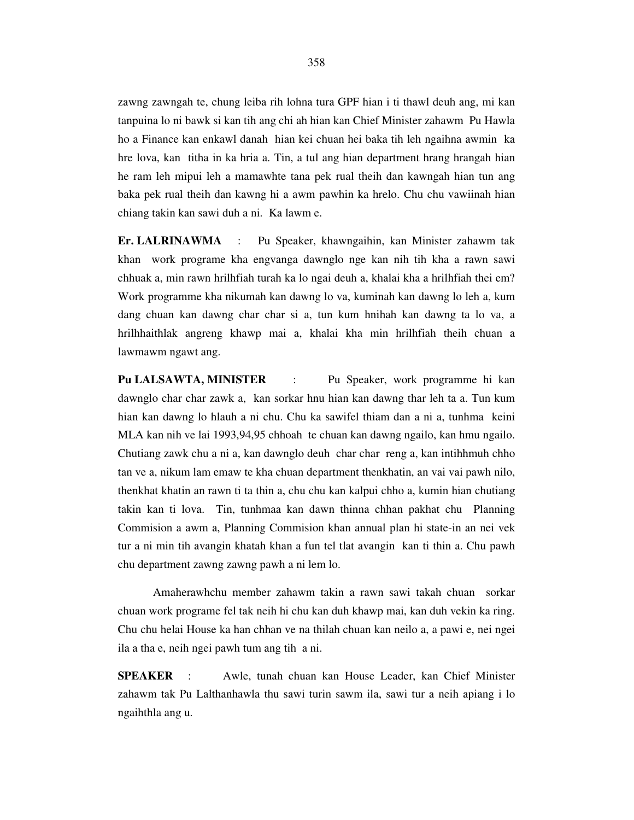zawng zawngah te, chung leiba rih lohna tura GPF hian i ti thawl deuh ang, mi kan tanpuina lo ni bawk si kan tih ang chi ah hian kan Chief Minister zahawm Pu Hawla ho a Finance kan enkawl danah hian kei chuan hei baka tih leh ngaihna awmin ka hre lova, kan titha in ka hria a. Tin, a tul ang hian department hrang hrangah hian he ram leh mipui leh a mamawhte tana pek rual theih dan kawngah hian tun ang baka pek rual theih dan kawng hi a awm pawhin ka hrelo. Chu chu vawiinah hian chiang takin kan sawi duh a ni. Ka lawm e.

**Er. LALRINAWMA** : Pu Speaker, khawngaihin, kan Minister zahawm tak khan work programe kha engvanga dawnglo nge kan nih tih kha a rawn sawi chhuak a, min rawn hrilhfiah turah ka lo ngai deuh a, khalai kha a hrilhfiah thei em? Work programme kha nikumah kan dawng lo va, kuminah kan dawng lo leh a, kum dang chuan kan dawng char char si a, tun kum hnihah kan dawng ta lo va, a hrilhhaithlak angreng khawp mai a, khalai kha min hrilhfiah theih chuan a lawmawm ngawt ang.

**Pu LALSAWTA, MINISTER** : Pu Speaker, work programme hi kan dawnglo char char zawk a, kan sorkar hnu hian kan dawng thar leh ta a. Tun kum hian kan dawng lo hlauh a ni chu. Chu ka sawifel thiam dan a ni a, tunhma keini MLA kan nih ve lai 1993,94,95 chhoah te chuan kan dawng ngailo, kan hmu ngailo. Chutiang zawk chu a ni a, kan dawnglo deuh char char reng a, kan intihhmuh chho tan ve a, nikum lam emaw te kha chuan department thenkhatin, an vai vai pawh nilo, thenkhat khatin an rawn ti ta thin a, chu chu kan kalpui chho a, kumin hian chutiang takin kan ti lova. Tin, tunhmaa kan dawn thinna chhan pakhat chu Planning Commision a awm a, Planning Commision khan annual plan hi state-in an nei vek tur a ni min tih avangin khatah khan a fun tel tlat avangin kan ti thin a. Chu pawh chu department zawng zawng pawh a ni lem lo.

 Amaherawhchu member zahawm takin a rawn sawi takah chuan sorkar chuan work programe fel tak neih hi chu kan duh khawp mai, kan duh vekin ka ring. Chu chu helai House ka han chhan ve na thilah chuan kan neilo a, a pawi e, nei ngei ila a tha e, neih ngei pawh tum ang tih a ni.

**SPEAKER** : Awle, tunah chuan kan House Leader, kan Chief Minister zahawm tak Pu Lalthanhawla thu sawi turin sawm ila, sawi tur a neih apiang i lo ngaihthla ang u.